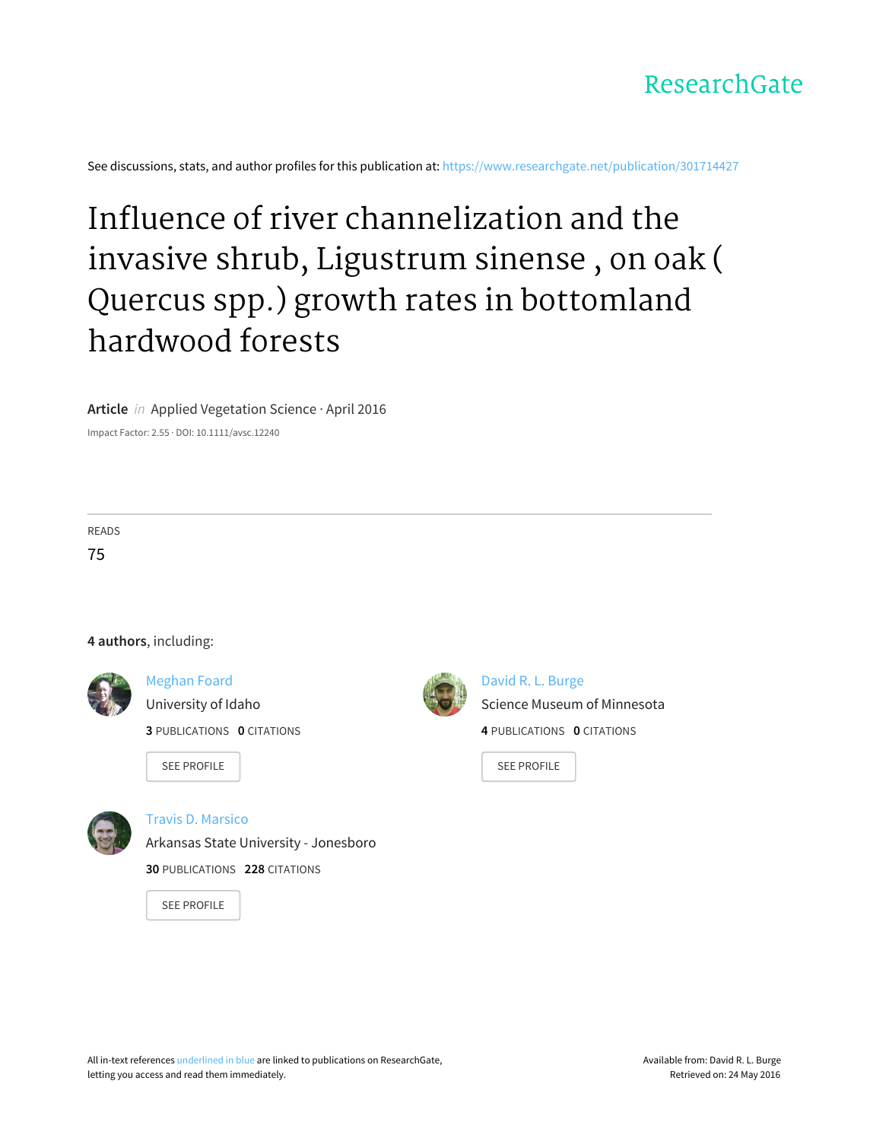

See discussions, stats, and author profiles for this publication at: [https://www.researchgate.net/publication/301714427](https://www.researchgate.net/publication/301714427_Influence_of_river_channelization_and_the_invasive_shrub_Ligustrum_sinense_on_oak_Quercus_spp_growth_rates_in_bottomland_hardwood_forests?enrichId=rgreq-a9262b46-b36e-4add-80bd-cf764adf802a&enrichSource=Y292ZXJQYWdlOzMwMTcxNDQyNztBUzozNTgwNDg2ODcyNDczNjFAMTQ2MjM3Njg2NzQzOQ%3D%3D&el=1_x_2)

# Influence of river [channelization](https://www.researchgate.net/publication/301714427_Influence_of_river_channelization_and_the_invasive_shrub_Ligustrum_sinense_on_oak_Quercus_spp_growth_rates_in_bottomland_hardwood_forests?enrichId=rgreq-a9262b46-b36e-4add-80bd-cf764adf802a&enrichSource=Y292ZXJQYWdlOzMwMTcxNDQyNztBUzozNTgwNDg2ODcyNDczNjFAMTQ2MjM3Njg2NzQzOQ%3D%3D&el=1_x_3) and the invasive shrub, Ligustrum sinense , on oak ( Quercus spp.) growth rates in bottomland hardwood forests

**Article** in Applied Vegetation Science · April 2016

Impact Factor: 2.55 · DOI: 10.1111/avsc.12240

READS

75

# **4 authors**, including:



[Meghan](https://www.researchgate.net/profile/Meghan_Foard?enrichId=rgreq-a9262b46-b36e-4add-80bd-cf764adf802a&enrichSource=Y292ZXJQYWdlOzMwMTcxNDQyNztBUzozNTgwNDg2ODcyNDczNjFAMTQ2MjM3Njg2NzQzOQ%3D%3D&el=1_x_5) Foard

[University](https://www.researchgate.net/institution/University_of_Idaho?enrichId=rgreq-a9262b46-b36e-4add-80bd-cf764adf802a&enrichSource=Y292ZXJQYWdlOzMwMTcxNDQyNztBUzozNTgwNDg2ODcyNDczNjFAMTQ2MjM3Njg2NzQzOQ%3D%3D&el=1_x_6) of Idaho

**3** PUBLICATIONS **0** CITATIONS

SEE [PROFILE](https://www.researchgate.net/profile/Meghan_Foard?enrichId=rgreq-a9262b46-b36e-4add-80bd-cf764adf802a&enrichSource=Y292ZXJQYWdlOzMwMTcxNDQyNztBUzozNTgwNDg2ODcyNDczNjFAMTQ2MjM3Njg2NzQzOQ%3D%3D&el=1_x_7)



David R. L. [Burge](https://www.researchgate.net/profile/David_Burge?enrichId=rgreq-a9262b46-b36e-4add-80bd-cf764adf802a&enrichSource=Y292ZXJQYWdlOzMwMTcxNDQyNztBUzozNTgwNDg2ODcyNDczNjFAMTQ2MjM3Njg2NzQzOQ%3D%3D&el=1_x_5) Science Museum of [Minnesota](https://www.researchgate.net/institution/Science_Museum_of_Minnesota?enrichId=rgreq-a9262b46-b36e-4add-80bd-cf764adf802a&enrichSource=Y292ZXJQYWdlOzMwMTcxNDQyNztBUzozNTgwNDg2ODcyNDczNjFAMTQ2MjM3Njg2NzQzOQ%3D%3D&el=1_x_6) **4** PUBLICATIONS **0** CITATIONS

SEE [PROFILE](https://www.researchgate.net/profile/David_Burge?enrichId=rgreq-a9262b46-b36e-4add-80bd-cf764adf802a&enrichSource=Y292ZXJQYWdlOzMwMTcxNDQyNztBUzozNTgwNDg2ODcyNDczNjFAMTQ2MjM3Njg2NzQzOQ%3D%3D&el=1_x_7)



Travis D. [Marsico](https://www.researchgate.net/profile/Travis_Marsico?enrichId=rgreq-a9262b46-b36e-4add-80bd-cf764adf802a&enrichSource=Y292ZXJQYWdlOzMwMTcxNDQyNztBUzozNTgwNDg2ODcyNDczNjFAMTQ2MjM3Njg2NzQzOQ%3D%3D&el=1_x_5)

Arkansas State University - [Jonesboro](https://www.researchgate.net/institution/Arkansas_State_University-Jonesboro2?enrichId=rgreq-a9262b46-b36e-4add-80bd-cf764adf802a&enrichSource=Y292ZXJQYWdlOzMwMTcxNDQyNztBUzozNTgwNDg2ODcyNDczNjFAMTQ2MjM3Njg2NzQzOQ%3D%3D&el=1_x_6)

**30** PUBLICATIONS **228** CITATIONS

SEE [PROFILE](https://www.researchgate.net/profile/Travis_Marsico?enrichId=rgreq-a9262b46-b36e-4add-80bd-cf764adf802a&enrichSource=Y292ZXJQYWdlOzMwMTcxNDQyNztBUzozNTgwNDg2ODcyNDczNjFAMTQ2MjM3Njg2NzQzOQ%3D%3D&el=1_x_7)

All in-text references underlined in blue are linked to publications on ResearchGate, letting you access and read them immediately.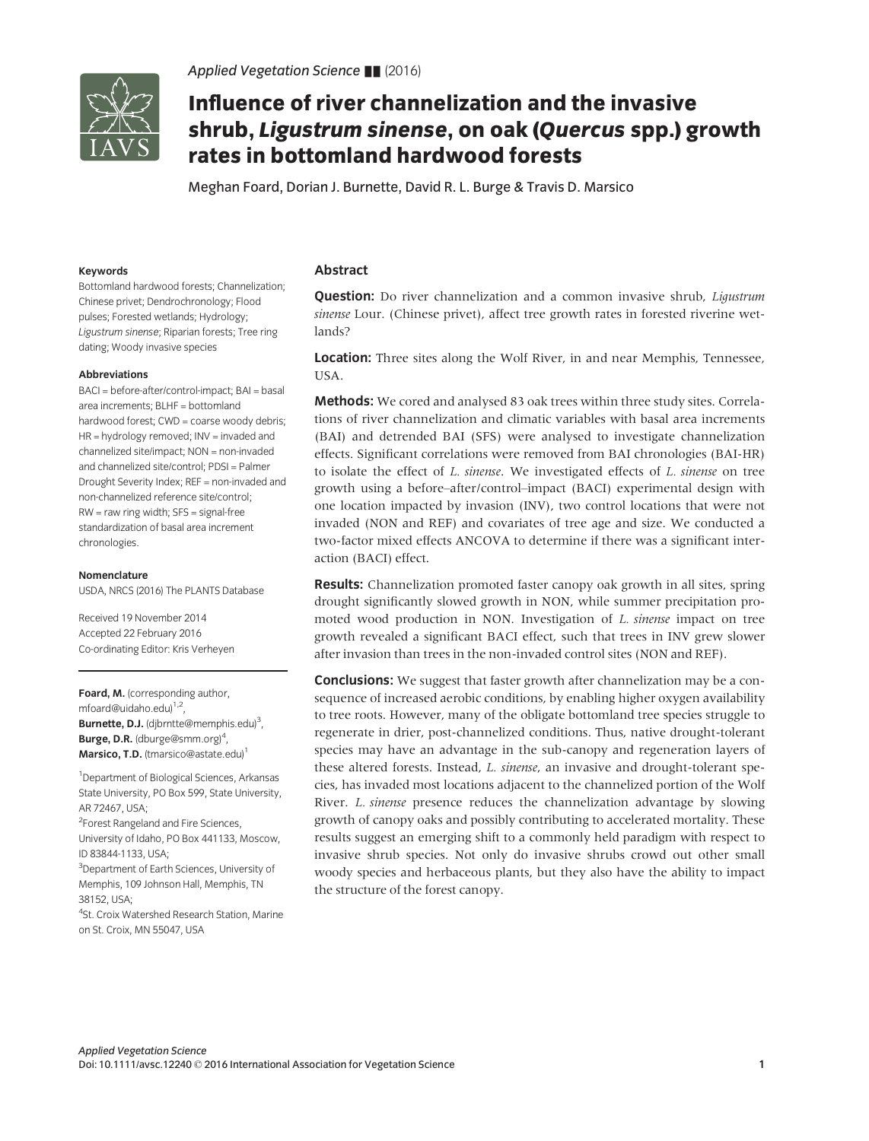

Applied Vegetation Science  $\blacksquare$  (2016)

# Influence of river channelization and the invasive shrub, Ligustrum sinense, on oak (Quercus spp.) growth rates in bottomland hardwood forests

Meghan Foard, Dorian J. Burnette, David R. L. Burge & Travis D. Marsico

#### Keywords

Bottomland hardwood forests; Channelization; Chinese privet; Dendrochronology; Flood pulses; Forested wetlands; Hydrology; Ligustrum sinense; Riparian forests; Tree ring dating; Woody invasive species

### Abbreviations

BACI = before-after/control-impact; BAI = basal area increments;  $BIHF = hottomland$ hardwood forest; CWD = coarse woody debris; HR = hydrology removed; INV = invaded and channelized site/impact; NON = non-invaded and channelized site/control; PDSI = Palmer Drought Severity Index; REF = non-invaded and non-channelized reference site/control; RW = raw ring width; SFS = signal-free standardization of basal area increment chronologies.

#### Nomenclature

USDA, NRCS (2016) The PLANTS Database

Received 19 November 2014 Accepted 22 February 2016 Co-ordinating Editor: Kris Verheyen

Foard, M. (corresponding author, mfoard@uidaho.edu)<sup>1,2</sup>, Burnette, D.J. (djbrntte@memphis.edu)<sup>3</sup>, Burge, D.R. (dburge@smm.org)<sup>4</sup>, Marsico, T.D. (tmarsico@astate.edu)<sup>1</sup>

1 Department of Biological Sciences, Arkansas State University, PO Box 599, State University, AR 72467, USA;

<sup>2</sup>Forest Rangeland and Fire Sciences, University of Idaho, PO Box 441133, Moscow, ID 83844-1133, USA;

<sup>3</sup>Department of Earth Sciences, University of Memphis, 109 Johnson Hall, Memphis, TN 38152, USA;

4 St. Croix Watershed Research Station, Marine on St. Croix, MN 55047, USA

# Abstract

**Question:** Do river channelization and a common invasive shrub, *Liqustrum* sinense Lour. (Chinese privet), affect tree growth rates in forested riverine wetlands?

Location: Three sites along the Wolf River, in and near Memphis, Tennessee, USA.

Methods: We cored and analysed 83 oak trees within three study sites. Correlations of river channelization and climatic variables with basal area increments (BAI) and detrended BAI (SFS) were analysed to investigate channelization effects. Significant correlations were removed from BAI chronologies (BAI-HR) to isolate the effect of L. sinense. We investigated effects of L. sinense on tree growth using a before–after/control–impact (BACI) experimental design with one location impacted by invasion (INV), two control locations that were not invaded (NON and REF) and covariates of tree age and size. We conducted a two-factor mixed effects ANCOVA to determine if there was a significant interaction (BACI) effect.

**Results:** Channelization promoted faster canopy oak growth in all sites, spring drought significantly slowed growth in NON, while summer precipitation promoted wood production in NON. Investigation of L. sinense impact on tree growth revealed a significant BACI effect, such that trees in INV grew slower after invasion than trees in the non-invaded control sites (NON and REF).

**Conclusions:** We suggest that faster growth after channelization may be a consequence of increased aerobic conditions, by enabling higher oxygen availability to tree roots. However, many of the obligate bottomland tree species struggle to regenerate in drier, post-channelized conditions. Thus, native drought-tolerant species may have an advantage in the sub-canopy and regeneration layers of these altered forests. Instead, L. sinense, an invasive and drought-tolerant species, has invaded most locations adjacent to the channelized portion of the Wolf River. L. sinense presence reduces the channelization advantage by slowing growth of canopy oaks and possibly contributing to accelerated mortality. These results suggest an emerging shift to a commonly held paradigm with respect to invasive shrub species. Not only do invasive shrubs crowd out other small woody species and herbaceous plants, but they also have the ability to impact the structure of the forest canopy.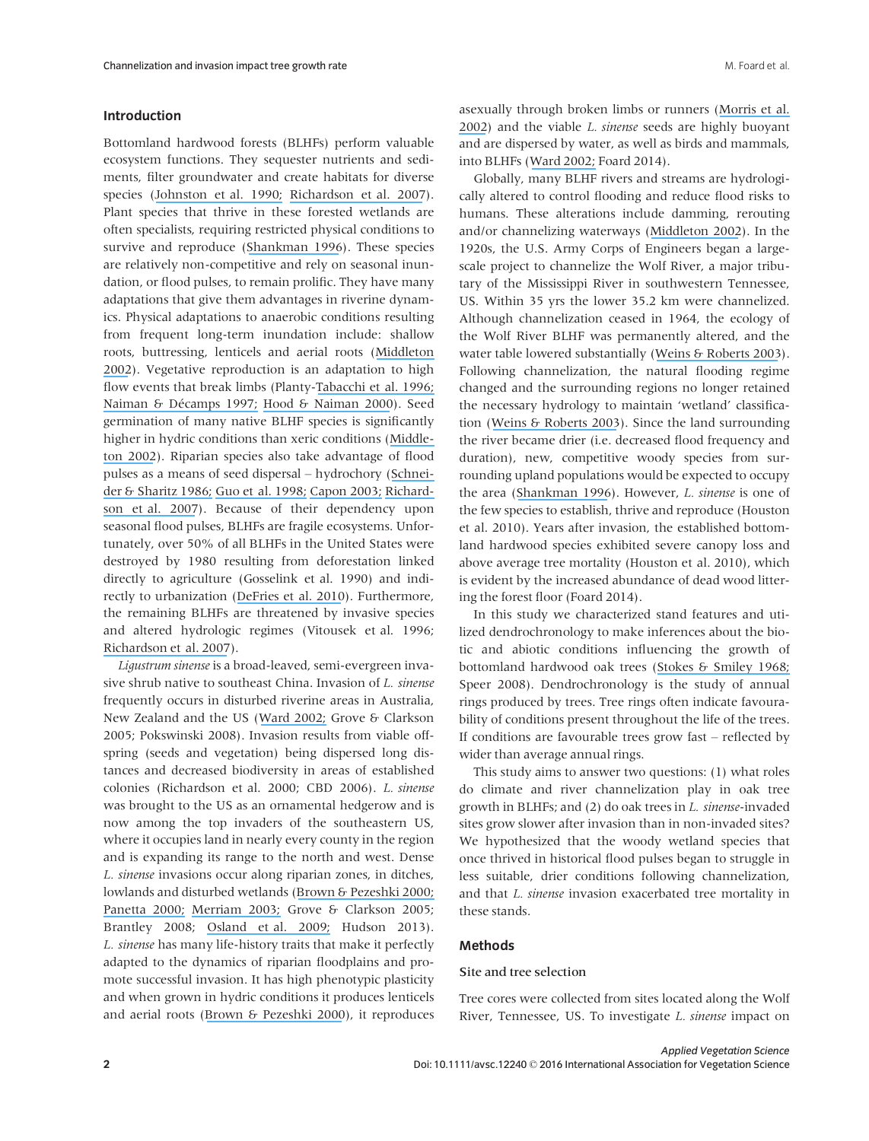# Introduction

Bottomland hardwood forests (BLHFs) perform valuable ecosystem functions. They sequester nutrients and sediments, filter groundwater and create habitats for diverse species ([Johnston et al. 1990;](https://www.researchgate.net/publication/227000437_The_Cumulative_Effect_of_Wetlands_on_Stream_Water_Quality_and_Quantity_A_Landscape_Approach?el=1_x_8&enrichId=rgreq-a9262b46-b36e-4add-80bd-cf764adf802a&enrichSource=Y292ZXJQYWdlOzMwMTcxNDQyNztBUzozNTgwNDg2ODcyNDczNjFAMTQ2MjM3Njg2NzQzOQ==) [Richardson et al. 2007](https://www.researchgate.net/publication/227521952_Riparian_vegetation_Degradation_alien_plant_invasions_and_restoration_prospects?el=1_x_8&enrichId=rgreq-a9262b46-b36e-4add-80bd-cf764adf802a&enrichSource=Y292ZXJQYWdlOzMwMTcxNDQyNztBUzozNTgwNDg2ODcyNDczNjFAMTQ2MjM3Njg2NzQzOQ==)). Plant species that thrive in these forested wetlands are often specialists, requiring restricted physical conditions to survive and reproduce ([Shankman 1996](https://www.researchgate.net/publication/272557605_Stream_Channelization_and_Changing_Vegetation_Patterns_in_the_U_S_Coastal_Plain?el=1_x_8&enrichId=rgreq-a9262b46-b36e-4add-80bd-cf764adf802a&enrichSource=Y292ZXJQYWdlOzMwMTcxNDQyNztBUzozNTgwNDg2ODcyNDczNjFAMTQ2MjM3Njg2NzQzOQ==)). These species are relatively non-competitive and rely on seasonal inundation, or flood pulses, to remain prolific. They have many adaptations that give them advantages in riverine dynamics. Physical adaptations to anaerobic conditions resulting from frequent long-term inundation include: shallow roots, buttressing, lenticels and aerial roots ([Middleton](https://www.researchgate.net/publication/229139221_Flood_Pulsing_in_Wetlands_Restoring_the_Natural_Hydrological_Balance?el=1_x_8&enrichId=rgreq-a9262b46-b36e-4add-80bd-cf764adf802a&enrichSource=Y292ZXJQYWdlOzMwMTcxNDQyNztBUzozNTgwNDg2ODcyNDczNjFAMTQ2MjM3Njg2NzQzOQ==) [2002](https://www.researchgate.net/publication/229139221_Flood_Pulsing_in_Wetlands_Restoring_the_Natural_Hydrological_Balance?el=1_x_8&enrichId=rgreq-a9262b46-b36e-4add-80bd-cf764adf802a&enrichSource=Y292ZXJQYWdlOzMwMTcxNDQyNztBUzozNTgwNDg2ODcyNDczNjFAMTQ2MjM3Njg2NzQzOQ==)). Vegetative reproduction is an adaptation to high flow events that break limbs (Planty-[Tabacchi et al. 1996;](https://www.researchgate.net/publication/246534937_Invasibility_of_Species-Rich_Communitites_in_Riparian_Zones_Conserv_Biol?el=1_x_8&enrichId=rgreq-a9262b46-b36e-4add-80bd-cf764adf802a&enrichSource=Y292ZXJQYWdlOzMwMTcxNDQyNztBUzozNTgwNDg2ODcyNDczNjFAMTQ2MjM3Njg2NzQzOQ==) Naiman & Décamps 1997; [Hood & Naiman 2000](https://www.researchgate.net/publication/225311755_Vulnerability_of_riparian_zones_to_invasion_by_exotic_vascular_plants_Plant_Ecol?el=1_x_8&enrichId=rgreq-a9262b46-b36e-4add-80bd-cf764adf802a&enrichSource=Y292ZXJQYWdlOzMwMTcxNDQyNztBUzozNTgwNDg2ODcyNDczNjFAMTQ2MjM3Njg2NzQzOQ==)). Seed germination of many native BLHF species is significantly higher in hydric conditions than xeric conditions ([Middle](https://www.researchgate.net/publication/229139221_Flood_Pulsing_in_Wetlands_Restoring_the_Natural_Hydrological_Balance?el=1_x_8&enrichId=rgreq-a9262b46-b36e-4add-80bd-cf764adf802a&enrichSource=Y292ZXJQYWdlOzMwMTcxNDQyNztBUzozNTgwNDg2ODcyNDczNjFAMTQ2MjM3Njg2NzQzOQ==)[ton 2002](https://www.researchgate.net/publication/229139221_Flood_Pulsing_in_Wetlands_Restoring_the_Natural_Hydrological_Balance?el=1_x_8&enrichId=rgreq-a9262b46-b36e-4add-80bd-cf764adf802a&enrichSource=Y292ZXJQYWdlOzMwMTcxNDQyNztBUzozNTgwNDg2ODcyNDczNjFAMTQ2MjM3Njg2NzQzOQ==)). Riparian species also take advantage of flood pulses as a means of seed dispersal – hydrochory ([Schnei](https://www.researchgate.net/publication/250269693_Seed_Bank_Dynamics_in_a_Southeastern_Riverine_Swamp?el=1_x_8&enrichId=rgreq-a9262b46-b36e-4add-80bd-cf764adf802a&enrichSource=Y292ZXJQYWdlOzMwMTcxNDQyNztBUzozNTgwNDg2ODcyNDczNjFAMTQ2MjM3Njg2NzQzOQ==)[der & Sharitz 1986;](https://www.researchgate.net/publication/250269693_Seed_Bank_Dynamics_in_a_Southeastern_Riverine_Swamp?el=1_x_8&enrichId=rgreq-a9262b46-b36e-4add-80bd-cf764adf802a&enrichSource=Y292ZXJQYWdlOzMwMTcxNDQyNztBUzozNTgwNDg2ODcyNDczNjFAMTQ2MjM3Njg2NzQzOQ==) [Guo et al. 1998;](https://www.researchgate.net/publication/227068378_Effects_of_flood_duration_and_season_on_germination_of_black_cherrybark_northern_red_and_water_oak_acorns?el=1_x_8&enrichId=rgreq-a9262b46-b36e-4add-80bd-cf764adf802a&enrichSource=Y292ZXJQYWdlOzMwMTcxNDQyNztBUzozNTgwNDg2ODcyNDczNjFAMTQ2MjM3Njg2NzQzOQ==) [Capon 2003;](https://www.researchgate.net/publication/40910623_Plant_community_responses_to_wetting_and_drying_in_a_large_arid_floodplain?el=1_x_8&enrichId=rgreq-a9262b46-b36e-4add-80bd-cf764adf802a&enrichSource=Y292ZXJQYWdlOzMwMTcxNDQyNztBUzozNTgwNDg2ODcyNDczNjFAMTQ2MjM3Njg2NzQzOQ==) [Richard](https://www.researchgate.net/publication/227521952_Riparian_vegetation_Degradation_alien_plant_invasions_and_restoration_prospects?el=1_x_8&enrichId=rgreq-a9262b46-b36e-4add-80bd-cf764adf802a&enrichSource=Y292ZXJQYWdlOzMwMTcxNDQyNztBUzozNTgwNDg2ODcyNDczNjFAMTQ2MjM3Njg2NzQzOQ==)[son et al. 2007](https://www.researchgate.net/publication/227521952_Riparian_vegetation_Degradation_alien_plant_invasions_and_restoration_prospects?el=1_x_8&enrichId=rgreq-a9262b46-b36e-4add-80bd-cf764adf802a&enrichSource=Y292ZXJQYWdlOzMwMTcxNDQyNztBUzozNTgwNDg2ODcyNDczNjFAMTQ2MjM3Njg2NzQzOQ==)). Because of their dependency upon seasonal flood pulses, BLHFs are fragile ecosystems. Unfortunately, over 50% of all BLHFs in the United States were destroyed by 1980 resulting from deforestation linked directly to agriculture (Gosselink et al. 1990) and indirectly to urbanization ([DeFries et al. 2010](https://www.researchgate.net/publication/248828436_Deforestation_Drive_by_Urban_Population_Growth_and_Agricultural_Trade_in_the_Twenty-First_Century?el=1_x_8&enrichId=rgreq-a9262b46-b36e-4add-80bd-cf764adf802a&enrichSource=Y292ZXJQYWdlOzMwMTcxNDQyNztBUzozNTgwNDg2ODcyNDczNjFAMTQ2MjM3Njg2NzQzOQ==)). Furthermore, the remaining BLHFs are threatened by invasive species and altered hydrologic regimes (Vitousek et al. 1996; [Richardson et al. 2007](https://www.researchgate.net/publication/227521952_Riparian_vegetation_Degradation_alien_plant_invasions_and_restoration_prospects?el=1_x_8&enrichId=rgreq-a9262b46-b36e-4add-80bd-cf764adf802a&enrichSource=Y292ZXJQYWdlOzMwMTcxNDQyNztBUzozNTgwNDg2ODcyNDczNjFAMTQ2MjM3Njg2NzQzOQ==)).

Ligustrum sinense is a broad-leaved, semi-evergreen invasive shrub native to southeast China. Invasion of L. sinense frequently occurs in disturbed riverine areas in Australia, New Zealand and the US ([Ward 2002;](https://www.researchgate.net/publication/265805556_Extent_and_Dispersal_Rates_of_Chinese_Privet_Ligustrum_sinense_Invasion_on_the_Upper_Oconee_River_Floodplain_North_Georgia?el=1_x_8&enrichId=rgreq-a9262b46-b36e-4add-80bd-cf764adf802a&enrichSource=Y292ZXJQYWdlOzMwMTcxNDQyNztBUzozNTgwNDg2ODcyNDczNjFAMTQ2MjM3Njg2NzQzOQ==) Grove & Clarkson 2005; Pokswinski 2008). Invasion results from viable offspring (seeds and vegetation) being dispersed long distances and decreased biodiversity in areas of established colonies (Richardson et al. 2000; CBD 2006). L. sinense was brought to the US as an ornamental hedgerow and is now among the top invaders of the southeastern US, where it occupies land in nearly every county in the region and is expanding its range to the north and west. Dense L. sinense invasions occur along riparian zones, in ditches, lowlands and disturbed wetlands ([Brown & Pezeshki 2000;](https://www.researchgate.net/publication/280901185_A_study_on_waterlogging_as_a_potential_tool_to_control_Ligustrum_sinense_populations_in_western_Tennessee?el=1_x_8&enrichId=rgreq-a9262b46-b36e-4add-80bd-cf764adf802a&enrichSource=Y292ZXJQYWdlOzMwMTcxNDQyNztBUzozNTgwNDg2ODcyNDczNjFAMTQ2MjM3Njg2NzQzOQ==) [Panetta 2000;](https://www.researchgate.net/publication/263029943_Fates_of_fruits_and_seeds_of_Ligustrum_lucidum_WTAit_and_L_sinense_Lour_maintained_under_natural_rainfall_or_irrigation?el=1_x_8&enrichId=rgreq-a9262b46-b36e-4add-80bd-cf764adf802a&enrichSource=Y292ZXJQYWdlOzMwMTcxNDQyNztBUzozNTgwNDg2ODcyNDczNjFAMTQ2MjM3Njg2NzQzOQ==) [Merriam 2003;](https://www.researchgate.net/publication/271782813_The_Abundance_Distribution_and_Edge_Associations_of_Six_Non-Indigenous_Harmful_Plants_across_North_Carolina?el=1_x_8&enrichId=rgreq-a9262b46-b36e-4add-80bd-cf764adf802a&enrichSource=Y292ZXJQYWdlOzMwMTcxNDQyNztBUzozNTgwNDg2ODcyNDczNjFAMTQ2MjM3Njg2NzQzOQ==) Grove & Clarkson 2005; Brantley 2008; [Osland et al. 2009;](https://www.researchgate.net/publication/232685582_Native_Bamboo_Arundinaria_gigantea_Walter_Muhl_Poaceae_Establishment_and_Growth_after_the_Removal_of_an_Invasive_Non-Native_Shrub_Ligustrum_sinense_Lour_Oleaceae_Implications_for_Restoration?el=1_x_8&enrichId=rgreq-a9262b46-b36e-4add-80bd-cf764adf802a&enrichSource=Y292ZXJQYWdlOzMwMTcxNDQyNztBUzozNTgwNDg2ODcyNDczNjFAMTQ2MjM3Njg2NzQzOQ==) Hudson 2013). L. sinense has many life-history traits that make it perfectly adapted to the dynamics of riparian floodplains and promote successful invasion. It has high phenotypic plasticity and when grown in hydric conditions it produces lenticels and aerial roots ([Brown & Pezeshki 2000](https://www.researchgate.net/publication/280901185_A_study_on_waterlogging_as_a_potential_tool_to_control_Ligustrum_sinense_populations_in_western_Tennessee?el=1_x_8&enrichId=rgreq-a9262b46-b36e-4add-80bd-cf764adf802a&enrichSource=Y292ZXJQYWdlOzMwMTcxNDQyNztBUzozNTgwNDg2ODcyNDczNjFAMTQ2MjM3Njg2NzQzOQ==)), it reproduces asexually through broken limbs or runners ([Morris et al.](https://www.researchgate.net/publication/239826671_Growth_and_Reproduction_of_the_Invasive_Ligustrum_sinense_and_Native_Forestiera_ligustrina_Oleaceae_Implications_for_the_Invasion_and_Persistence_of_a_Nonnative_Shrub?el=1_x_8&enrichId=rgreq-a9262b46-b36e-4add-80bd-cf764adf802a&enrichSource=Y292ZXJQYWdlOzMwMTcxNDQyNztBUzozNTgwNDg2ODcyNDczNjFAMTQ2MjM3Njg2NzQzOQ==) [2002](https://www.researchgate.net/publication/239826671_Growth_and_Reproduction_of_the_Invasive_Ligustrum_sinense_and_Native_Forestiera_ligustrina_Oleaceae_Implications_for_the_Invasion_and_Persistence_of_a_Nonnative_Shrub?el=1_x_8&enrichId=rgreq-a9262b46-b36e-4add-80bd-cf764adf802a&enrichSource=Y292ZXJQYWdlOzMwMTcxNDQyNztBUzozNTgwNDg2ODcyNDczNjFAMTQ2MjM3Njg2NzQzOQ==)) and the viable L. sinense seeds are highly buoyant and are dispersed by water, as well as birds and mammals, into BLHFs ([Ward 2002;](https://www.researchgate.net/publication/265805556_Extent_and_Dispersal_Rates_of_Chinese_Privet_Ligustrum_sinense_Invasion_on_the_Upper_Oconee_River_Floodplain_North_Georgia?el=1_x_8&enrichId=rgreq-a9262b46-b36e-4add-80bd-cf764adf802a&enrichSource=Y292ZXJQYWdlOzMwMTcxNDQyNztBUzozNTgwNDg2ODcyNDczNjFAMTQ2MjM3Njg2NzQzOQ==) Foard 2014).

Globally, many BLHF rivers and streams are hydrologically altered to control flooding and reduce flood risks to humans. These alterations include damming, rerouting and/or channelizing waterways ([Middleton 2002](https://www.researchgate.net/publication/229139221_Flood_Pulsing_in_Wetlands_Restoring_the_Natural_Hydrological_Balance?el=1_x_8&enrichId=rgreq-a9262b46-b36e-4add-80bd-cf764adf802a&enrichSource=Y292ZXJQYWdlOzMwMTcxNDQyNztBUzozNTgwNDg2ODcyNDczNjFAMTQ2MjM3Njg2NzQzOQ==)). In the 1920s, the U.S. Army Corps of Engineers began a largescale project to channelize the Wolf River, a major tributary of the Mississippi River in southwestern Tennessee, US. Within 35 yrs the lower 35.2 km were channelized. Although channelization ceased in 1964, the ecology of the Wolf River BLHF was permanently altered, and the water table lowered substantially ([Weins & Roberts 2003](https://www.researchgate.net/publication/235083229_Effects_of_Headcutting_on_the_Bottomland_Hardwood_Wetlands_Adjacent_to_the_Wolf_River_Tennessee?el=1_x_8&enrichId=rgreq-a9262b46-b36e-4add-80bd-cf764adf802a&enrichSource=Y292ZXJQYWdlOzMwMTcxNDQyNztBUzozNTgwNDg2ODcyNDczNjFAMTQ2MjM3Njg2NzQzOQ==)). Following channelization, the natural flooding regime changed and the surrounding regions no longer retained the necessary hydrology to maintain 'wetland' classification ([Weins & Roberts 2003](https://www.researchgate.net/publication/235083229_Effects_of_Headcutting_on_the_Bottomland_Hardwood_Wetlands_Adjacent_to_the_Wolf_River_Tennessee?el=1_x_8&enrichId=rgreq-a9262b46-b36e-4add-80bd-cf764adf802a&enrichSource=Y292ZXJQYWdlOzMwMTcxNDQyNztBUzozNTgwNDg2ODcyNDczNjFAMTQ2MjM3Njg2NzQzOQ==)). Since the land surrounding the river became drier (i.e. decreased flood frequency and duration), new, competitive woody species from surrounding upland populations would be expected to occupy the area ([Shankman 1996](https://www.researchgate.net/publication/272557605_Stream_Channelization_and_Changing_Vegetation_Patterns_in_the_U_S_Coastal_Plain?el=1_x_8&enrichId=rgreq-a9262b46-b36e-4add-80bd-cf764adf802a&enrichSource=Y292ZXJQYWdlOzMwMTcxNDQyNztBUzozNTgwNDg2ODcyNDczNjFAMTQ2MjM3Njg2NzQzOQ==)). However, L. sinense is one of the few species to establish, thrive and reproduce (Houston et al. 2010). Years after invasion, the established bottomland hardwood species exhibited severe canopy loss and above average tree mortality (Houston et al. 2010), which is evident by the increased abundance of dead wood littering the forest floor (Foard 2014).

In this study we characterized stand features and utilized dendrochronology to make inferences about the biotic and abiotic conditions influencing the growth of bottomland hardwood oak trees ([Stokes & Smiley 1968;](https://www.researchgate.net/publication/243776738_An_Introduction_to_Tree-Ring_Dating?el=1_x_8&enrichId=rgreq-a9262b46-b36e-4add-80bd-cf764adf802a&enrichSource=Y292ZXJQYWdlOzMwMTcxNDQyNztBUzozNTgwNDg2ODcyNDczNjFAMTQ2MjM3Njg2NzQzOQ==) Speer 2008). Dendrochronology is the study of annual rings produced by trees. Tree rings often indicate favourability of conditions present throughout the life of the trees. If conditions are favourable trees grow fast – reflected by wider than average annual rings.

This study aims to answer two questions: (1) what roles do climate and river channelization play in oak tree growth in BLHFs; and (2) do oak trees in L. sinense-invaded sites grow slower after invasion than in non-invaded sites? We hypothesized that the woody wetland species that once thrived in historical flood pulses began to struggle in less suitable, drier conditions following channelization, and that L. sinense invasion exacerbated tree mortality in these stands.

#### Methods

#### Site and tree selection

Tree cores were collected from sites located along the Wolf River, Tennessee, US. To investigate L. sinense impact on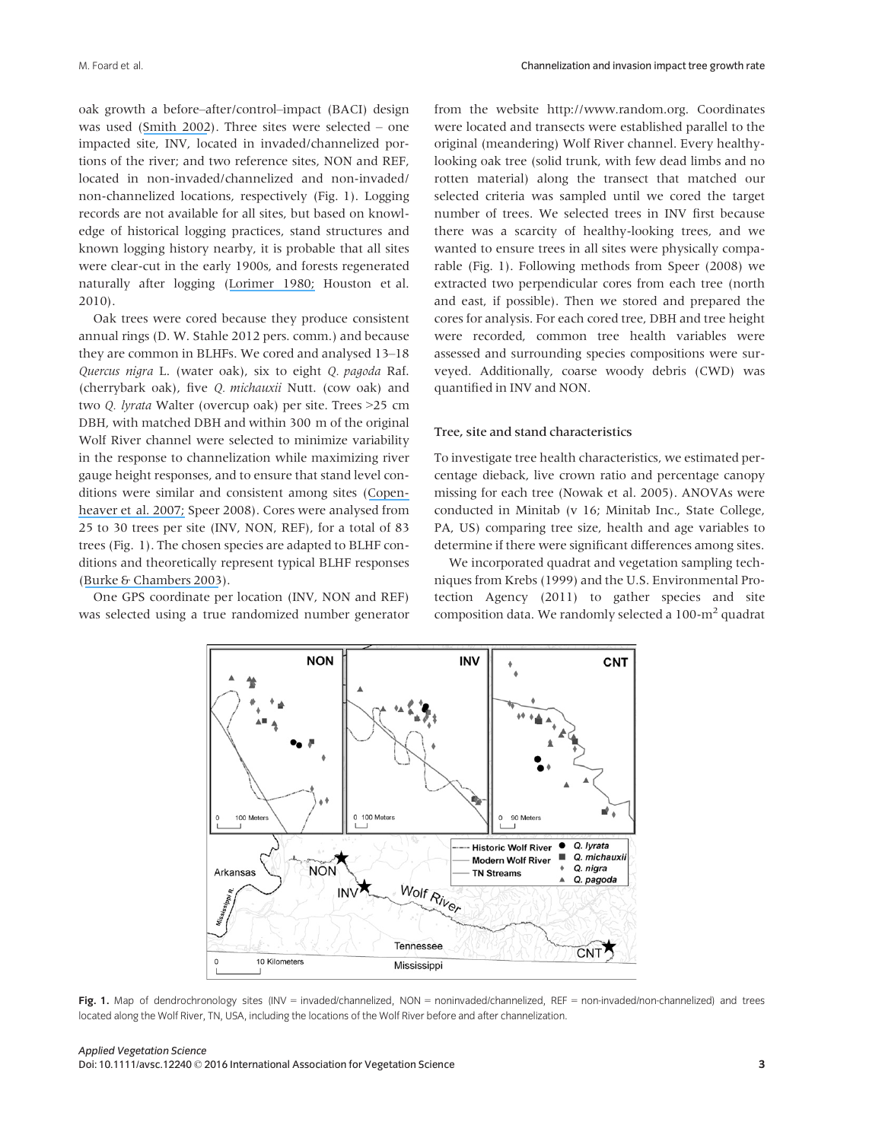oak growth a before–after/control–impact (BACI) design was used ([Smith 2002](https://www.researchgate.net/publication/227991209_Encyclopedia_of_Environmetrics?el=1_x_8&enrichId=rgreq-a9262b46-b36e-4add-80bd-cf764adf802a&enrichSource=Y292ZXJQYWdlOzMwMTcxNDQyNztBUzozNTgwNDg2ODcyNDczNjFAMTQ2MjM3Njg2NzQzOQ==)). Three sites were selected – one impacted site, INV, located in invaded/channelized portions of the river; and two reference sites, NON and REF, located in non-invaded/channelized and non-invaded/ non-channelized locations, respectively (Fig. 1). Logging records are not available for all sites, but based on knowledge of historical logging practices, stand structures and known logging history nearby, it is probable that all sites were clear-cut in the early 1900s, and forests regenerated naturally after logging ([Lorimer 1980;](https://www.researchgate.net/publication/271674595_Age_Structure_and_Disturbance_History_of_a_Southern_Appalachian_Virgin_Forest?el=1_x_8&enrichId=rgreq-a9262b46-b36e-4add-80bd-cf764adf802a&enrichSource=Y292ZXJQYWdlOzMwMTcxNDQyNztBUzozNTgwNDg2ODcyNDczNjFAMTQ2MjM3Njg2NzQzOQ==) Houston et al. 2010).

Oak trees were cored because they produce consistent annual rings (D. W. Stahle 2012 pers. comm.) and because they are common in BLHFs. We cored and analysed 13–18 Quercus nigra L. (water oak), six to eight Q. pagoda Raf. (cherrybark oak), five Q. michauxii Nutt. (cow oak) and two Q. lyrata Walter (overcup oak) per site. Trees >25 cm DBH, with matched DBH and within 300 m of the original Wolf River channel were selected to minimize variability in the response to channelization while maximizing river gauge height responses, and to ensure that stand level conditions were similar and consistent among sites ([Copen](https://www.researchgate.net/publication/232685613_Dendroclimatic_Analysis_of_a_Bottomland_Hardwood_Forest_Floodplain_vs_Terrace_Responses1?el=1_x_8&enrichId=rgreq-a9262b46-b36e-4add-80bd-cf764adf802a&enrichSource=Y292ZXJQYWdlOzMwMTcxNDQyNztBUzozNTgwNDg2ODcyNDczNjFAMTQ2MjM3Njg2NzQzOQ==)[heaver et al. 2007;](https://www.researchgate.net/publication/232685613_Dendroclimatic_Analysis_of_a_Bottomland_Hardwood_Forest_Floodplain_vs_Terrace_Responses1?el=1_x_8&enrichId=rgreq-a9262b46-b36e-4add-80bd-cf764adf802a&enrichSource=Y292ZXJQYWdlOzMwMTcxNDQyNztBUzozNTgwNDg2ODcyNDczNjFAMTQ2MjM3Njg2NzQzOQ==) Speer 2008). Cores were analysed from 25 to 30 trees per site (INV, NON, REF), for a total of 83 trees (Fig. 1). The chosen species are adapted to BLHF conditions and theoretically represent typical BLHF responses ([Burke & Chambers 2003](https://www.researchgate.net/publication/225924522_Root_dynamics_in_bottomland_hardwood_forests_of_the_Southeastern_United_States_Coastal_Plain?el=1_x_8&enrichId=rgreq-a9262b46-b36e-4add-80bd-cf764adf802a&enrichSource=Y292ZXJQYWdlOzMwMTcxNDQyNztBUzozNTgwNDg2ODcyNDczNjFAMTQ2MjM3Njg2NzQzOQ==)).

One GPS coordinate per location (INV, NON and REF) was selected using a true randomized number generator from the website [http://www.random.org.](http://www.random.org) Coordinates were located and transects were established parallel to the original (meandering) Wolf River channel. Every healthylooking oak tree (solid trunk, with few dead limbs and no rotten material) along the transect that matched our selected criteria was sampled until we cored the target number of trees. We selected trees in INV first because there was a scarcity of healthy-looking trees, and we wanted to ensure trees in all sites were physically comparable (Fig. 1). Following methods from Speer (2008) we extracted two perpendicular cores from each tree (north and east, if possible). Then we stored and prepared the cores for analysis. For each cored tree, DBH and tree height were recorded, common tree health variables were assessed and surrounding species compositions were surveyed. Additionally, coarse woody debris (CWD) was quantified in INV and NON.

# Tree, site and stand characteristics

To investigate tree health characteristics, we estimated percentage dieback, live crown ratio and percentage canopy missing for each tree (Nowak et al. 2005). ANOVAs were conducted in Minitab (v 16; Minitab Inc., State College, PA, US) comparing tree size, health and age variables to determine if there were significant differences among sites.

We incorporated quadrat and vegetation sampling techniques from Krebs (1999) and the U.S. Environmental Protection Agency (2011) to gather species and site composition data. We randomly selected a  $100\text{-m}^2$  quadrat



Fig. 1. Map of dendrochronology sites (INV = invaded/channelized, NON = noninvaded/channelized, REF = non-invaded/non-channelized) and trees located along the Wolf River, TN, USA, including the locations of the Wolf River before and after channelization.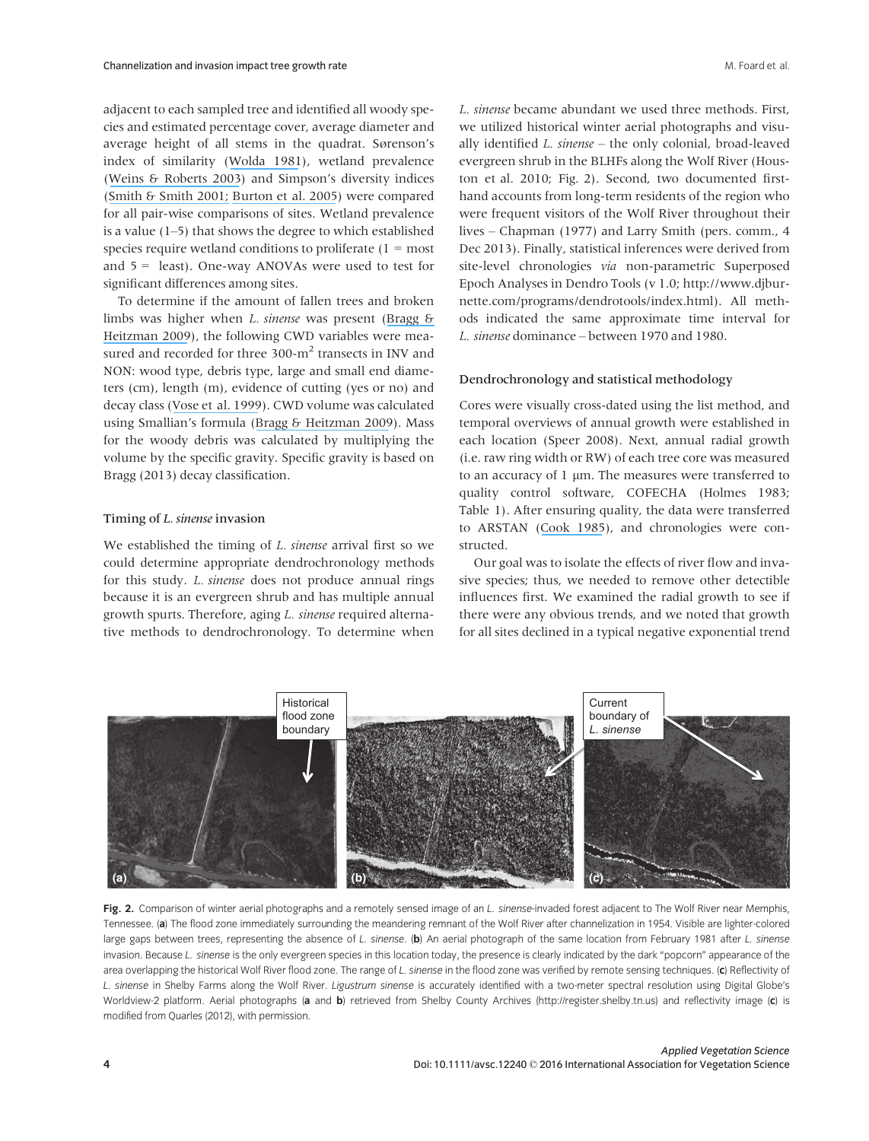adjacent to each sampled tree and identified all woody species and estimated percentage cover, average diameter and average height of all stems in the quadrat. Sørenson's index of similarity ([Wolda 1981](https://www.researchgate.net/publication/225268155_Similarity_Indices_Sample_Size_and_Diversity?el=1_x_8&enrichId=rgreq-a9262b46-b36e-4add-80bd-cf764adf802a&enrichSource=Y292ZXJQYWdlOzMwMTcxNDQyNztBUzozNTgwNDg2ODcyNDczNjFAMTQ2MjM3Njg2NzQzOQ==)), wetland prevalence ([Weins & Roberts 2003](https://www.researchgate.net/publication/235083229_Effects_of_Headcutting_on_the_Bottomland_Hardwood_Wetlands_Adjacent_to_the_Wolf_River_Tennessee?el=1_x_8&enrichId=rgreq-a9262b46-b36e-4add-80bd-cf764adf802a&enrichSource=Y292ZXJQYWdlOzMwMTcxNDQyNztBUzozNTgwNDg2ODcyNDczNjFAMTQ2MjM3Njg2NzQzOQ==)) and Simpson's diversity indices ([Smith & Smith 2001;](https://www.researchgate.net/publication/239956376_Ecology_and_Field_Biology?el=1_x_8&enrichId=rgreq-a9262b46-b36e-4add-80bd-cf764adf802a&enrichSource=Y292ZXJQYWdlOzMwMTcxNDQyNztBUzozNTgwNDg2ODcyNDczNjFAMTQ2MjM3Njg2NzQzOQ==) [Burton et al. 2005](https://www.researchgate.net/publication/228674607_Riparian_Woody_Plant_Diversity_and_Forest_Structure_Along_an_Urban-Rural_Gradient?el=1_x_8&enrichId=rgreq-a9262b46-b36e-4add-80bd-cf764adf802a&enrichSource=Y292ZXJQYWdlOzMwMTcxNDQyNztBUzozNTgwNDg2ODcyNDczNjFAMTQ2MjM3Njg2NzQzOQ==)) were compared for all pair-wise comparisons of sites. Wetland prevalence is a value (1–5) that shows the degree to which established species require wetland conditions to proliferate  $(1 = most)$ and 5 = least). One-way ANOVAs were used to test for significant differences among sites.

To determine if the amount of fallen trees and broken limbs was higher when L. sinense was present ([Bragg &](https://www.researchgate.net/publication/232686029_Composition_Structure_and_Dynamics_of_a_Mature_Unmanaged_Pine-Dominated_Old-Field_Stand_in_Southeastern_Arkansas?el=1_x_8&enrichId=rgreq-a9262b46-b36e-4add-80bd-cf764adf802a&enrichSource=Y292ZXJQYWdlOzMwMTcxNDQyNztBUzozNTgwNDg2ODcyNDczNjFAMTQ2MjM3Njg2NzQzOQ==) [Heitzman 2009](https://www.researchgate.net/publication/232686029_Composition_Structure_and_Dynamics_of_a_Mature_Unmanaged_Pine-Dominated_Old-Field_Stand_in_Southeastern_Arkansas?el=1_x_8&enrichId=rgreq-a9262b46-b36e-4add-80bd-cf764adf802a&enrichSource=Y292ZXJQYWdlOzMwMTcxNDQyNztBUzozNTgwNDg2ODcyNDczNjFAMTQ2MjM3Njg2NzQzOQ==)), the following CWD variables were measured and recorded for three  $300\text{-m}^2$  transects in INV and NON: wood type, debris type, large and small end diameters (cm), length (m), evidence of cutting (yes or no) and decay class ([Vose et al. 1999](https://www.researchgate.net/publication/222486645_Vose_JM_WT_Swank_BD_Clinton_JD_Knoepp_and_LW_Swift_Using_stand_replacement_fires_to_restore_southern_Appalachian_pine-hardwood_ecosystems_effects_on_mass_carbon_and_nutrient_pools_Forest_Ecol_Managem?el=1_x_8&enrichId=rgreq-a9262b46-b36e-4add-80bd-cf764adf802a&enrichSource=Y292ZXJQYWdlOzMwMTcxNDQyNztBUzozNTgwNDg2ODcyNDczNjFAMTQ2MjM3Njg2NzQzOQ==)). CWD volume was calculated using Smallian's formula ([Bragg & Heitzman 2009](https://www.researchgate.net/publication/232686029_Composition_Structure_and_Dynamics_of_a_Mature_Unmanaged_Pine-Dominated_Old-Field_Stand_in_Southeastern_Arkansas?el=1_x_8&enrichId=rgreq-a9262b46-b36e-4add-80bd-cf764adf802a&enrichSource=Y292ZXJQYWdlOzMwMTcxNDQyNztBUzozNTgwNDg2ODcyNDczNjFAMTQ2MjM3Njg2NzQzOQ==)). Mass for the woody debris was calculated by multiplying the volume by the specific gravity. Specific gravity is based on Bragg (2013) decay classification.

#### Timing of L. sinense invasion

We established the timing of *L. sinense* arrival first so we could determine appropriate dendrochronology methods for this study. L. sinense does not produce annual rings because it is an evergreen shrub and has multiple annual growth spurts. Therefore, aging L. sinense required alternative methods to dendrochronology. To determine when

L. sinense became abundant we used three methods. First, we utilized historical winter aerial photographs and visually identified L. sinense – the only colonial, broad-leaved evergreen shrub in the BLHFs along the Wolf River (Houston et al. 2010; Fig. 2). Second, two documented firsthand accounts from long-term residents of the region who were frequent visitors of the Wolf River throughout their lives – Chapman (1977) and Larry Smith (pers. comm., 4 Dec 2013). Finally, statistical inferences were derived from site-level chronologies via non-parametric Superposed Epoch Analyses in Dendro Tools (v 1.0; [http://www.djbur](http://www.djburnette.com/programs/dendrotools/index.html)[nette.com/programs/dendrotools/index.html](http://www.djburnette.com/programs/dendrotools/index.html)). All methods indicated the same approximate time interval for L. sinense dominance – between 1970 and 1980.

#### Dendrochronology and statistical methodology

Cores were visually cross-dated using the list method, and temporal overviews of annual growth were established in each location (Speer 2008). Next, annual radial growth (i.e. raw ring width or RW) of each tree core was measured to an accuracy of  $1 \mu m$ . The measures were transferred to quality control software, COFECHA (Holmes 1983; Table 1). After ensuring quality, the data were transferred to ARSTAN ([Cook 1985](https://www.researchgate.net/publication/245117662_A_Time_Series_Approach_to_Tree-Ring_Standardization?el=1_x_8&enrichId=rgreq-a9262b46-b36e-4add-80bd-cf764adf802a&enrichSource=Y292ZXJQYWdlOzMwMTcxNDQyNztBUzozNTgwNDg2ODcyNDczNjFAMTQ2MjM3Njg2NzQzOQ==)), and chronologies were constructed.

Our goal was to isolate the effects of river flow and invasive species; thus, we needed to remove other detectible influences first. We examined the radial growth to see if there were any obvious trends, and we noted that growth for all sites declined in a typical negative exponential trend



Fig. 2. Comparison of winter aerial photographs and a remotely sensed image of an L. sinense-invaded forest adjacent to The Wolf River near Memphis, Tennessee. (a) The flood zone immediately surrounding the meandering remnant of the Wolf River after channelization in 1954. Visible are lighter-colored large gaps between trees, representing the absence of L. sinense. (b) An aerial photograph of the same location from February 1981 after L. sinense invasion. Because L. sinense is the only evergreen species in this location today, the presence is clearly indicated by the dark "popcorn" appearance of the area overlapping the historical Wolf River flood zone. The range of L. sinense in the flood zone was verified by remote sensing techniques. (c) Reflectivity of L. sinense in Shelby Farms along the Wolf River. Ligustrum sinense is accurately identified with a two-meter spectral resolution using Digital Globe's Worldview-2 platform. Aerial photographs (a and b) retrieved from Shelby County Archives [\(http://register.shelby.tn.us](http://register.shelby.tn.us)) and reflectivity image (c) is modified from Quarles (2012), with permission.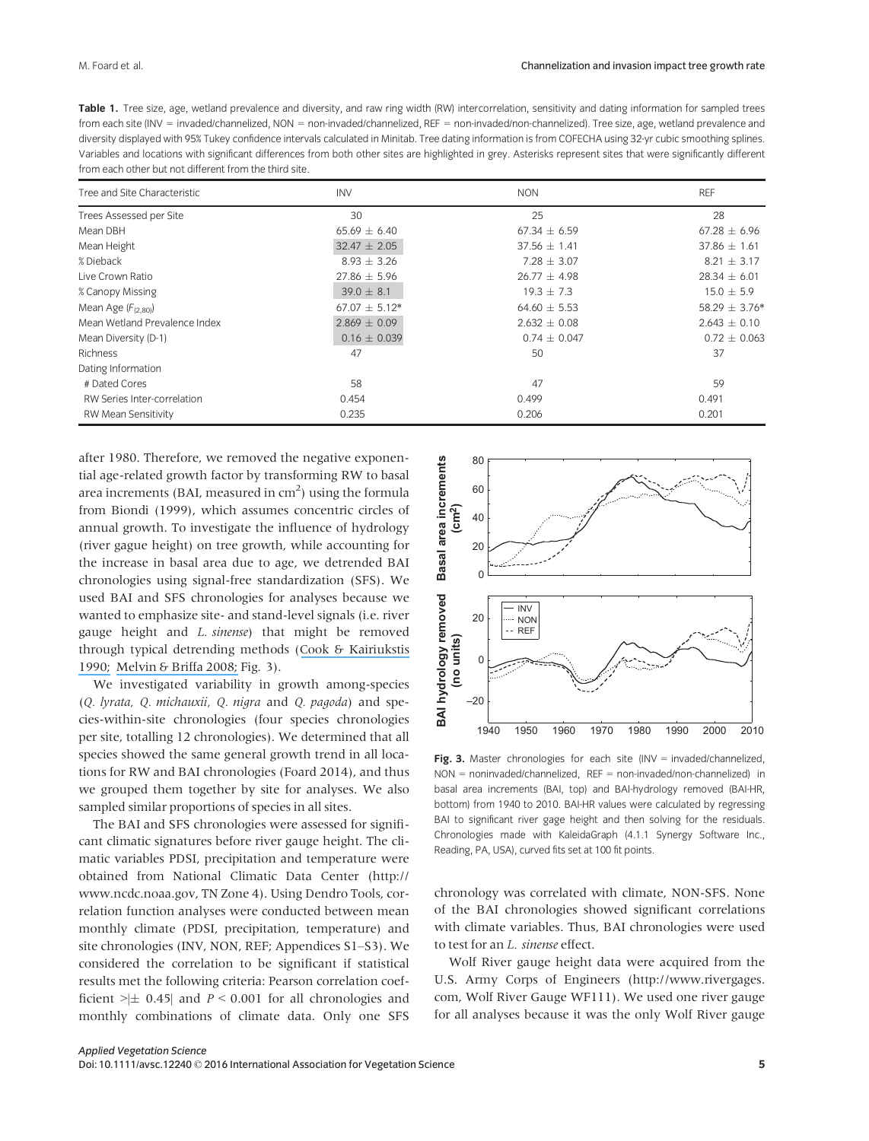| Table 1. Tree size, age, wetland prevalence and diversity, and raw ring width (RW) intercorrelation, sensitivity and dating information for sampled trees       |
|-----------------------------------------------------------------------------------------------------------------------------------------------------------------|
| from each site (INV = invaded/channelized, NON = non-invaded/channelized, REF = non-invaded/non-channelized). Tree size, age, wetland prevalence and            |
| diversity displayed with 95% Tukey confidence intervals calculated in Minitab. Tree dating information is from COFECHA using 32-yr cubic smoothing splines.     |
| Variables and locations with significant differences from both other sites are highlighted in grey. Asterisks represent sites that were significantly different |
| from each other but not different from the third site.                                                                                                          |

| Tree and Site Characteristic  | <b>INV</b>        | <b>NON</b>       | <b>REF</b>        |
|-------------------------------|-------------------|------------------|-------------------|
| Trees Assessed per Site       | 30                | 25               | 28                |
| Mean DBH                      | $65.69 \pm 6.40$  | $67.34 \pm 6.59$ | $67.28 \pm 6.96$  |
| Mean Height                   | $32.47 \pm 2.05$  | $37.56 \pm 1.41$ | $37.86 \pm 1.61$  |
| % Dieback                     | $8.93 \pm 3.26$   | $7.28 \pm 3.07$  | $8.21 \pm 3.17$   |
| Live Crown Ratio              | $27.86 \pm 5.96$  | $26.77 \pm 4.98$ | $28.34 \pm 6.01$  |
| % Canopy Missing              | $39.0 \pm 8.1$    | $19.3 \pm 7.3$   | $15.0 \pm 5.9$    |
| Mean Age $(F_{(2,80)})$       | $67.07 \pm 5.12*$ | $64.60 \pm 5.53$ | $58.29 \pm 3.76*$ |
| Mean Wetland Prevalence Index | $2.869 \pm 0.09$  | $2.632 \pm 0.08$ | $2.643 \pm 0.10$  |
| Mean Diversity (D-1)          | $0.16 \pm 0.039$  | $0.74 \pm 0.047$ | $0.72 \pm 0.063$  |
| Richness                      | 47                | 50               | 37                |
| Dating Information            |                   |                  |                   |
| # Dated Cores                 | 58                | 47               | 59                |
| RW Series Inter-correlation   | 0.454             | 0.499            | 0.491             |
| <b>RW Mean Sensitivity</b>    | 0.235             | 0.206            | 0.201             |

after 1980. Therefore, we removed the negative exponential age-related growth factor by transforming RW to basal area increments (BAI, measured in  $\text{cm}^2$ ) using the formula from Biondi (1999), which assumes concentric circles of annual growth. To investigate the influence of hydrology (river gague height) on tree growth, while accounting for the increase in basal area due to age, we detrended BAI chronologies using signal-free standardization (SFS). We used BAI and SFS chronologies for analyses because we wanted to emphasize site- and stand-level signals (i.e. river gauge height and *L. sinense*) that might be removed through typical detrending methods ([Cook & Kairiukstis](https://www.researchgate.net/publication/288852272_Methods_of_Dendrochronology_Applications_in_the_Environmental_Sciences?el=1_x_8&enrichId=rgreq-a9262b46-b36e-4add-80bd-cf764adf802a&enrichSource=Y292ZXJQYWdlOzMwMTcxNDQyNztBUzozNTgwNDg2ODcyNDczNjFAMTQ2MjM3Njg2NzQzOQ==) [1990;](https://www.researchgate.net/publication/288852272_Methods_of_Dendrochronology_Applications_in_the_Environmental_Sciences?el=1_x_8&enrichId=rgreq-a9262b46-b36e-4add-80bd-cf764adf802a&enrichSource=Y292ZXJQYWdlOzMwMTcxNDQyNztBUzozNTgwNDg2ODcyNDczNjFAMTQ2MjM3Njg2NzQzOQ==) [Melvin & Briffa 2008;](https://www.researchgate.net/publication/235665626_A_Signal-Free_approach_to_dendroclimatic_Standardization?el=1_x_8&enrichId=rgreq-a9262b46-b36e-4add-80bd-cf764adf802a&enrichSource=Y292ZXJQYWdlOzMwMTcxNDQyNztBUzozNTgwNDg2ODcyNDczNjFAMTQ2MjM3Njg2NzQzOQ==) Fig. 3).

We investigated variability in growth among-species (Q. lyrata, Q. michauxii, Q. nigra and Q. pagoda) and species-within-site chronologies (four species chronologies per site, totalling 12 chronologies). We determined that all species showed the same general growth trend in all locations for RW and BAI chronologies (Foard 2014), and thus we grouped them together by site for analyses. We also sampled similar proportions of species in all sites.

The BAI and SFS chronologies were assessed for significant climatic signatures before river gauge height. The climatic variables PDSI, precipitation and temperature were obtained from National Climatic Data Center [\(http://](http://www.ncdc.noaa.gov) [www.ncdc.noaa.gov,](http://www.ncdc.noaa.gov) TN Zone 4). Using Dendro Tools, correlation function analyses were conducted between mean monthly climate (PDSI, precipitation, temperature) and site chronologies (INV, NON, REF; Appendices S1–S3). We considered the correlation to be significant if statistical results met the following criteria: Pearson correlation coefficient  $|\pm 0.45|$  and  $P < 0.001$  for all chronologies and monthly combinations of climate data. Only one SFS



Fig. 3. Master chronologies for each site (INV = invaded/channelized, NON = noninvaded/channelized, REF = non-invaded/non-channelized) in basal area increments (BAI, top) and BAI-hydrology removed (BAI-HR, bottom) from 1940 to 2010. BAI-HR values were calculated by regressing BAI to significant river gage height and then solving for the residuals. Chronologies made with KaleidaGraph (4.1.1 Synergy Software Inc., Reading, PA, USA), curved fits set at 100 fit points.

chronology was correlated with climate, NON-SFS. None of the BAI chronologies showed significant correlations with climate variables. Thus, BAI chronologies were used to test for an L. sinense effect.

Wolf River gauge height data were acquired from the U.S. Army Corps of Engineers ([http://www.rivergages.](http://www.rivergages.com) [com](http://www.rivergages.com), Wolf River Gauge WF111). We used one river gauge for all analyses because it was the only Wolf River gauge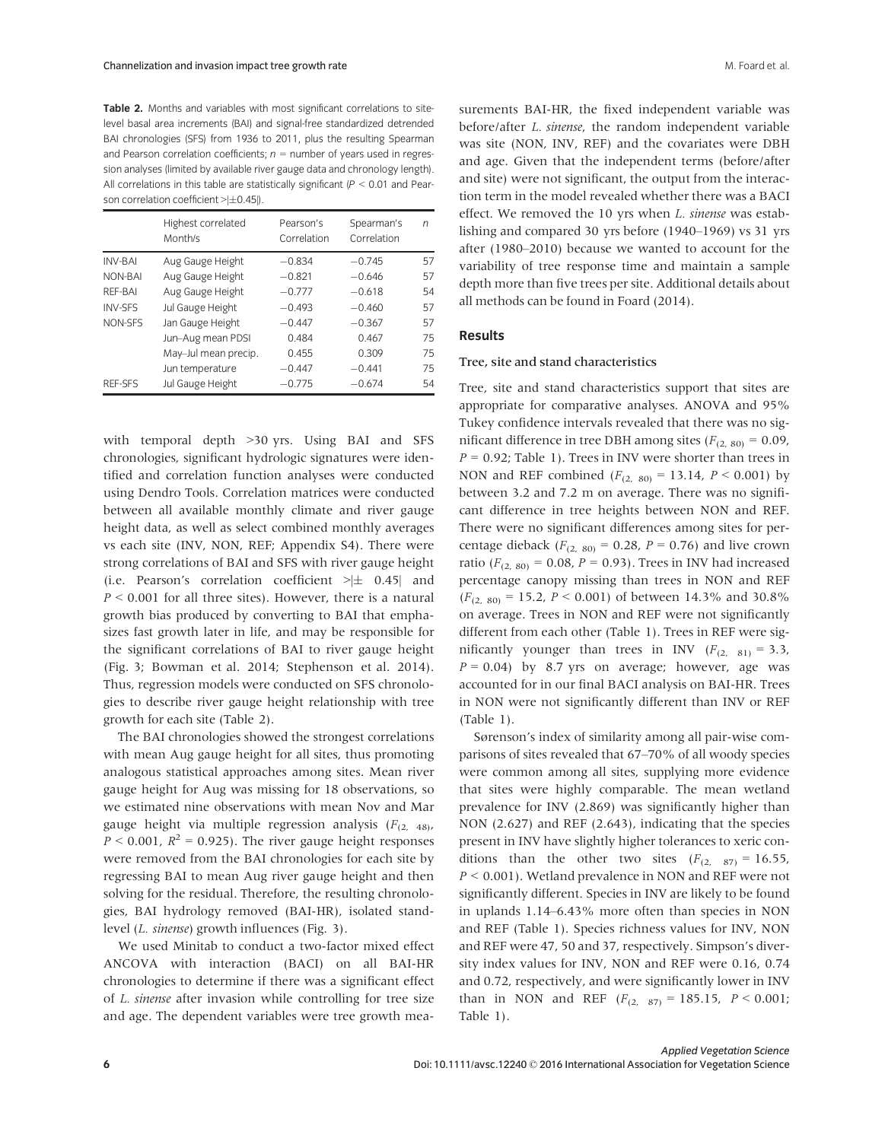Table 2. Months and variables with most significant correlations to sitelevel basal area increments (BAI) and signal-free standardized detrended BAI chronologies (SFS) from 1936 to 2011, plus the resulting Spearman and Pearson correlation coefficients;  $n =$  number of years used in regression analyses (limited by available river gauge data and chronology length). All correlations in this table are statistically significant ( $P < 0.01$  and Pearson correlation coefficient  $>\left|\pm 0.45\right|$ .

|                | Highest correlated<br>Month/s | Pearson's<br>Correlation | Spearman's<br>Correlation | n  |
|----------------|-------------------------------|--------------------------|---------------------------|----|
| <b>INV-BAI</b> | Aug Gauge Height              | $-0.834$                 | $-0.745$                  | 57 |
| NON-BAI        | Aug Gauge Height              | $-0.821$                 | $-0.646$                  | 57 |
| REF-BAI        | Aug Gauge Height              | $-0.777$                 | $-0.618$                  | 54 |
| <b>INV-SES</b> | Jul Gauge Height              | $-0.493$                 | $-0.460$                  | 57 |
| NON-SFS        | Jan Gauge Height              | $-0.447$                 | $-0.367$                  | 57 |
|                | Jun-Aug mean PDSI             | 0.484                    | 0.467                     | 75 |
|                | May-Jul mean precip.          | 0.455                    | 0.309                     | 75 |
|                | Jun temperature               | $-0.447$                 | $-0.441$                  | 75 |
| <b>REF-SFS</b> | Jul Gauge Height              | $-0.775$                 | $-0.674$                  | 54 |

with temporal depth >30 yrs. Using BAI and SFS chronologies, significant hydrologic signatures were identified and correlation function analyses were conducted using Dendro Tools. Correlation matrices were conducted between all available monthly climate and river gauge height data, as well as select combined monthly averages vs each site (INV, NON, REF; Appendix S4). There were strong correlations of BAI and SFS with river gauge height (i.e. Pearson's correlation coefficient  $\geq \pm$  0.45| and  $P \le 0.001$  for all three sites). However, there is a natural growth bias produced by converting to BAI that emphasizes fast growth later in life, and may be responsible for the significant correlations of BAI to river gauge height (Fig. 3; Bowman et al. 2014; Stephenson et al. 2014). Thus, regression models were conducted on SFS chronologies to describe river gauge height relationship with tree growth for each site (Table 2).

The BAI chronologies showed the strongest correlations with mean Aug gauge height for all sites, thus promoting analogous statistical approaches among sites. Mean river gauge height for Aug was missing for 18 observations, so we estimated nine observations with mean Nov and Mar gauge height via multiple regression analysis  $(F_{(2, 48)},$  $P < 0.001$ ,  $R^2 = 0.925$ ). The river gauge height responses were removed from the BAI chronologies for each site by regressing BAI to mean Aug river gauge height and then solving for the residual. Therefore, the resulting chronologies, BAI hydrology removed (BAI-HR), isolated standlevel (L. sinense) growth influences (Fig. 3).

We used Minitab to conduct a two-factor mixed effect ANCOVA with interaction (BACI) on all BAI-HR chronologies to determine if there was a significant effect of L. sinense after invasion while controlling for tree size and age. The dependent variables were tree growth measurements BAI-HR, the fixed independent variable was before/after L. sinense, the random independent variable was site (NON, INV, REF) and the covariates were DBH and age. Given that the independent terms (before/after and site) were not significant, the output from the interaction term in the model revealed whether there was a BACI effect. We removed the 10 yrs when L. sinense was establishing and compared 30 yrs before (1940–1969) vs 31 yrs after (1980–2010) because we wanted to account for the variability of tree response time and maintain a sample depth more than five trees per site. Additional details about all methods can be found in Foard (2014).

# Results

#### Tree, site and stand characteristics

Tree, site and stand characteristics support that sites are appropriate for comparative analyses. ANOVA and 95% Tukey confidence intervals revealed that there was no significant difference in tree DBH among sites ( $F_{(2, 80)} = 0.09$ ,  $P = 0.92$ ; Table 1). Trees in INV were shorter than trees in NON and REF combined  $(F_{(2, 80)} = 13.14, P \le 0.001)$  by between 3.2 and 7.2 m on average. There was no significant difference in tree heights between NON and REF. There were no significant differences among sites for percentage dieback ( $F_{(2, 80)} = 0.28$ ,  $P = 0.76$ ) and live crown ratio ( $F_{(2, 80)} = 0.08$ ,  $P = 0.93$ ). Trees in INV had increased percentage canopy missing than trees in NON and REF  $(F_{(2, 80)} = 15.2, P < 0.001)$  of between 14.3% and 30.8% on average. Trees in NON and REF were not significantly different from each other (Table 1). Trees in REF were significantly younger than trees in INV  $(F_{(2, 81)} = 3.3)$ ,  $P = 0.04$ ) by 8.7 yrs on average; however, age was accounted for in our final BACI analysis on BAI-HR. Trees in NON were not significantly different than INV or REF (Table 1).

Sørenson's index of similarity among all pair-wise comparisons of sites revealed that 67–70% of all woody species were common among all sites, supplying more evidence that sites were highly comparable. The mean wetland prevalence for INV (2.869) was significantly higher than NON (2.627) and REF (2.643), indicating that the species present in INV have slightly higher tolerances to xeric conditions than the other two sites  $(F_{(2, 87)} = 16.55)$ ,  $P < 0.001$ ). Wetland prevalence in NON and REF were not significantly different. Species in INV are likely to be found in uplands 1.14–6.43% more often than species in NON and REF (Table 1). Species richness values for INV, NON and REF were 47, 50 and 37, respectively. Simpson's diversity index values for INV, NON and REF were 0.16, 0.74 and 0.72, respectively, and were significantly lower in INV than in NON and REF  $(F_{(2, 87)} = 185.15, P < 0.001;$ Table 1).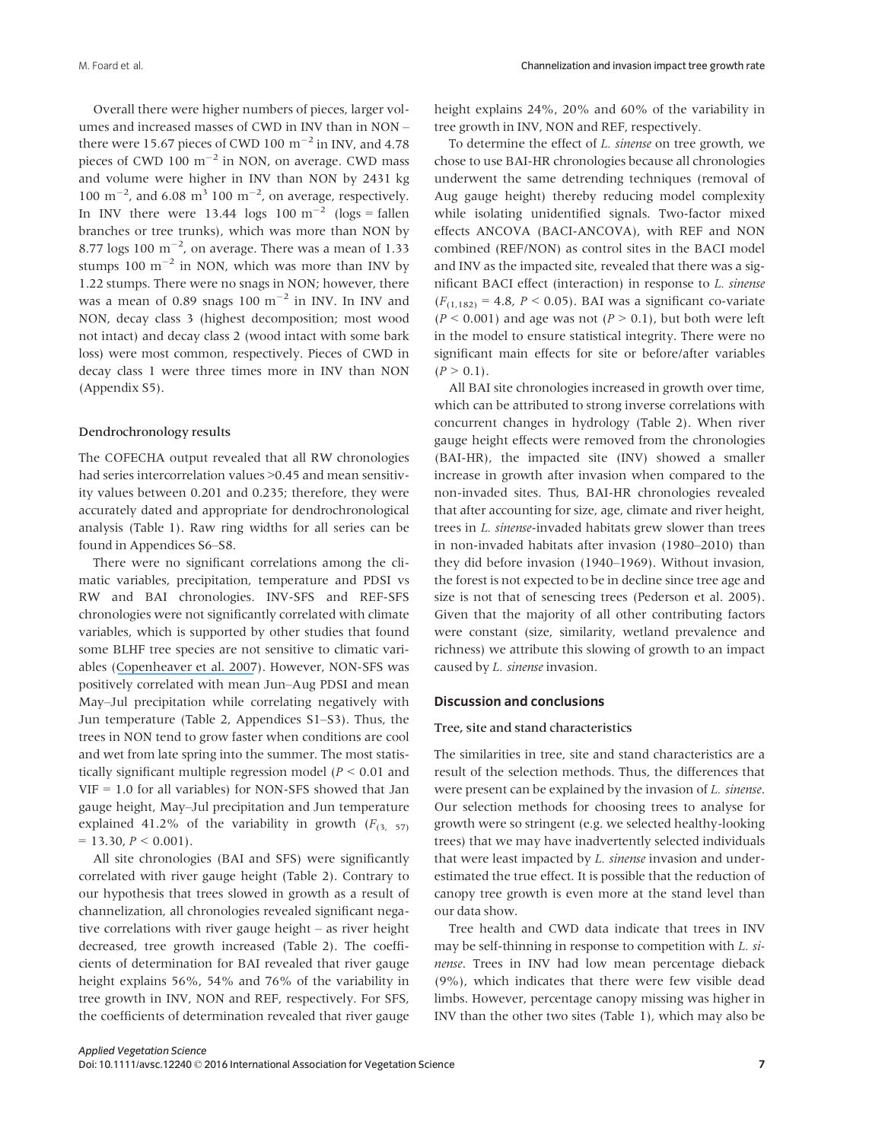Overall there were higher numbers of pieces, larger volumes and increased masses of CWD in INV than in NON – there were 15.67 pieces of CWD 100  $\mathrm{m}^{-2}$  in INV, and 4.78 pieces of CWD  $100 \text{ m}^{-2}$  in NON, on average. CWD mass and volume were higher in INV than NON by 2431 kg 100 m<sup>-2</sup>, and 6.08 m<sup>3</sup> 100 m<sup>-2</sup>, on average, respectively. In INV there were 13.44 logs  $100 \text{ m}^{-2}$  (logs = fallen branches or tree trunks), which was more than NON by 8.77 logs  $100 \text{ m}^{-2}$ , on average. There was a mean of 1.33 stumps 100  $\text{m}^{-2}$  in NON, which was more than INV by 1.22 stumps. There were no snags in NON; however, there was a mean of 0.89 snags  $100 \text{ m}^{-2}$  in INV. In INV and NON, decay class 3 (highest decomposition; most wood not intact) and decay class 2 (wood intact with some bark loss) were most common, respectively. Pieces of CWD in decay class 1 were three times more in INV than NON (Appendix S5).

#### Dendrochronology results

The COFECHA output revealed that all RW chronologies had series intercorrelation values >0.45 and mean sensitivity values between 0.201 and 0.235; therefore, they were accurately dated and appropriate for dendrochronological analysis (Table 1). Raw ring widths for all series can be found in Appendices S6–S8.

There were no significant correlations among the climatic variables, precipitation, temperature and PDSI vs RW and BAI chronologies. INV-SFS and REF-SFS chronologies were not significantly correlated with climate variables, which is supported by other studies that found some BLHF tree species are not sensitive to climatic variables ([Copenheaver et al. 2007](https://www.researchgate.net/publication/232685613_Dendroclimatic_Analysis_of_a_Bottomland_Hardwood_Forest_Floodplain_vs_Terrace_Responses1?el=1_x_8&enrichId=rgreq-a9262b46-b36e-4add-80bd-cf764adf802a&enrichSource=Y292ZXJQYWdlOzMwMTcxNDQyNztBUzozNTgwNDg2ODcyNDczNjFAMTQ2MjM3Njg2NzQzOQ==)). However, NON-SFS was positively correlated with mean Jun–Aug PDSI and mean May–Jul precipitation while correlating negatively with Jun temperature (Table 2, Appendices S1–S3). Thus, the trees in NON tend to grow faster when conditions are cool and wet from late spring into the summer. The most statistically significant multiple regression model ( $P \le 0.01$  and VIF = 1.0 for all variables) for NON-SFS showed that Jan gauge height, May–Jul precipitation and Jun temperature explained 41.2% of the variability in growth  $(F_{(3, 57)})$  $= 13.30, P \le 0.001$ ).

All site chronologies (BAI and SFS) were significantly correlated with river gauge height (Table 2). Contrary to our hypothesis that trees slowed in growth as a result of channelization, all chronologies revealed significant negative correlations with river gauge height – as river height decreased, tree growth increased (Table 2). The coefficients of determination for BAI revealed that river gauge height explains 56%, 54% and 76% of the variability in tree growth in INV, NON and REF, respectively. For SFS, the coefficients of determination revealed that river gauge height explains 24%, 20% and 60% of the variability in tree growth in INV, NON and REF, respectively.

To determine the effect of L. sinense on tree growth, we chose to use BAI-HR chronologies because all chronologies underwent the same detrending techniques (removal of Aug gauge height) thereby reducing model complexity while isolating unidentified signals. Two-factor mixed effects ANCOVA (BACI-ANCOVA), with REF and NON combined (REF/NON) as control sites in the BACI model and INV as the impacted site, revealed that there was a significant BACI effect (interaction) in response to L. sinense  $(F_{(1,182)} = 4.8, P < 0.05)$ . BAI was a significant co-variate  $(P < 0.001)$  and age was not  $(P > 0.1)$ , but both were left in the model to ensure statistical integrity. There were no significant main effects for site or before/after variables  $(P > 0.1)$ .

All BAI site chronologies increased in growth over time, which can be attributed to strong inverse correlations with concurrent changes in hydrology (Table 2). When river gauge height effects were removed from the chronologies (BAI-HR), the impacted site (INV) showed a smaller increase in growth after invasion when compared to the non-invaded sites. Thus, BAI-HR chronologies revealed that after accounting for size, age, climate and river height, trees in L. sinense-invaded habitats grew slower than trees in non-invaded habitats after invasion (1980–2010) than they did before invasion (1940–1969). Without invasion, the forest is not expected to be in decline since tree age and size is not that of senescing trees (Pederson et al. 2005). Given that the majority of all other contributing factors were constant (size, similarity, wetland prevalence and richness) we attribute this slowing of growth to an impact caused by L. sinense invasion.

#### Discussion and conclusions

#### Tree, site and stand characteristics

The similarities in tree, site and stand characteristics are a result of the selection methods. Thus, the differences that were present can be explained by the invasion of L. sinense. Our selection methods for choosing trees to analyse for growth were so stringent (e.g. we selected healthy-looking trees) that we may have inadvertently selected individuals that were least impacted by L. sinense invasion and underestimated the true effect. It is possible that the reduction of canopy tree growth is even more at the stand level than our data show.

Tree health and CWD data indicate that trees in INV may be self-thinning in response to competition with L. sinense. Trees in INV had low mean percentage dieback (9%), which indicates that there were few visible dead limbs. However, percentage canopy missing was higher in INV than the other two sites (Table 1), which may also be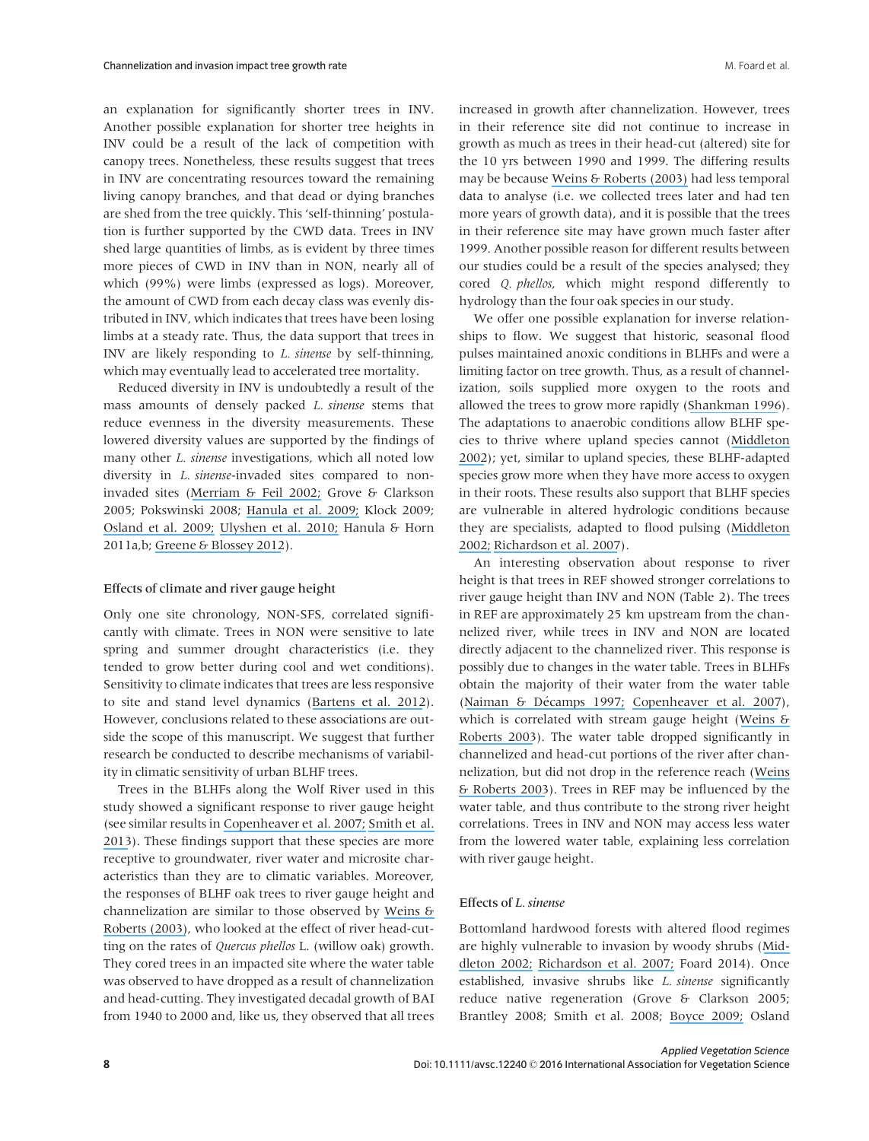an explanation for significantly shorter trees in INV. Another possible explanation for shorter tree heights in INV could be a result of the lack of competition with canopy trees. Nonetheless, these results suggest that trees in INV are concentrating resources toward the remaining living canopy branches, and that dead or dying branches are shed from the tree quickly. This 'self-thinning' postulation is further supported by the CWD data. Trees in INV shed large quantities of limbs, as is evident by three times more pieces of CWD in INV than in NON, nearly all of which (99%) were limbs (expressed as logs). Moreover, the amount of CWD from each decay class was evenly distributed in INV, which indicates that trees have been losing limbs at a steady rate. Thus, the data support that trees in INV are likely responding to L. sinense by self-thinning, which may eventually lead to accelerated tree mortality.

Reduced diversity in INV is undoubtedly a result of the mass amounts of densely packed *L. sinense* stems that reduce evenness in the diversity measurements. These lowered diversity values are supported by the findings of many other *L. sinense* investigations, which all noted low diversity in L. sinense-invaded sites compared to noninvaded sites ([Merriam & Feil 2002;](https://www.researchgate.net/publication/227059294_The_Potential_Impact_of_An_Introduced_Shrub_on_Native_Plant_Diversity_and_Forest_Regeneration?el=1_x_8&enrichId=rgreq-a9262b46-b36e-4add-80bd-cf764adf802a&enrichSource=Y292ZXJQYWdlOzMwMTcxNDQyNztBUzozNTgwNDg2ODcyNDczNjFAMTQ2MjM3Njg2NzQzOQ==) Grove & Clarkson 2005; Pokswinski 2008; [Hanula et al. 2009;](https://www.researchgate.net/publication/232691753_Chinese_Privet_Ligustrum_sinense_Removal_and_its_Effect_on_Native_Plant_Communities_of_Riparian_Forests?el=1_x_8&enrichId=rgreq-a9262b46-b36e-4add-80bd-cf764adf802a&enrichSource=Y292ZXJQYWdlOzMwMTcxNDQyNztBUzozNTgwNDg2ODcyNDczNjFAMTQ2MjM3Njg2NzQzOQ==) Klock 2009; [Osland et al. 2009;](https://www.researchgate.net/publication/232685582_Native_Bamboo_Arundinaria_gigantea_Walter_Muhl_Poaceae_Establishment_and_Growth_after_the_Removal_of_an_Invasive_Non-Native_Shrub_Ligustrum_sinense_Lour_Oleaceae_Implications_for_Restoration?el=1_x_8&enrichId=rgreq-a9262b46-b36e-4add-80bd-cf764adf802a&enrichSource=Y292ZXJQYWdlOzMwMTcxNDQyNztBUzozNTgwNDg2ODcyNDczNjFAMTQ2MjM3Njg2NzQzOQ==) [Ulyshen et al. 2010;](https://www.researchgate.net/publication/45677268_Response_of_beetles_Coleoptera_at_three_heights_to_the_experimental_removal_of_an_invasive_shrub_Chinese_privet_Ligustrum_sinense_from_floodplain_forests?el=1_x_8&enrichId=rgreq-a9262b46-b36e-4add-80bd-cf764adf802a&enrichSource=Y292ZXJQYWdlOzMwMTcxNDQyNztBUzozNTgwNDg2ODcyNDczNjFAMTQ2MjM3Njg2NzQzOQ==) Hanula & Horn 2011a,b; [Greene & Blossey 2012](https://www.researchgate.net/publication/225682720_Lost_in_the_weeds_Ligustrum_sinense_reduces_native_plant_growth_survival?el=1_x_8&enrichId=rgreq-a9262b46-b36e-4add-80bd-cf764adf802a&enrichSource=Y292ZXJQYWdlOzMwMTcxNDQyNztBUzozNTgwNDg2ODcyNDczNjFAMTQ2MjM3Njg2NzQzOQ==)).

#### Effects of climate and river gauge height

Only one site chronology, NON-SFS, correlated significantly with climate. Trees in NON were sensitive to late spring and summer drought characteristics (i.e. they tended to grow better during cool and wet conditions). Sensitivity to climate indicates that trees are less responsive to site and stand level dynamics ([Bartens et al. 2012](https://www.researchgate.net/publication/251660214_Evaluating_the_potential_for_dendrochronological_analysis_of_live_oak_Quercus_virginiana_Mill_from_the_urban_and_rural_environment-An_explorative_study?el=1_x_8&enrichId=rgreq-a9262b46-b36e-4add-80bd-cf764adf802a&enrichSource=Y292ZXJQYWdlOzMwMTcxNDQyNztBUzozNTgwNDg2ODcyNDczNjFAMTQ2MjM3Njg2NzQzOQ==)). However, conclusions related to these associations are outside the scope of this manuscript. We suggest that further research be conducted to describe mechanisms of variability in climatic sensitivity of urban BLHF trees.

Trees in the BLHFs along the Wolf River used in this study showed a significant response to river gauge height (see similar results in [Copenheaver et al. 2007;](https://www.researchgate.net/publication/232685613_Dendroclimatic_Analysis_of_a_Bottomland_Hardwood_Forest_Floodplain_vs_Terrace_Responses1?el=1_x_8&enrichId=rgreq-a9262b46-b36e-4add-80bd-cf764adf802a&enrichSource=Y292ZXJQYWdlOzMwMTcxNDQyNztBUzozNTgwNDg2ODcyNDczNjFAMTQ2MjM3Njg2NzQzOQ==) [Smith et al.](https://www.researchgate.net/publication/258485114_Hydrological_shifts_and_tree_growth_responses_to_river_modification_along_the_Apalachicola_River_Florida?el=1_x_8&enrichId=rgreq-a9262b46-b36e-4add-80bd-cf764adf802a&enrichSource=Y292ZXJQYWdlOzMwMTcxNDQyNztBUzozNTgwNDg2ODcyNDczNjFAMTQ2MjM3Njg2NzQzOQ==) [2013](https://www.researchgate.net/publication/258485114_Hydrological_shifts_and_tree_growth_responses_to_river_modification_along_the_Apalachicola_River_Florida?el=1_x_8&enrichId=rgreq-a9262b46-b36e-4add-80bd-cf764adf802a&enrichSource=Y292ZXJQYWdlOzMwMTcxNDQyNztBUzozNTgwNDg2ODcyNDczNjFAMTQ2MjM3Njg2NzQzOQ==)). These findings support that these species are more receptive to groundwater, river water and microsite characteristics than they are to climatic variables. Moreover, the responses of BLHF oak trees to river gauge height and channelization are similar to those observed by [Weins &](https://www.researchgate.net/publication/235083229_Effects_of_Headcutting_on_the_Bottomland_Hardwood_Wetlands_Adjacent_to_the_Wolf_River_Tennessee?el=1_x_8&enrichId=rgreq-a9262b46-b36e-4add-80bd-cf764adf802a&enrichSource=Y292ZXJQYWdlOzMwMTcxNDQyNztBUzozNTgwNDg2ODcyNDczNjFAMTQ2MjM3Njg2NzQzOQ==) [Roberts \(2003\)](https://www.researchgate.net/publication/235083229_Effects_of_Headcutting_on_the_Bottomland_Hardwood_Wetlands_Adjacent_to_the_Wolf_River_Tennessee?el=1_x_8&enrichId=rgreq-a9262b46-b36e-4add-80bd-cf764adf802a&enrichSource=Y292ZXJQYWdlOzMwMTcxNDQyNztBUzozNTgwNDg2ODcyNDczNjFAMTQ2MjM3Njg2NzQzOQ==), who looked at the effect of river head-cutting on the rates of Quercus phellos L. (willow oak) growth. They cored trees in an impacted site where the water table was observed to have dropped as a result of channelization and head-cutting. They investigated decadal growth of BAI from 1940 to 2000 and, like us, they observed that all trees increased in growth after channelization. However, trees in their reference site did not continue to increase in growth as much as trees in their head-cut (altered) site for the 10 yrs between 1990 and 1999. The differing results may be because [Weins & Roberts \(2003\)](https://www.researchgate.net/publication/235083229_Effects_of_Headcutting_on_the_Bottomland_Hardwood_Wetlands_Adjacent_to_the_Wolf_River_Tennessee?el=1_x_8&enrichId=rgreq-a9262b46-b36e-4add-80bd-cf764adf802a&enrichSource=Y292ZXJQYWdlOzMwMTcxNDQyNztBUzozNTgwNDg2ODcyNDczNjFAMTQ2MjM3Njg2NzQzOQ==) had less temporal data to analyse (i.e. we collected trees later and had ten more years of growth data), and it is possible that the trees in their reference site may have grown much faster after 1999. Another possible reason for different results between our studies could be a result of the species analysed; they cored Q. phellos, which might respond differently to hydrology than the four oak species in our study.

We offer one possible explanation for inverse relationships to flow. We suggest that historic, seasonal flood pulses maintained anoxic conditions in BLHFs and were a limiting factor on tree growth. Thus, as a result of channelization, soils supplied more oxygen to the roots and allowed the trees to grow more rapidly ([Shankman 1996](https://www.researchgate.net/publication/272557605_Stream_Channelization_and_Changing_Vegetation_Patterns_in_the_U_S_Coastal_Plain?el=1_x_8&enrichId=rgreq-a9262b46-b36e-4add-80bd-cf764adf802a&enrichSource=Y292ZXJQYWdlOzMwMTcxNDQyNztBUzozNTgwNDg2ODcyNDczNjFAMTQ2MjM3Njg2NzQzOQ==)). The adaptations to anaerobic conditions allow BLHF species to thrive where upland species cannot ([Middleton](https://www.researchgate.net/publication/229139221_Flood_Pulsing_in_Wetlands_Restoring_the_Natural_Hydrological_Balance?el=1_x_8&enrichId=rgreq-a9262b46-b36e-4add-80bd-cf764adf802a&enrichSource=Y292ZXJQYWdlOzMwMTcxNDQyNztBUzozNTgwNDg2ODcyNDczNjFAMTQ2MjM3Njg2NzQzOQ==) [2002](https://www.researchgate.net/publication/229139221_Flood_Pulsing_in_Wetlands_Restoring_the_Natural_Hydrological_Balance?el=1_x_8&enrichId=rgreq-a9262b46-b36e-4add-80bd-cf764adf802a&enrichSource=Y292ZXJQYWdlOzMwMTcxNDQyNztBUzozNTgwNDg2ODcyNDczNjFAMTQ2MjM3Njg2NzQzOQ==)); yet, similar to upland species, these BLHF-adapted species grow more when they have more access to oxygen in their roots. These results also support that BLHF species are vulnerable in altered hydrologic conditions because they are specialists, adapted to flood pulsing ([Middleton](https://www.researchgate.net/publication/229139221_Flood_Pulsing_in_Wetlands_Restoring_the_Natural_Hydrological_Balance?el=1_x_8&enrichId=rgreq-a9262b46-b36e-4add-80bd-cf764adf802a&enrichSource=Y292ZXJQYWdlOzMwMTcxNDQyNztBUzozNTgwNDg2ODcyNDczNjFAMTQ2MjM3Njg2NzQzOQ==) [2002;](https://www.researchgate.net/publication/229139221_Flood_Pulsing_in_Wetlands_Restoring_the_Natural_Hydrological_Balance?el=1_x_8&enrichId=rgreq-a9262b46-b36e-4add-80bd-cf764adf802a&enrichSource=Y292ZXJQYWdlOzMwMTcxNDQyNztBUzozNTgwNDg2ODcyNDczNjFAMTQ2MjM3Njg2NzQzOQ==) [Richardson et al. 2007](https://www.researchgate.net/publication/227521952_Riparian_vegetation_Degradation_alien_plant_invasions_and_restoration_prospects?el=1_x_8&enrichId=rgreq-a9262b46-b36e-4add-80bd-cf764adf802a&enrichSource=Y292ZXJQYWdlOzMwMTcxNDQyNztBUzozNTgwNDg2ODcyNDczNjFAMTQ2MjM3Njg2NzQzOQ==)).

An interesting observation about response to river height is that trees in REF showed stronger correlations to river gauge height than INV and NON (Table 2). The trees in REF are approximately 25 km upstream from the channelized river, while trees in INV and NON are located directly adjacent to the channelized river. This response is possibly due to changes in the water table. Trees in BLHFs obtain the majority of their water from the water table (Naiman & Décamps 1997; [Copenheaver et al. 2007](https://www.researchgate.net/publication/232685613_Dendroclimatic_Analysis_of_a_Bottomland_Hardwood_Forest_Floodplain_vs_Terrace_Responses1?el=1_x_8&enrichId=rgreq-a9262b46-b36e-4add-80bd-cf764adf802a&enrichSource=Y292ZXJQYWdlOzMwMTcxNDQyNztBUzozNTgwNDg2ODcyNDczNjFAMTQ2MjM3Njg2NzQzOQ==)), which is correlated with stream gauge height ([Weins &](https://www.researchgate.net/publication/235083229_Effects_of_Headcutting_on_the_Bottomland_Hardwood_Wetlands_Adjacent_to_the_Wolf_River_Tennessee?el=1_x_8&enrichId=rgreq-a9262b46-b36e-4add-80bd-cf764adf802a&enrichSource=Y292ZXJQYWdlOzMwMTcxNDQyNztBUzozNTgwNDg2ODcyNDczNjFAMTQ2MjM3Njg2NzQzOQ==) [Roberts 2003](https://www.researchgate.net/publication/235083229_Effects_of_Headcutting_on_the_Bottomland_Hardwood_Wetlands_Adjacent_to_the_Wolf_River_Tennessee?el=1_x_8&enrichId=rgreq-a9262b46-b36e-4add-80bd-cf764adf802a&enrichSource=Y292ZXJQYWdlOzMwMTcxNDQyNztBUzozNTgwNDg2ODcyNDczNjFAMTQ2MjM3Njg2NzQzOQ==)). The water table dropped significantly in channelized and head-cut portions of the river after channelization, but did not drop in the reference reach ([Weins](https://www.researchgate.net/publication/235083229_Effects_of_Headcutting_on_the_Bottomland_Hardwood_Wetlands_Adjacent_to_the_Wolf_River_Tennessee?el=1_x_8&enrichId=rgreq-a9262b46-b36e-4add-80bd-cf764adf802a&enrichSource=Y292ZXJQYWdlOzMwMTcxNDQyNztBUzozNTgwNDg2ODcyNDczNjFAMTQ2MjM3Njg2NzQzOQ==) [& Roberts 2003](https://www.researchgate.net/publication/235083229_Effects_of_Headcutting_on_the_Bottomland_Hardwood_Wetlands_Adjacent_to_the_Wolf_River_Tennessee?el=1_x_8&enrichId=rgreq-a9262b46-b36e-4add-80bd-cf764adf802a&enrichSource=Y292ZXJQYWdlOzMwMTcxNDQyNztBUzozNTgwNDg2ODcyNDczNjFAMTQ2MjM3Njg2NzQzOQ==)). Trees in REF may be influenced by the water table, and thus contribute to the strong river height correlations. Trees in INV and NON may access less water from the lowered water table, explaining less correlation with river gauge height.

#### Effects of L. sinense

Bottomland hardwood forests with altered flood regimes are highly vulnerable to invasion by woody shrubs ([Mid](https://www.researchgate.net/publication/229139221_Flood_Pulsing_in_Wetlands_Restoring_the_Natural_Hydrological_Balance?el=1_x_8&enrichId=rgreq-a9262b46-b36e-4add-80bd-cf764adf802a&enrichSource=Y292ZXJQYWdlOzMwMTcxNDQyNztBUzozNTgwNDg2ODcyNDczNjFAMTQ2MjM3Njg2NzQzOQ==)[dleton 2002;](https://www.researchgate.net/publication/229139221_Flood_Pulsing_in_Wetlands_Restoring_the_Natural_Hydrological_Balance?el=1_x_8&enrichId=rgreq-a9262b46-b36e-4add-80bd-cf764adf802a&enrichSource=Y292ZXJQYWdlOzMwMTcxNDQyNztBUzozNTgwNDg2ODcyNDczNjFAMTQ2MjM3Njg2NzQzOQ==) [Richardson et al. 2007;](https://www.researchgate.net/publication/227521952_Riparian_vegetation_Degradation_alien_plant_invasions_and_restoration_prospects?el=1_x_8&enrichId=rgreq-a9262b46-b36e-4add-80bd-cf764adf802a&enrichSource=Y292ZXJQYWdlOzMwMTcxNDQyNztBUzozNTgwNDg2ODcyNDczNjFAMTQ2MjM3Njg2NzQzOQ==) Foard 2014). Once established, invasive shrubs like L. sinense significantly reduce native regeneration (Grove & Clarkson 2005; Brantley 2008; Smith et al. 2008; [Boyce 2009;](https://www.researchgate.net/publication/232881725_Invasive_Shrubs_and_Forest_Tree_Regeneration?el=1_x_8&enrichId=rgreq-a9262b46-b36e-4add-80bd-cf764adf802a&enrichSource=Y292ZXJQYWdlOzMwMTcxNDQyNztBUzozNTgwNDg2ODcyNDczNjFAMTQ2MjM3Njg2NzQzOQ==) Osland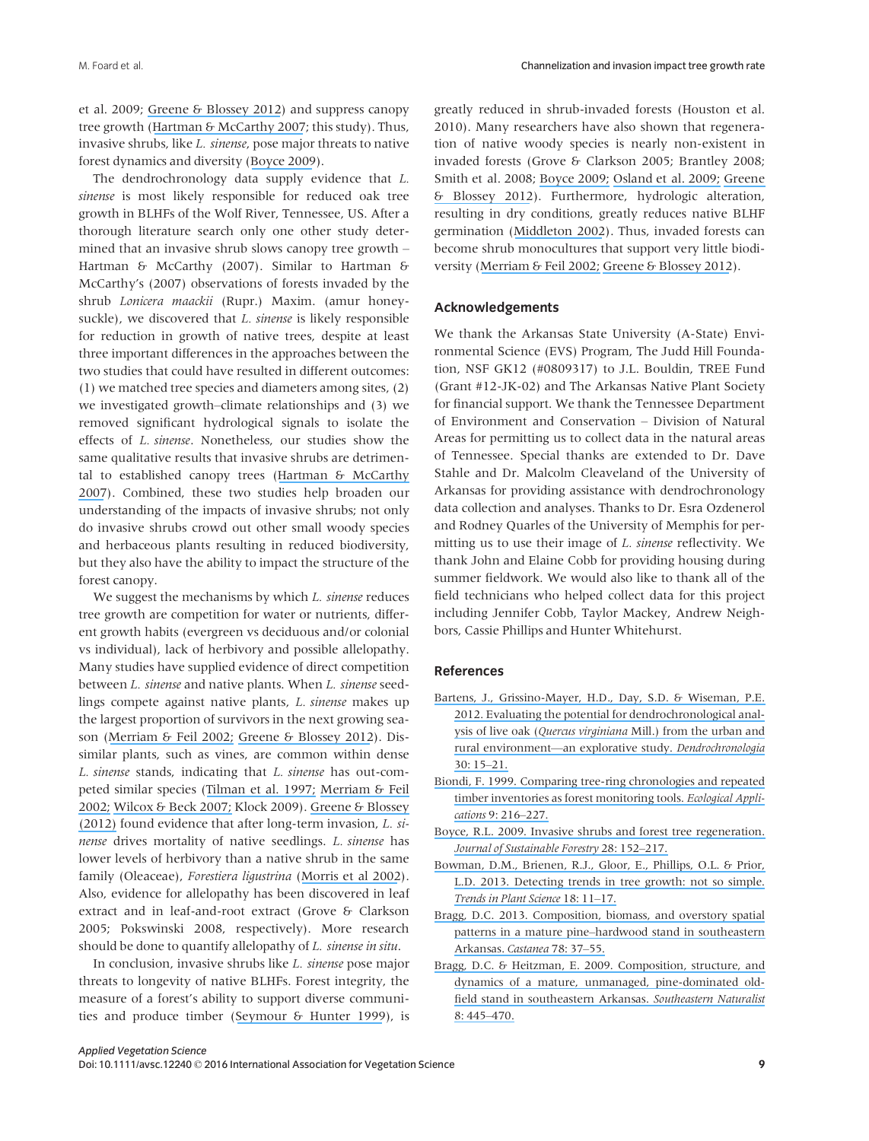et al. 2009; [Greene & Blossey 2012](https://www.researchgate.net/publication/225682720_Lost_in_the_weeds_Ligustrum_sinense_reduces_native_plant_growth_survival?el=1_x_8&enrichId=rgreq-a9262b46-b36e-4add-80bd-cf764adf802a&enrichSource=Y292ZXJQYWdlOzMwMTcxNDQyNztBUzozNTgwNDg2ODcyNDczNjFAMTQ2MjM3Njg2NzQzOQ==)) and suppress canopy tree growth ([Hartman & McCarthy 2007](https://www.researchgate.net/publication/227549355_A_dendro-ecological_study_of_forest_overstorey_productivity_following_the_invasion_of_the_non-indigenous_shrub_Lonicera_maackii_Appl_Veg_Sci?el=1_x_8&enrichId=rgreq-a9262b46-b36e-4add-80bd-cf764adf802a&enrichSource=Y292ZXJQYWdlOzMwMTcxNDQyNztBUzozNTgwNDg2ODcyNDczNjFAMTQ2MjM3Njg2NzQzOQ==); this study). Thus, invasive shrubs, like L. sinense, pose major threats to native forest dynamics and diversity ([Boyce 2009](https://www.researchgate.net/publication/232881725_Invasive_Shrubs_and_Forest_Tree_Regeneration?el=1_x_8&enrichId=rgreq-a9262b46-b36e-4add-80bd-cf764adf802a&enrichSource=Y292ZXJQYWdlOzMwMTcxNDQyNztBUzozNTgwNDg2ODcyNDczNjFAMTQ2MjM3Njg2NzQzOQ==)).

The dendrochronology data supply evidence that L. sinense is most likely responsible for reduced oak tree growth in BLHFs of the Wolf River, Tennessee, US. After a thorough literature search only one other study determined that an invasive shrub slows canopy tree growth – Hartman & McCarthy (2007). Similar to Hartman & McCarthy's (2007) observations of forests invaded by the shrub Lonicera maackii (Rupr.) Maxim. (amur honeysuckle), we discovered that *L. sinense* is likely responsible for reduction in growth of native trees, despite at least three important differences in the approaches between the two studies that could have resulted in different outcomes: (1) we matched tree species and diameters among sites, (2) we investigated growth–climate relationships and (3) we removed significant hydrological signals to isolate the effects of L. sinense. Nonetheless, our studies show the same qualitative results that invasive shrubs are detrimental to established canopy trees ([Hartman & McCarthy](https://www.researchgate.net/publication/227549355_A_dendro-ecological_study_of_forest_overstorey_productivity_following_the_invasion_of_the_non-indigenous_shrub_Lonicera_maackii_Appl_Veg_Sci?el=1_x_8&enrichId=rgreq-a9262b46-b36e-4add-80bd-cf764adf802a&enrichSource=Y292ZXJQYWdlOzMwMTcxNDQyNztBUzozNTgwNDg2ODcyNDczNjFAMTQ2MjM3Njg2NzQzOQ==) [2007](https://www.researchgate.net/publication/227549355_A_dendro-ecological_study_of_forest_overstorey_productivity_following_the_invasion_of_the_non-indigenous_shrub_Lonicera_maackii_Appl_Veg_Sci?el=1_x_8&enrichId=rgreq-a9262b46-b36e-4add-80bd-cf764adf802a&enrichSource=Y292ZXJQYWdlOzMwMTcxNDQyNztBUzozNTgwNDg2ODcyNDczNjFAMTQ2MjM3Njg2NzQzOQ==)). Combined, these two studies help broaden our understanding of the impacts of invasive shrubs; not only do invasive shrubs crowd out other small woody species and herbaceous plants resulting in reduced biodiversity, but they also have the ability to impact the structure of the forest canopy.

We suggest the mechanisms by which *L. sinense* reduces tree growth are competition for water or nutrients, different growth habits (evergreen vs deciduous and/or colonial vs individual), lack of herbivory and possible allelopathy. Many studies have supplied evidence of direct competition between L. sinense and native plants. When L. sinense seedlings compete against native plants, L. sinense makes up the largest proportion of survivors in the next growing season ([Merriam & Feil 2002;](https://www.researchgate.net/publication/227059294_The_Potential_Impact_of_An_Introduced_Shrub_on_Native_Plant_Diversity_and_Forest_Regeneration?el=1_x_8&enrichId=rgreq-a9262b46-b36e-4add-80bd-cf764adf802a&enrichSource=Y292ZXJQYWdlOzMwMTcxNDQyNztBUzozNTgwNDg2ODcyNDczNjFAMTQ2MjM3Njg2NzQzOQ==) [Greene & Blossey 2012](https://www.researchgate.net/publication/225682720_Lost_in_the_weeds_Ligustrum_sinense_reduces_native_plant_growth_survival?el=1_x_8&enrichId=rgreq-a9262b46-b36e-4add-80bd-cf764adf802a&enrichSource=Y292ZXJQYWdlOzMwMTcxNDQyNztBUzozNTgwNDg2ODcyNDczNjFAMTQ2MjM3Njg2NzQzOQ==)). Dissimilar plants, such as vines, are common within dense L. sinense stands, indicating that L. sinense has out-competed similar species ([Tilman et al. 1997;](https://www.researchgate.net/publication/235234304_The_Influence_of_Functional_Diversity_and_Composition_on_Ecosystem_Processes?el=1_x_8&enrichId=rgreq-a9262b46-b36e-4add-80bd-cf764adf802a&enrichSource=Y292ZXJQYWdlOzMwMTcxNDQyNztBUzozNTgwNDg2ODcyNDczNjFAMTQ2MjM3Njg2NzQzOQ==) [Merriam & Feil](https://www.researchgate.net/publication/227059294_The_Potential_Impact_of_An_Introduced_Shrub_on_Native_Plant_Diversity_and_Forest_Regeneration?el=1_x_8&enrichId=rgreq-a9262b46-b36e-4add-80bd-cf764adf802a&enrichSource=Y292ZXJQYWdlOzMwMTcxNDQyNztBUzozNTgwNDg2ODcyNDczNjFAMTQ2MjM3Njg2NzQzOQ==) [2002;](https://www.researchgate.net/publication/227059294_The_Potential_Impact_of_An_Introduced_Shrub_on_Native_Plant_Diversity_and_Forest_Regeneration?el=1_x_8&enrichId=rgreq-a9262b46-b36e-4add-80bd-cf764adf802a&enrichSource=Y292ZXJQYWdlOzMwMTcxNDQyNztBUzozNTgwNDg2ODcyNDczNjFAMTQ2MjM3Njg2NzQzOQ==) [Wilcox & Beck 2007;](https://www.researchgate.net/publication/232672748_Effects_of_Ligustrum_sinense_Lour_Chinese_Privet_on_Abundance_and_Diversity_of_Songbirds_and_Native_Plants_in_a_Southeastern_Nature_Preserve?el=1_x_8&enrichId=rgreq-a9262b46-b36e-4add-80bd-cf764adf802a&enrichSource=Y292ZXJQYWdlOzMwMTcxNDQyNztBUzozNTgwNDg2ODcyNDczNjFAMTQ2MjM3Njg2NzQzOQ==) Klock 2009). [Greene & Blossey](https://www.researchgate.net/publication/225682720_Lost_in_the_weeds_Ligustrum_sinense_reduces_native_plant_growth_survival?el=1_x_8&enrichId=rgreq-a9262b46-b36e-4add-80bd-cf764adf802a&enrichSource=Y292ZXJQYWdlOzMwMTcxNDQyNztBUzozNTgwNDg2ODcyNDczNjFAMTQ2MjM3Njg2NzQzOQ==) [\(2012\)](https://www.researchgate.net/publication/225682720_Lost_in_the_weeds_Ligustrum_sinense_reduces_native_plant_growth_survival?el=1_x_8&enrichId=rgreq-a9262b46-b36e-4add-80bd-cf764adf802a&enrichSource=Y292ZXJQYWdlOzMwMTcxNDQyNztBUzozNTgwNDg2ODcyNDczNjFAMTQ2MjM3Njg2NzQzOQ==) found evidence that after long-term invasion, L. sinense drives mortality of native seedlings. L. sinense has lower levels of herbivory than a native shrub in the same family (Oleaceae), Forestiera ligustrina ([Morris et al 2002](https://www.researchgate.net/publication/239826671_Growth_and_Reproduction_of_the_Invasive_Ligustrum_sinense_and_Native_Forestiera_ligustrina_Oleaceae_Implications_for_the_Invasion_and_Persistence_of_a_Nonnative_Shrub?el=1_x_8&enrichId=rgreq-a9262b46-b36e-4add-80bd-cf764adf802a&enrichSource=Y292ZXJQYWdlOzMwMTcxNDQyNztBUzozNTgwNDg2ODcyNDczNjFAMTQ2MjM3Njg2NzQzOQ==)). Also, evidence for allelopathy has been discovered in leaf extract and in leaf-and-root extract (Grove & Clarkson 2005; Pokswinski 2008, respectively). More research should be done to quantify allelopathy of *L. sinense in situ*.

In conclusion, invasive shrubs like L. sinense pose major threats to longevity of native BLHFs. Forest integrity, the measure of a forest's ability to support diverse communities and produce timber ([Seymour & Hunter 1999](https://www.researchgate.net/publication/259459692_Principles_of_Ecological_Forestry?el=1_x_8&enrichId=rgreq-a9262b46-b36e-4add-80bd-cf764adf802a&enrichSource=Y292ZXJQYWdlOzMwMTcxNDQyNztBUzozNTgwNDg2ODcyNDczNjFAMTQ2MjM3Njg2NzQzOQ==)), is greatly reduced in shrub-invaded forests (Houston et al. 2010). Many researchers have also shown that regeneration of native woody species is nearly non-existent in invaded forests (Grove & Clarkson 2005; Brantley 2008; Smith et al. 2008; [Boyce 2009;](https://www.researchgate.net/publication/232881725_Invasive_Shrubs_and_Forest_Tree_Regeneration?el=1_x_8&enrichId=rgreq-a9262b46-b36e-4add-80bd-cf764adf802a&enrichSource=Y292ZXJQYWdlOzMwMTcxNDQyNztBUzozNTgwNDg2ODcyNDczNjFAMTQ2MjM3Njg2NzQzOQ==) [Osland et al. 2009;](https://www.researchgate.net/publication/232685582_Native_Bamboo_Arundinaria_gigantea_Walter_Muhl_Poaceae_Establishment_and_Growth_after_the_Removal_of_an_Invasive_Non-Native_Shrub_Ligustrum_sinense_Lour_Oleaceae_Implications_for_Restoration?el=1_x_8&enrichId=rgreq-a9262b46-b36e-4add-80bd-cf764adf802a&enrichSource=Y292ZXJQYWdlOzMwMTcxNDQyNztBUzozNTgwNDg2ODcyNDczNjFAMTQ2MjM3Njg2NzQzOQ==) [Greene](https://www.researchgate.net/publication/225682720_Lost_in_the_weeds_Ligustrum_sinense_reduces_native_plant_growth_survival?el=1_x_8&enrichId=rgreq-a9262b46-b36e-4add-80bd-cf764adf802a&enrichSource=Y292ZXJQYWdlOzMwMTcxNDQyNztBUzozNTgwNDg2ODcyNDczNjFAMTQ2MjM3Njg2NzQzOQ==) [& Blossey 2012](https://www.researchgate.net/publication/225682720_Lost_in_the_weeds_Ligustrum_sinense_reduces_native_plant_growth_survival?el=1_x_8&enrichId=rgreq-a9262b46-b36e-4add-80bd-cf764adf802a&enrichSource=Y292ZXJQYWdlOzMwMTcxNDQyNztBUzozNTgwNDg2ODcyNDczNjFAMTQ2MjM3Njg2NzQzOQ==)). Furthermore, hydrologic alteration, resulting in dry conditions, greatly reduces native BLHF germination ([Middleton 2002](https://www.researchgate.net/publication/229139221_Flood_Pulsing_in_Wetlands_Restoring_the_Natural_Hydrological_Balance?el=1_x_8&enrichId=rgreq-a9262b46-b36e-4add-80bd-cf764adf802a&enrichSource=Y292ZXJQYWdlOzMwMTcxNDQyNztBUzozNTgwNDg2ODcyNDczNjFAMTQ2MjM3Njg2NzQzOQ==)). Thus, invaded forests can become shrub monocultures that support very little biodiversity ([Merriam & Feil 2002;](https://www.researchgate.net/publication/227059294_The_Potential_Impact_of_An_Introduced_Shrub_on_Native_Plant_Diversity_and_Forest_Regeneration?el=1_x_8&enrichId=rgreq-a9262b46-b36e-4add-80bd-cf764adf802a&enrichSource=Y292ZXJQYWdlOzMwMTcxNDQyNztBUzozNTgwNDg2ODcyNDczNjFAMTQ2MjM3Njg2NzQzOQ==) [Greene & Blossey 2012](https://www.researchgate.net/publication/225682720_Lost_in_the_weeds_Ligustrum_sinense_reduces_native_plant_growth_survival?el=1_x_8&enrichId=rgreq-a9262b46-b36e-4add-80bd-cf764adf802a&enrichSource=Y292ZXJQYWdlOzMwMTcxNDQyNztBUzozNTgwNDg2ODcyNDczNjFAMTQ2MjM3Njg2NzQzOQ==)).

#### Acknowledgements

We thank the Arkansas State University (A-State) Environmental Science (EVS) Program, The Judd Hill Foundation, NSF GK12 (#0809317) to J.L. Bouldin, TREE Fund (Grant #12-JK-02) and The Arkansas Native Plant Society for financial support. We thank the Tennessee Department of Environment and Conservation – Division of Natural Areas for permitting us to collect data in the natural areas of Tennessee. Special thanks are extended to Dr. Dave Stahle and Dr. Malcolm Cleaveland of the University of Arkansas for providing assistance with dendrochronology data collection and analyses. Thanks to Dr. Esra Ozdenerol and Rodney Quarles of the University of Memphis for permitting us to use their image of L. sinense reflectivity. We thank John and Elaine Cobb for providing housing during summer fieldwork. We would also like to thank all of the field technicians who helped collect data for this project including Jennifer Cobb, Taylor Mackey, Andrew Neighbors, Cassie Phillips and Hunter Whitehurst.

#### References

- [Bartens, J., Grissino-Mayer, H.D., Day, S.D. & Wiseman, P.E.](https://www.researchgate.net/publication/251660214_Evaluating_the_potential_for_dendrochronological_analysis_of_live_oak_Quercus_virginiana_Mill_from_the_urban_and_rural_environment-An_explorative_study?el=1_x_8&enrichId=rgreq-a9262b46-b36e-4add-80bd-cf764adf802a&enrichSource=Y292ZXJQYWdlOzMwMTcxNDQyNztBUzozNTgwNDg2ODcyNDczNjFAMTQ2MjM3Njg2NzQzOQ==) [2012. Evaluating the potential for dendrochronological anal-](https://www.researchgate.net/publication/251660214_Evaluating_the_potential_for_dendrochronological_analysis_of_live_oak_Quercus_virginiana_Mill_from_the_urban_and_rural_environment-An_explorative_study?el=1_x_8&enrichId=rgreq-a9262b46-b36e-4add-80bd-cf764adf802a&enrichSource=Y292ZXJQYWdlOzMwMTcxNDQyNztBUzozNTgwNDg2ODcyNDczNjFAMTQ2MjM3Njg2NzQzOQ==)ysis of live oak (Quercus virginiana [Mill.\) from the urban and](https://www.researchgate.net/publication/251660214_Evaluating_the_potential_for_dendrochronological_analysis_of_live_oak_Quercus_virginiana_Mill_from_the_urban_and_rural_environment-An_explorative_study?el=1_x_8&enrichId=rgreq-a9262b46-b36e-4add-80bd-cf764adf802a&enrichSource=Y292ZXJQYWdlOzMwMTcxNDQyNztBUzozNTgwNDg2ODcyNDczNjFAMTQ2MjM3Njg2NzQzOQ==) rural environment—[an explorative study.](https://www.researchgate.net/publication/251660214_Evaluating_the_potential_for_dendrochronological_analysis_of_live_oak_Quercus_virginiana_Mill_from_the_urban_and_rural_environment-An_explorative_study?el=1_x_8&enrichId=rgreq-a9262b46-b36e-4add-80bd-cf764adf802a&enrichSource=Y292ZXJQYWdlOzMwMTcxNDQyNztBUzozNTgwNDg2ODcyNDczNjFAMTQ2MjM3Njg2NzQzOQ==) Dendrochronologia [30: 15](https://www.researchgate.net/publication/251660214_Evaluating_the_potential_for_dendrochronological_analysis_of_live_oak_Quercus_virginiana_Mill_from_the_urban_and_rural_environment-An_explorative_study?el=1_x_8&enrichId=rgreq-a9262b46-b36e-4add-80bd-cf764adf802a&enrichSource=Y292ZXJQYWdlOzMwMTcxNDQyNztBUzozNTgwNDg2ODcyNDczNjFAMTQ2MjM3Njg2NzQzOQ==)–21.
- [Biondi, F. 1999. Comparing tree-ring chronologies and repeated](https://www.researchgate.net/publication/229010436_Comparing_tree-ring_chronologies_and_repeated_timber_inventories_as_forest_monitoring_tools?el=1_x_8&enrichId=rgreq-a9262b46-b36e-4add-80bd-cf764adf802a&enrichSource=Y292ZXJQYWdlOzMwMTcxNDQyNztBUzozNTgwNDg2ODcyNDczNjFAMTQ2MjM3Njg2NzQzOQ==) [timber inventories as forest monitoring tools.](https://www.researchgate.net/publication/229010436_Comparing_tree-ring_chronologies_and_repeated_timber_inventories_as_forest_monitoring_tools?el=1_x_8&enrichId=rgreq-a9262b46-b36e-4add-80bd-cf764adf802a&enrichSource=Y292ZXJQYWdlOzMwMTcxNDQyNztBUzozNTgwNDg2ODcyNDczNjFAMTQ2MjM3Njg2NzQzOQ==) Ecological Appli[cations](https://www.researchgate.net/publication/229010436_Comparing_tree-ring_chronologies_and_repeated_timber_inventories_as_forest_monitoring_tools?el=1_x_8&enrichId=rgreq-a9262b46-b36e-4add-80bd-cf764adf802a&enrichSource=Y292ZXJQYWdlOzMwMTcxNDQyNztBUzozNTgwNDg2ODcyNDczNjFAMTQ2MjM3Njg2NzQzOQ==) 9: 216–227.
- [Boyce, R.L. 2009. Invasive shrubs and forest tree regeneration.](https://www.researchgate.net/publication/232881725_Invasive_Shrubs_and_Forest_Tree_Regeneration?el=1_x_8&enrichId=rgreq-a9262b46-b36e-4add-80bd-cf764adf802a&enrichSource=Y292ZXJQYWdlOzMwMTcxNDQyNztBUzozNTgwNDg2ODcyNDczNjFAMTQ2MjM3Njg2NzQzOQ==) [Journal of Sustainable Forestry](https://www.researchgate.net/publication/232881725_Invasive_Shrubs_and_Forest_Tree_Regeneration?el=1_x_8&enrichId=rgreq-a9262b46-b36e-4add-80bd-cf764adf802a&enrichSource=Y292ZXJQYWdlOzMwMTcxNDQyNztBUzozNTgwNDg2ODcyNDczNjFAMTQ2MjM3Njg2NzQzOQ==) 28: 152–217.
- [Bowman, D.M., Brienen, R.J., Gloor, E., Phillips, O.L. & Prior,](https://www.researchgate.net/publication/230837362_Detecting_trends_in_tree_growth_Not_so_simple?el=1_x_8&enrichId=rgreq-a9262b46-b36e-4add-80bd-cf764adf802a&enrichSource=Y292ZXJQYWdlOzMwMTcxNDQyNztBUzozNTgwNDg2ODcyNDczNjFAMTQ2MjM3Njg2NzQzOQ==) [L.D. 2013. Detecting trends in tree growth: not so simple.](https://www.researchgate.net/publication/230837362_Detecting_trends_in_tree_growth_Not_so_simple?el=1_x_8&enrichId=rgreq-a9262b46-b36e-4add-80bd-cf764adf802a&enrichSource=Y292ZXJQYWdlOzMwMTcxNDQyNztBUzozNTgwNDg2ODcyNDczNjFAMTQ2MjM3Njg2NzQzOQ==) [Trends in Plant Science](https://www.researchgate.net/publication/230837362_Detecting_trends_in_tree_growth_Not_so_simple?el=1_x_8&enrichId=rgreq-a9262b46-b36e-4add-80bd-cf764adf802a&enrichSource=Y292ZXJQYWdlOzMwMTcxNDQyNztBUzozNTgwNDg2ODcyNDczNjFAMTQ2MjM3Njg2NzQzOQ==) 18: 11–17.
- [Bragg, D.C. 2013. Composition, biomass, and overstory spatial](https://www.researchgate.net/publication/262094620_Composition_Biomass_and_Overstory_Spatial_Patterns_in_a_Mature_Pine-Hardwood_Stand_in_Southeastern_Arkansas?el=1_x_8&enrichId=rgreq-a9262b46-b36e-4add-80bd-cf764adf802a&enrichSource=Y292ZXJQYWdlOzMwMTcxNDQyNztBUzozNTgwNDg2ODcyNDczNjFAMTQ2MjM3Njg2NzQzOQ==) patterns in a mature pine–[hardwood stand in southeastern](https://www.researchgate.net/publication/262094620_Composition_Biomass_and_Overstory_Spatial_Patterns_in_a_Mature_Pine-Hardwood_Stand_in_Southeastern_Arkansas?el=1_x_8&enrichId=rgreq-a9262b46-b36e-4add-80bd-cf764adf802a&enrichSource=Y292ZXJQYWdlOzMwMTcxNDQyNztBUzozNTgwNDg2ODcyNDczNjFAMTQ2MjM3Njg2NzQzOQ==) [Arkansas.](https://www.researchgate.net/publication/262094620_Composition_Biomass_and_Overstory_Spatial_Patterns_in_a_Mature_Pine-Hardwood_Stand_in_Southeastern_Arkansas?el=1_x_8&enrichId=rgreq-a9262b46-b36e-4add-80bd-cf764adf802a&enrichSource=Y292ZXJQYWdlOzMwMTcxNDQyNztBUzozNTgwNDg2ODcyNDczNjFAMTQ2MjM3Njg2NzQzOQ==) Castanea 78: 37–55.
- [Bragg, D.C. & Heitzman, E. 2009. Composition, structure, and](https://www.researchgate.net/publication/232686029_Composition_Structure_and_Dynamics_of_a_Mature_Unmanaged_Pine-Dominated_Old-Field_Stand_in_Southeastern_Arkansas?el=1_x_8&enrichId=rgreq-a9262b46-b36e-4add-80bd-cf764adf802a&enrichSource=Y292ZXJQYWdlOzMwMTcxNDQyNztBUzozNTgwNDg2ODcyNDczNjFAMTQ2MjM3Njg2NzQzOQ==) [dynamics of a mature, unmanaged, pine-dominated old](https://www.researchgate.net/publication/232686029_Composition_Structure_and_Dynamics_of_a_Mature_Unmanaged_Pine-Dominated_Old-Field_Stand_in_Southeastern_Arkansas?el=1_x_8&enrichId=rgreq-a9262b46-b36e-4add-80bd-cf764adf802a&enrichSource=Y292ZXJQYWdlOzMwMTcxNDQyNztBUzozNTgwNDg2ODcyNDczNjFAMTQ2MjM3Njg2NzQzOQ==)[field stand in southeastern Arkansas.](https://www.researchgate.net/publication/232686029_Composition_Structure_and_Dynamics_of_a_Mature_Unmanaged_Pine-Dominated_Old-Field_Stand_in_Southeastern_Arkansas?el=1_x_8&enrichId=rgreq-a9262b46-b36e-4add-80bd-cf764adf802a&enrichSource=Y292ZXJQYWdlOzMwMTcxNDQyNztBUzozNTgwNDg2ODcyNDczNjFAMTQ2MjM3Njg2NzQzOQ==) Southeastern Naturalist [8: 445](https://www.researchgate.net/publication/232686029_Composition_Structure_and_Dynamics_of_a_Mature_Unmanaged_Pine-Dominated_Old-Field_Stand_in_Southeastern_Arkansas?el=1_x_8&enrichId=rgreq-a9262b46-b36e-4add-80bd-cf764adf802a&enrichSource=Y292ZXJQYWdlOzMwMTcxNDQyNztBUzozNTgwNDg2ODcyNDczNjFAMTQ2MjM3Njg2NzQzOQ==)–470.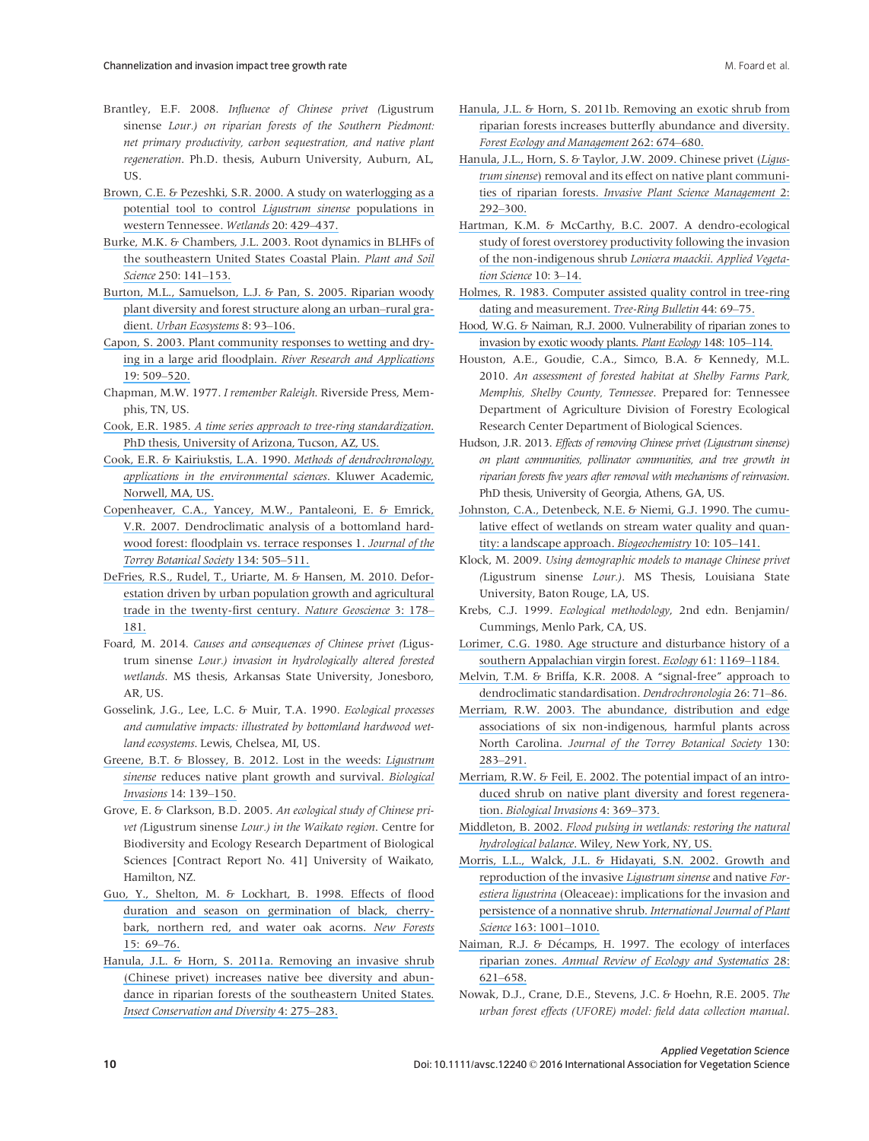- Brantley, E.F. 2008. Influence of Chinese privet (Ligustrum sinense Lour.) on riparian forests of the Southern Piedmont: net primary productivity, carbon sequestration, and native plant regeneration. Ph.D. thesis, Auburn University, Auburn, AL, US.
- [Brown, C.E. & Pezeshki, S.R. 2000. A study on waterlogging as a](https://www.researchgate.net/publication/280901185_A_study_on_waterlogging_as_a_potential_tool_to_control_Ligustrum_sinense_populations_in_western_Tennessee?el=1_x_8&enrichId=rgreq-a9262b46-b36e-4add-80bd-cf764adf802a&enrichSource=Y292ZXJQYWdlOzMwMTcxNDQyNztBUzozNTgwNDg2ODcyNDczNjFAMTQ2MjM3Njg2NzQzOQ==) [potential tool to control](https://www.researchgate.net/publication/280901185_A_study_on_waterlogging_as_a_potential_tool_to_control_Ligustrum_sinense_populations_in_western_Tennessee?el=1_x_8&enrichId=rgreq-a9262b46-b36e-4add-80bd-cf764adf802a&enrichSource=Y292ZXJQYWdlOzMwMTcxNDQyNztBUzozNTgwNDg2ODcyNDczNjFAMTQ2MjM3Njg2NzQzOQ==) Ligustrum sinense populations in [western Tennessee.](https://www.researchgate.net/publication/280901185_A_study_on_waterlogging_as_a_potential_tool_to_control_Ligustrum_sinense_populations_in_western_Tennessee?el=1_x_8&enrichId=rgreq-a9262b46-b36e-4add-80bd-cf764adf802a&enrichSource=Y292ZXJQYWdlOzMwMTcxNDQyNztBUzozNTgwNDg2ODcyNDczNjFAMTQ2MjM3Njg2NzQzOQ==) Wetlands 20: 429–437.
- [Burke, M.K. & Chambers, J.L. 2003. Root dynamics in BLHFs of](https://www.researchgate.net/publication/225924522_Root_dynamics_in_bottomland_hardwood_forests_of_the_Southeastern_United_States_Coastal_Plain?el=1_x_8&enrichId=rgreq-a9262b46-b36e-4add-80bd-cf764adf802a&enrichSource=Y292ZXJQYWdlOzMwMTcxNDQyNztBUzozNTgwNDg2ODcyNDczNjFAMTQ2MjM3Njg2NzQzOQ==) [the southeastern United States Coastal Plain.](https://www.researchgate.net/publication/225924522_Root_dynamics_in_bottomland_hardwood_forests_of_the_Southeastern_United_States_Coastal_Plain?el=1_x_8&enrichId=rgreq-a9262b46-b36e-4add-80bd-cf764adf802a&enrichSource=Y292ZXJQYWdlOzMwMTcxNDQyNztBUzozNTgwNDg2ODcyNDczNjFAMTQ2MjM3Njg2NzQzOQ==) Plant and Soil Science [250: 141](https://www.researchgate.net/publication/225924522_Root_dynamics_in_bottomland_hardwood_forests_of_the_Southeastern_United_States_Coastal_Plain?el=1_x_8&enrichId=rgreq-a9262b46-b36e-4add-80bd-cf764adf802a&enrichSource=Y292ZXJQYWdlOzMwMTcxNDQyNztBUzozNTgwNDg2ODcyNDczNjFAMTQ2MjM3Njg2NzQzOQ==)–153.
- [Burton, M.L., Samuelson, L.J. & Pan, S. 2005. Riparian woody](https://www.researchgate.net/publication/228674607_Riparian_Woody_Plant_Diversity_and_Forest_Structure_Along_an_Urban-Rural_Gradient?el=1_x_8&enrichId=rgreq-a9262b46-b36e-4add-80bd-cf764adf802a&enrichSource=Y292ZXJQYWdlOzMwMTcxNDQyNztBUzozNTgwNDg2ODcyNDczNjFAMTQ2MjM3Njg2NzQzOQ==) [plant diversity and forest structure along an urban](https://www.researchgate.net/publication/228674607_Riparian_Woody_Plant_Diversity_and_Forest_Structure_Along_an_Urban-Rural_Gradient?el=1_x_8&enrichId=rgreq-a9262b46-b36e-4add-80bd-cf764adf802a&enrichSource=Y292ZXJQYWdlOzMwMTcxNDQyNztBUzozNTgwNDg2ODcyNDczNjFAMTQ2MjM3Njg2NzQzOQ==)–rural gra-dient. [Urban Ecosystems](https://www.researchgate.net/publication/228674607_Riparian_Woody_Plant_Diversity_and_Forest_Structure_Along_an_Urban-Rural_Gradient?el=1_x_8&enrichId=rgreq-a9262b46-b36e-4add-80bd-cf764adf802a&enrichSource=Y292ZXJQYWdlOzMwMTcxNDQyNztBUzozNTgwNDg2ODcyNDczNjFAMTQ2MjM3Njg2NzQzOQ==) 8: 93-106.
- [Capon, S. 2003. Plant community responses to wetting and dry](https://www.researchgate.net/publication/40910623_Plant_community_responses_to_wetting_and_drying_in_a_large_arid_floodplain?el=1_x_8&enrichId=rgreq-a9262b46-b36e-4add-80bd-cf764adf802a&enrichSource=Y292ZXJQYWdlOzMwMTcxNDQyNztBUzozNTgwNDg2ODcyNDczNjFAMTQ2MjM3Njg2NzQzOQ==)ing in a large arid floodplain. [River Research and Applications](https://www.researchgate.net/publication/40910623_Plant_community_responses_to_wetting_and_drying_in_a_large_arid_floodplain?el=1_x_8&enrichId=rgreq-a9262b46-b36e-4add-80bd-cf764adf802a&enrichSource=Y292ZXJQYWdlOzMwMTcxNDQyNztBUzozNTgwNDg2ODcyNDczNjFAMTQ2MjM3Njg2NzQzOQ==) [19: 509](https://www.researchgate.net/publication/40910623_Plant_community_responses_to_wetting_and_drying_in_a_large_arid_floodplain?el=1_x_8&enrichId=rgreq-a9262b46-b36e-4add-80bd-cf764adf802a&enrichSource=Y292ZXJQYWdlOzMwMTcxNDQyNztBUzozNTgwNDg2ODcyNDczNjFAMTQ2MjM3Njg2NzQzOQ==)–520.
- Chapman, M.W. 1977. I remember Raleigh. Riverside Press, Memphis, TN, US.
- Cook, E.R. 1985. [A time series approach to tree-ring standardization](https://www.researchgate.net/publication/245117662_A_Time_Series_Approach_to_Tree-Ring_Standardization?el=1_x_8&enrichId=rgreq-a9262b46-b36e-4add-80bd-cf764adf802a&enrichSource=Y292ZXJQYWdlOzMwMTcxNDQyNztBUzozNTgwNDg2ODcyNDczNjFAMTQ2MjM3Njg2NzQzOQ==). [PhD thesis, University of Arizona, Tucson, AZ, US.](https://www.researchgate.net/publication/245117662_A_Time_Series_Approach_to_Tree-Ring_Standardization?el=1_x_8&enrichId=rgreq-a9262b46-b36e-4add-80bd-cf764adf802a&enrichSource=Y292ZXJQYWdlOzMwMTcxNDQyNztBUzozNTgwNDg2ODcyNDczNjFAMTQ2MjM3Njg2NzQzOQ==)
- [Cook, E.R. & Kairiukstis, L.A. 1990.](https://www.researchgate.net/publication/288852272_Methods_of_Dendrochronology_Applications_in_the_Environmental_Sciences?el=1_x_8&enrichId=rgreq-a9262b46-b36e-4add-80bd-cf764adf802a&enrichSource=Y292ZXJQYWdlOzMwMTcxNDQyNztBUzozNTgwNDg2ODcyNDczNjFAMTQ2MjM3Njg2NzQzOQ==) Methods of dendrochronology, [applications in the environmental sciences](https://www.researchgate.net/publication/288852272_Methods_of_Dendrochronology_Applications_in_the_Environmental_Sciences?el=1_x_8&enrichId=rgreq-a9262b46-b36e-4add-80bd-cf764adf802a&enrichSource=Y292ZXJQYWdlOzMwMTcxNDQyNztBUzozNTgwNDg2ODcyNDczNjFAMTQ2MjM3Njg2NzQzOQ==). Kluwer Academic, [Norwell, MA, US.](https://www.researchgate.net/publication/288852272_Methods_of_Dendrochronology_Applications_in_the_Environmental_Sciences?el=1_x_8&enrichId=rgreq-a9262b46-b36e-4add-80bd-cf764adf802a&enrichSource=Y292ZXJQYWdlOzMwMTcxNDQyNztBUzozNTgwNDg2ODcyNDczNjFAMTQ2MjM3Njg2NzQzOQ==)
- [Copenheaver, C.A., Yancey, M.W., Pantaleoni, E. & Emrick,](https://www.researchgate.net/publication/232685613_Dendroclimatic_Analysis_of_a_Bottomland_Hardwood_Forest_Floodplain_vs_Terrace_Responses1?el=1_x_8&enrichId=rgreq-a9262b46-b36e-4add-80bd-cf764adf802a&enrichSource=Y292ZXJQYWdlOzMwMTcxNDQyNztBUzozNTgwNDg2ODcyNDczNjFAMTQ2MjM3Njg2NzQzOQ==) [V.R. 2007. Dendroclimatic analysis of a bottomland hard](https://www.researchgate.net/publication/232685613_Dendroclimatic_Analysis_of_a_Bottomland_Hardwood_Forest_Floodplain_vs_Terrace_Responses1?el=1_x_8&enrichId=rgreq-a9262b46-b36e-4add-80bd-cf764adf802a&enrichSource=Y292ZXJQYWdlOzMwMTcxNDQyNztBUzozNTgwNDg2ODcyNDczNjFAMTQ2MjM3Njg2NzQzOQ==)[wood forest: floodplain vs. terrace responses 1.](https://www.researchgate.net/publication/232685613_Dendroclimatic_Analysis_of_a_Bottomland_Hardwood_Forest_Floodplain_vs_Terrace_Responses1?el=1_x_8&enrichId=rgreq-a9262b46-b36e-4add-80bd-cf764adf802a&enrichSource=Y292ZXJQYWdlOzMwMTcxNDQyNztBUzozNTgwNDg2ODcyNDczNjFAMTQ2MjM3Njg2NzQzOQ==) Journal of the [Torrey Botanical Society](https://www.researchgate.net/publication/232685613_Dendroclimatic_Analysis_of_a_Bottomland_Hardwood_Forest_Floodplain_vs_Terrace_Responses1?el=1_x_8&enrichId=rgreq-a9262b46-b36e-4add-80bd-cf764adf802a&enrichSource=Y292ZXJQYWdlOzMwMTcxNDQyNztBUzozNTgwNDg2ODcyNDczNjFAMTQ2MjM3Njg2NzQzOQ==) 134: 505–511.
- [DeFries, R.S., Rudel, T., Uriarte, M. & Hansen, M. 2010. Defor](https://www.researchgate.net/publication/248828436_Deforestation_Drive_by_Urban_Population_Growth_and_Agricultural_Trade_in_the_Twenty-First_Century?el=1_x_8&enrichId=rgreq-a9262b46-b36e-4add-80bd-cf764adf802a&enrichSource=Y292ZXJQYWdlOzMwMTcxNDQyNztBUzozNTgwNDg2ODcyNDczNjFAMTQ2MjM3Njg2NzQzOQ==)[estation driven by urban population growth and agricultural](https://www.researchgate.net/publication/248828436_Deforestation_Drive_by_Urban_Population_Growth_and_Agricultural_Trade_in_the_Twenty-First_Century?el=1_x_8&enrichId=rgreq-a9262b46-b36e-4add-80bd-cf764adf802a&enrichSource=Y292ZXJQYWdlOzMwMTcxNDQyNztBUzozNTgwNDg2ODcyNDczNjFAMTQ2MjM3Njg2NzQzOQ==) [trade in the twenty-first century.](https://www.researchgate.net/publication/248828436_Deforestation_Drive_by_Urban_Population_Growth_and_Agricultural_Trade_in_the_Twenty-First_Century?el=1_x_8&enrichId=rgreq-a9262b46-b36e-4add-80bd-cf764adf802a&enrichSource=Y292ZXJQYWdlOzMwMTcxNDQyNztBUzozNTgwNDg2ODcyNDczNjFAMTQ2MjM3Njg2NzQzOQ==) Nature Geoscience 3: 178– [181.](https://www.researchgate.net/publication/248828436_Deforestation_Drive_by_Urban_Population_Growth_and_Agricultural_Trade_in_the_Twenty-First_Century?el=1_x_8&enrichId=rgreq-a9262b46-b36e-4add-80bd-cf764adf802a&enrichSource=Y292ZXJQYWdlOzMwMTcxNDQyNztBUzozNTgwNDg2ODcyNDczNjFAMTQ2MjM3Njg2NzQzOQ==)
- Foard, M. 2014. Causes and consequences of Chinese privet (Ligustrum sinense Lour.) invasion in hydrologically altered forested wetlands. MS thesis, Arkansas State University, Jonesboro, AR IIS.
- Gosselink, J.G., Lee, L.C. & Muir, T.A. 1990. Ecological processes and cumulative impacts: illustrated by bottomland hardwood wetland ecosystems. Lewis, Chelsea, MI, US.
- [Greene, B.T. & Blossey, B. 2012. Lost in the weeds:](https://www.researchgate.net/publication/225682720_Lost_in_the_weeds_Ligustrum_sinense_reduces_native_plant_growth_survival?el=1_x_8&enrichId=rgreq-a9262b46-b36e-4add-80bd-cf764adf802a&enrichSource=Y292ZXJQYWdlOzMwMTcxNDQyNztBUzozNTgwNDg2ODcyNDczNjFAMTQ2MjM3Njg2NzQzOQ==) Ligustrum sinense [reduces native plant growth and survival.](https://www.researchgate.net/publication/225682720_Lost_in_the_weeds_Ligustrum_sinense_reduces_native_plant_growth_survival?el=1_x_8&enrichId=rgreq-a9262b46-b36e-4add-80bd-cf764adf802a&enrichSource=Y292ZXJQYWdlOzMwMTcxNDQyNztBUzozNTgwNDg2ODcyNDczNjFAMTQ2MjM3Njg2NzQzOQ==) Biological [Invasions](https://www.researchgate.net/publication/225682720_Lost_in_the_weeds_Ligustrum_sinense_reduces_native_plant_growth_survival?el=1_x_8&enrichId=rgreq-a9262b46-b36e-4add-80bd-cf764adf802a&enrichSource=Y292ZXJQYWdlOzMwMTcxNDQyNztBUzozNTgwNDg2ODcyNDczNjFAMTQ2MjM3Njg2NzQzOQ==) 14: 139–150.
- Grove, E. & Clarkson, B.D. 2005. An ecological study of Chinese privet (Ligustrum sinense Lour.) in the Waikato region. Centre for Biodiversity and Ecology Research Department of Biological Sciences [Contract Report No. 41] University of Waikato, Hamilton, NZ.
- [Guo, Y., Shelton, M. & Lockhart, B. 1998. Effects of flood](https://www.researchgate.net/publication/227068378_Effects_of_flood_duration_and_season_on_germination_of_black_cherrybark_northern_red_and_water_oak_acorns?el=1_x_8&enrichId=rgreq-a9262b46-b36e-4add-80bd-cf764adf802a&enrichSource=Y292ZXJQYWdlOzMwMTcxNDQyNztBUzozNTgwNDg2ODcyNDczNjFAMTQ2MjM3Njg2NzQzOQ==) [duration and season on germination of black, cherry](https://www.researchgate.net/publication/227068378_Effects_of_flood_duration_and_season_on_germination_of_black_cherrybark_northern_red_and_water_oak_acorns?el=1_x_8&enrichId=rgreq-a9262b46-b36e-4add-80bd-cf764adf802a&enrichSource=Y292ZXJQYWdlOzMwMTcxNDQyNztBUzozNTgwNDg2ODcyNDczNjFAMTQ2MjM3Njg2NzQzOQ==)[bark, northern red, and water oak acorns.](https://www.researchgate.net/publication/227068378_Effects_of_flood_duration_and_season_on_germination_of_black_cherrybark_northern_red_and_water_oak_acorns?el=1_x_8&enrichId=rgreq-a9262b46-b36e-4add-80bd-cf764adf802a&enrichSource=Y292ZXJQYWdlOzMwMTcxNDQyNztBUzozNTgwNDg2ODcyNDczNjFAMTQ2MjM3Njg2NzQzOQ==) New Forests [15: 69](https://www.researchgate.net/publication/227068378_Effects_of_flood_duration_and_season_on_germination_of_black_cherrybark_northern_red_and_water_oak_acorns?el=1_x_8&enrichId=rgreq-a9262b46-b36e-4add-80bd-cf764adf802a&enrichSource=Y292ZXJQYWdlOzMwMTcxNDQyNztBUzozNTgwNDg2ODcyNDczNjFAMTQ2MjM3Njg2NzQzOQ==)–76.
- [Hanula, J.L. & Horn, S. 2011a. Removing an invasive shrub](https://www.researchgate.net/publication/229974504_Removing_an_invasive_shrub_Chinese_privet_increases_native_bee_diversity_and_abundance_in_riparian_forests_of_the_southeastern_United_States?el=1_x_8&enrichId=rgreq-a9262b46-b36e-4add-80bd-cf764adf802a&enrichSource=Y292ZXJQYWdlOzMwMTcxNDQyNztBUzozNTgwNDg2ODcyNDczNjFAMTQ2MjM3Njg2NzQzOQ==) [\(Chinese privet\) increases native bee diversity and abun](https://www.researchgate.net/publication/229974504_Removing_an_invasive_shrub_Chinese_privet_increases_native_bee_diversity_and_abundance_in_riparian_forests_of_the_southeastern_United_States?el=1_x_8&enrichId=rgreq-a9262b46-b36e-4add-80bd-cf764adf802a&enrichSource=Y292ZXJQYWdlOzMwMTcxNDQyNztBUzozNTgwNDg2ODcyNDczNjFAMTQ2MjM3Njg2NzQzOQ==)[dance in riparian forests of the southeastern United States.](https://www.researchgate.net/publication/229974504_Removing_an_invasive_shrub_Chinese_privet_increases_native_bee_diversity_and_abundance_in_riparian_forests_of_the_southeastern_United_States?el=1_x_8&enrichId=rgreq-a9262b46-b36e-4add-80bd-cf764adf802a&enrichSource=Y292ZXJQYWdlOzMwMTcxNDQyNztBUzozNTgwNDg2ODcyNDczNjFAMTQ2MjM3Njg2NzQzOQ==) [Insect Conservation and Diversity](https://www.researchgate.net/publication/229974504_Removing_an_invasive_shrub_Chinese_privet_increases_native_bee_diversity_and_abundance_in_riparian_forests_of_the_southeastern_United_States?el=1_x_8&enrichId=rgreq-a9262b46-b36e-4add-80bd-cf764adf802a&enrichSource=Y292ZXJQYWdlOzMwMTcxNDQyNztBUzozNTgwNDg2ODcyNDczNjFAMTQ2MjM3Njg2NzQzOQ==) 4: 275–283.
- [Hanula, J.L. & Horn, S. 2011b. Removing an exotic shrub from](https://www.researchgate.net/publication/251586422_Removing_an_exotic_shrub_from_riparian_forests_increases_butterfly_abundance_and_diversity?el=1_x_8&enrichId=rgreq-a9262b46-b36e-4add-80bd-cf764adf802a&enrichSource=Y292ZXJQYWdlOzMwMTcxNDQyNztBUzozNTgwNDg2ODcyNDczNjFAMTQ2MjM3Njg2NzQzOQ==) [riparian forests increases butterfly abundance and diversity.](https://www.researchgate.net/publication/251586422_Removing_an_exotic_shrub_from_riparian_forests_increases_butterfly_abundance_and_diversity?el=1_x_8&enrichId=rgreq-a9262b46-b36e-4add-80bd-cf764adf802a&enrichSource=Y292ZXJQYWdlOzMwMTcxNDQyNztBUzozNTgwNDg2ODcyNDczNjFAMTQ2MjM3Njg2NzQzOQ==) [Forest Ecology and Management](https://www.researchgate.net/publication/251586422_Removing_an_exotic_shrub_from_riparian_forests_increases_butterfly_abundance_and_diversity?el=1_x_8&enrichId=rgreq-a9262b46-b36e-4add-80bd-cf764adf802a&enrichSource=Y292ZXJQYWdlOzMwMTcxNDQyNztBUzozNTgwNDg2ODcyNDczNjFAMTQ2MjM3Njg2NzQzOQ==) 262: 674–680.
- [Hanula, J.L., Horn, S. & Taylor, J.W. 2009. Chinese privet \(](https://www.researchgate.net/publication/232691753_Chinese_Privet_Ligustrum_sinense_Removal_and_its_Effect_on_Native_Plant_Communities_of_Riparian_Forests?el=1_x_8&enrichId=rgreq-a9262b46-b36e-4add-80bd-cf764adf802a&enrichSource=Y292ZXJQYWdlOzMwMTcxNDQyNztBUzozNTgwNDg2ODcyNDczNjFAMTQ2MjM3Njg2NzQzOQ==)Ligus-trum sinense[\) removal and its effect on native plant communi](https://www.researchgate.net/publication/232691753_Chinese_Privet_Ligustrum_sinense_Removal_and_its_Effect_on_Native_Plant_Communities_of_Riparian_Forests?el=1_x_8&enrichId=rgreq-a9262b46-b36e-4add-80bd-cf764adf802a&enrichSource=Y292ZXJQYWdlOzMwMTcxNDQyNztBUzozNTgwNDg2ODcyNDczNjFAMTQ2MjM3Njg2NzQzOQ==)ties of riparian forests. [Invasive Plant Science Management](https://www.researchgate.net/publication/232691753_Chinese_Privet_Ligustrum_sinense_Removal_and_its_Effect_on_Native_Plant_Communities_of_Riparian_Forests?el=1_x_8&enrichId=rgreq-a9262b46-b36e-4add-80bd-cf764adf802a&enrichSource=Y292ZXJQYWdlOzMwMTcxNDQyNztBUzozNTgwNDg2ODcyNDczNjFAMTQ2MjM3Njg2NzQzOQ==) 2: 292–[300.](https://www.researchgate.net/publication/232691753_Chinese_Privet_Ligustrum_sinense_Removal_and_its_Effect_on_Native_Plant_Communities_of_Riparian_Forests?el=1_x_8&enrichId=rgreq-a9262b46-b36e-4add-80bd-cf764adf802a&enrichSource=Y292ZXJQYWdlOzMwMTcxNDQyNztBUzozNTgwNDg2ODcyNDczNjFAMTQ2MjM3Njg2NzQzOQ==)
- [Hartman, K.M. & McCarthy, B.C. 2007. A dendro-ecological](https://www.researchgate.net/publication/227549355_A_dendro-ecological_study_of_forest_overstorey_productivity_following_the_invasion_of_the_non-indigenous_shrub_Lonicera_maackii_Appl_Veg_Sci?el=1_x_8&enrichId=rgreq-a9262b46-b36e-4add-80bd-cf764adf802a&enrichSource=Y292ZXJQYWdlOzMwMTcxNDQyNztBUzozNTgwNDg2ODcyNDczNjFAMTQ2MjM3Njg2NzQzOQ==) [study of forest overstorey productivity following the invasion](https://www.researchgate.net/publication/227549355_A_dendro-ecological_study_of_forest_overstorey_productivity_following_the_invasion_of_the_non-indigenous_shrub_Lonicera_maackii_Appl_Veg_Sci?el=1_x_8&enrichId=rgreq-a9262b46-b36e-4add-80bd-cf764adf802a&enrichSource=Y292ZXJQYWdlOzMwMTcxNDQyNztBUzozNTgwNDg2ODcyNDczNjFAMTQ2MjM3Njg2NzQzOQ==) [of the non-indigenous shrub](https://www.researchgate.net/publication/227549355_A_dendro-ecological_study_of_forest_overstorey_productivity_following_the_invasion_of_the_non-indigenous_shrub_Lonicera_maackii_Appl_Veg_Sci?el=1_x_8&enrichId=rgreq-a9262b46-b36e-4add-80bd-cf764adf802a&enrichSource=Y292ZXJQYWdlOzMwMTcxNDQyNztBUzozNTgwNDg2ODcyNDczNjFAMTQ2MjM3Njg2NzQzOQ==) Lonicera maackii. Applied Vegeta[tion Science](https://www.researchgate.net/publication/227549355_A_dendro-ecological_study_of_forest_overstorey_productivity_following_the_invasion_of_the_non-indigenous_shrub_Lonicera_maackii_Appl_Veg_Sci?el=1_x_8&enrichId=rgreq-a9262b46-b36e-4add-80bd-cf764adf802a&enrichSource=Y292ZXJQYWdlOzMwMTcxNDQyNztBUzozNTgwNDg2ODcyNDczNjFAMTQ2MjM3Njg2NzQzOQ==) 10: 3-14.
- [Holmes, R. 1983. Computer assisted quality control in tree-ring](https://www.researchgate.net/publication/235665554_Computer-Assisted_Quality_Control_in_Tree-Ring_Dating_and_Measurement?el=1_x_8&enrichId=rgreq-a9262b46-b36e-4add-80bd-cf764adf802a&enrichSource=Y292ZXJQYWdlOzMwMTcxNDQyNztBUzozNTgwNDg2ODcyNDczNjFAMTQ2MjM3Njg2NzQzOQ==) [dating and measurement.](https://www.researchgate.net/publication/235665554_Computer-Assisted_Quality_Control_in_Tree-Ring_Dating_and_Measurement?el=1_x_8&enrichId=rgreq-a9262b46-b36e-4add-80bd-cf764adf802a&enrichSource=Y292ZXJQYWdlOzMwMTcxNDQyNztBUzozNTgwNDg2ODcyNDczNjFAMTQ2MjM3Njg2NzQzOQ==) Tree-Ring Bulletin 44: 69–75.
- [Hood, W.G. & Naiman, R.J. 2000. Vulnerability of riparian zones to](https://www.researchgate.net/publication/225311755_Vulnerability_of_riparian_zones_to_invasion_by_exotic_vascular_plants_Plant_Ecol?el=1_x_8&enrichId=rgreq-a9262b46-b36e-4add-80bd-cf764adf802a&enrichSource=Y292ZXJQYWdlOzMwMTcxNDQyNztBUzozNTgwNDg2ODcyNDczNjFAMTQ2MjM3Njg2NzQzOQ==) [invasion by exotic woody plants.](https://www.researchgate.net/publication/225311755_Vulnerability_of_riparian_zones_to_invasion_by_exotic_vascular_plants_Plant_Ecol?el=1_x_8&enrichId=rgreq-a9262b46-b36e-4add-80bd-cf764adf802a&enrichSource=Y292ZXJQYWdlOzMwMTcxNDQyNztBUzozNTgwNDg2ODcyNDczNjFAMTQ2MjM3Njg2NzQzOQ==) Plant Ecology 148: 105–114.
- Houston, A.E., Goudie, C.A., Simco, B.A. & Kennedy, M.L. 2010. An assessment of forested habitat at Shelby Farms Park, Memphis, Shelby County, Tennessee. Prepared for: Tennessee Department of Agriculture Division of Forestry Ecological Research Center Department of Biological Sciences.
- Hudson, J.R. 2013. Effects of removing Chinese privet (Ligustrum sinense) on plant communities, pollinator communities, and tree growth in riparian forests five years after removal with mechanisms of reinvasion. PhD thesis, University of Georgia, Athens, GA, US.
- [Johnston, C.A., Detenbeck, N.E. & Niemi, G.J. 1990. The cumu](https://www.researchgate.net/publication/227000437_The_Cumulative_Effect_of_Wetlands_on_Stream_Water_Quality_and_Quantity_A_Landscape_Approach?el=1_x_8&enrichId=rgreq-a9262b46-b36e-4add-80bd-cf764adf802a&enrichSource=Y292ZXJQYWdlOzMwMTcxNDQyNztBUzozNTgwNDg2ODcyNDczNjFAMTQ2MjM3Njg2NzQzOQ==)[lative effect of wetlands on stream water quality and quan](https://www.researchgate.net/publication/227000437_The_Cumulative_Effect_of_Wetlands_on_Stream_Water_Quality_and_Quantity_A_Landscape_Approach?el=1_x_8&enrichId=rgreq-a9262b46-b36e-4add-80bd-cf764adf802a&enrichSource=Y292ZXJQYWdlOzMwMTcxNDQyNztBUzozNTgwNDg2ODcyNDczNjFAMTQ2MjM3Njg2NzQzOQ==)[tity: a landscape approach.](https://www.researchgate.net/publication/227000437_The_Cumulative_Effect_of_Wetlands_on_Stream_Water_Quality_and_Quantity_A_Landscape_Approach?el=1_x_8&enrichId=rgreq-a9262b46-b36e-4add-80bd-cf764adf802a&enrichSource=Y292ZXJQYWdlOzMwMTcxNDQyNztBUzozNTgwNDg2ODcyNDczNjFAMTQ2MjM3Njg2NzQzOQ==) Biogeochemistry 10: 105–141.
- Klock, M. 2009. Using demographic models to manage Chinese privet (Ligustrum sinense Lour.). MS Thesis, Louisiana State University, Baton Rouge, LA, US.
- Krebs, C.J. 1999. Ecological methodology, 2nd edn. Benjamin/ Cummings, Menlo Park, CA, US.
- [Lorimer, C.G. 1980. Age structure and disturbance history of a](https://www.researchgate.net/publication/271674595_Age_Structure_and_Disturbance_History_of_a_Southern_Appalachian_Virgin_Forest?el=1_x_8&enrichId=rgreq-a9262b46-b36e-4add-80bd-cf764adf802a&enrichSource=Y292ZXJQYWdlOzMwMTcxNDQyNztBUzozNTgwNDg2ODcyNDczNjFAMTQ2MjM3Njg2NzQzOQ==) [southern Appalachian virgin forest.](https://www.researchgate.net/publication/271674595_Age_Structure_and_Disturbance_History_of_a_Southern_Appalachian_Virgin_Forest?el=1_x_8&enrichId=rgreq-a9262b46-b36e-4add-80bd-cf764adf802a&enrichSource=Y292ZXJQYWdlOzMwMTcxNDQyNztBUzozNTgwNDg2ODcyNDczNjFAMTQ2MjM3Njg2NzQzOQ==) Ecology 61: 1169–1184.
- [Melvin, T.M. & Briffa, K.R. 2008. A "signal-free" approach to](https://www.researchgate.net/publication/235665626_A_Signal-Free_approach_to_dendroclimatic_Standardization?el=1_x_8&enrichId=rgreq-a9262b46-b36e-4add-80bd-cf764adf802a&enrichSource=Y292ZXJQYWdlOzMwMTcxNDQyNztBUzozNTgwNDg2ODcyNDczNjFAMTQ2MjM3Njg2NzQzOQ==) [dendroclimatic standardisation.](https://www.researchgate.net/publication/235665626_A_Signal-Free_approach_to_dendroclimatic_Standardization?el=1_x_8&enrichId=rgreq-a9262b46-b36e-4add-80bd-cf764adf802a&enrichSource=Y292ZXJQYWdlOzMwMTcxNDQyNztBUzozNTgwNDg2ODcyNDczNjFAMTQ2MjM3Njg2NzQzOQ==) Dendrochronologia 26: 71–86.
- [Merriam, R.W. 2003. The abundance, distribution and edge](https://www.researchgate.net/publication/271782813_The_Abundance_Distribution_and_Edge_Associations_of_Six_Non-Indigenous_Harmful_Plants_across_North_Carolina?el=1_x_8&enrichId=rgreq-a9262b46-b36e-4add-80bd-cf764adf802a&enrichSource=Y292ZXJQYWdlOzMwMTcxNDQyNztBUzozNTgwNDg2ODcyNDczNjFAMTQ2MjM3Njg2NzQzOQ==) [associations of six non-indigenous, harmful plants across](https://www.researchgate.net/publication/271782813_The_Abundance_Distribution_and_Edge_Associations_of_Six_Non-Indigenous_Harmful_Plants_across_North_Carolina?el=1_x_8&enrichId=rgreq-a9262b46-b36e-4add-80bd-cf764adf802a&enrichSource=Y292ZXJQYWdlOzMwMTcxNDQyNztBUzozNTgwNDg2ODcyNDczNjFAMTQ2MjM3Njg2NzQzOQ==) North Carolina. [Journal of the Torrey Botanical Society](https://www.researchgate.net/publication/271782813_The_Abundance_Distribution_and_Edge_Associations_of_Six_Non-Indigenous_Harmful_Plants_across_North_Carolina?el=1_x_8&enrichId=rgreq-a9262b46-b36e-4add-80bd-cf764adf802a&enrichSource=Y292ZXJQYWdlOzMwMTcxNDQyNztBUzozNTgwNDg2ODcyNDczNjFAMTQ2MjM3Njg2NzQzOQ==) 130: 283–[291.](https://www.researchgate.net/publication/271782813_The_Abundance_Distribution_and_Edge_Associations_of_Six_Non-Indigenous_Harmful_Plants_across_North_Carolina?el=1_x_8&enrichId=rgreq-a9262b46-b36e-4add-80bd-cf764adf802a&enrichSource=Y292ZXJQYWdlOzMwMTcxNDQyNztBUzozNTgwNDg2ODcyNDczNjFAMTQ2MjM3Njg2NzQzOQ==)
- [Merriam, R.W. & Feil, E. 2002. The potential impact of an intro](https://www.researchgate.net/publication/227059294_The_Potential_Impact_of_An_Introduced_Shrub_on_Native_Plant_Diversity_and_Forest_Regeneration?el=1_x_8&enrichId=rgreq-a9262b46-b36e-4add-80bd-cf764adf802a&enrichSource=Y292ZXJQYWdlOzMwMTcxNDQyNztBUzozNTgwNDg2ODcyNDczNjFAMTQ2MjM3Njg2NzQzOQ==)[duced shrub on native plant diversity and forest regenera](https://www.researchgate.net/publication/227059294_The_Potential_Impact_of_An_Introduced_Shrub_on_Native_Plant_Diversity_and_Forest_Regeneration?el=1_x_8&enrichId=rgreq-a9262b46-b36e-4add-80bd-cf764adf802a&enrichSource=Y292ZXJQYWdlOzMwMTcxNDQyNztBUzozNTgwNDg2ODcyNDczNjFAMTQ2MjM3Njg2NzQzOQ==)tion. [Biological Invasions](https://www.researchgate.net/publication/227059294_The_Potential_Impact_of_An_Introduced_Shrub_on_Native_Plant_Diversity_and_Forest_Regeneration?el=1_x_8&enrichId=rgreq-a9262b46-b36e-4add-80bd-cf764adf802a&enrichSource=Y292ZXJQYWdlOzMwMTcxNDQyNztBUzozNTgwNDg2ODcyNDczNjFAMTQ2MjM3Njg2NzQzOQ==) 4: 369–373.
- Middleton, B. 2002. [Flood pulsing in wetlands: restoring the natural](https://www.researchgate.net/publication/229139221_Flood_Pulsing_in_Wetlands_Restoring_the_Natural_Hydrological_Balance?el=1_x_8&enrichId=rgreq-a9262b46-b36e-4add-80bd-cf764adf802a&enrichSource=Y292ZXJQYWdlOzMwMTcxNDQyNztBUzozNTgwNDg2ODcyNDczNjFAMTQ2MjM3Njg2NzQzOQ==) hydrological balance[. Wiley, New York, NY, US.](https://www.researchgate.net/publication/229139221_Flood_Pulsing_in_Wetlands_Restoring_the_Natural_Hydrological_Balance?el=1_x_8&enrichId=rgreq-a9262b46-b36e-4add-80bd-cf764adf802a&enrichSource=Y292ZXJQYWdlOzMwMTcxNDQyNztBUzozNTgwNDg2ODcyNDczNjFAMTQ2MjM3Njg2NzQzOQ==)
- [Morris, L.L., Walck, J.L. & Hidayati, S.N. 2002. Growth and](https://www.researchgate.net/publication/239826671_Growth_and_Reproduction_of_the_Invasive_Ligustrum_sinense_and_Native_Forestiera_ligustrina_Oleaceae_Implications_for_the_Invasion_and_Persistence_of_a_Nonnative_Shrub?el=1_x_8&enrichId=rgreq-a9262b46-b36e-4add-80bd-cf764adf802a&enrichSource=Y292ZXJQYWdlOzMwMTcxNDQyNztBUzozNTgwNDg2ODcyNDczNjFAMTQ2MjM3Njg2NzQzOQ==) [reproduction of the invasive](https://www.researchgate.net/publication/239826671_Growth_and_Reproduction_of_the_Invasive_Ligustrum_sinense_and_Native_Forestiera_ligustrina_Oleaceae_Implications_for_the_Invasion_and_Persistence_of_a_Nonnative_Shrub?el=1_x_8&enrichId=rgreq-a9262b46-b36e-4add-80bd-cf764adf802a&enrichSource=Y292ZXJQYWdlOzMwMTcxNDQyNztBUzozNTgwNDg2ODcyNDczNjFAMTQ2MjM3Njg2NzQzOQ==) Ligustrum sinense and native Forestiera ligustrina [\(Oleaceae\): implications for the invasion and](https://www.researchgate.net/publication/239826671_Growth_and_Reproduction_of_the_Invasive_Ligustrum_sinense_and_Native_Forestiera_ligustrina_Oleaceae_Implications_for_the_Invasion_and_Persistence_of_a_Nonnative_Shrub?el=1_x_8&enrichId=rgreq-a9262b46-b36e-4add-80bd-cf764adf802a&enrichSource=Y292ZXJQYWdlOzMwMTcxNDQyNztBUzozNTgwNDg2ODcyNDczNjFAMTQ2MjM3Njg2NzQzOQ==) [persistence of a nonnative shrub.](https://www.researchgate.net/publication/239826671_Growth_and_Reproduction_of_the_Invasive_Ligustrum_sinense_and_Native_Forestiera_ligustrina_Oleaceae_Implications_for_the_Invasion_and_Persistence_of_a_Nonnative_Shrub?el=1_x_8&enrichId=rgreq-a9262b46-b36e-4add-80bd-cf764adf802a&enrichSource=Y292ZXJQYWdlOzMwMTcxNDQyNztBUzozNTgwNDg2ODcyNDczNjFAMTQ2MjM3Njg2NzQzOQ==) International Journal of Plant Science [163: 1001](https://www.researchgate.net/publication/239826671_Growth_and_Reproduction_of_the_Invasive_Ligustrum_sinense_and_Native_Forestiera_ligustrina_Oleaceae_Implications_for_the_Invasion_and_Persistence_of_a_Nonnative_Shrub?el=1_x_8&enrichId=rgreq-a9262b46-b36e-4add-80bd-cf764adf802a&enrichSource=Y292ZXJQYWdlOzMwMTcxNDQyNztBUzozNTgwNDg2ODcyNDczNjFAMTQ2MjM3Njg2NzQzOQ==)–1010.
- Naiman, R.J. & Décamps, H. 1997. The ecology of interfaces riparian zones. [Annual Review of Ecology and Systematics](https://www.researchgate.net/publication/228540796_The_Ecology_of_Interfaces_Riparian_Zones?el=1_x_8&enrichId=rgreq-a9262b46-b36e-4add-80bd-cf764adf802a&enrichSource=Y292ZXJQYWdlOzMwMTcxNDQyNztBUzozNTgwNDg2ODcyNDczNjFAMTQ2MjM3Njg2NzQzOQ==) 28: 621–[658.](https://www.researchgate.net/publication/228540796_The_Ecology_of_Interfaces_Riparian_Zones?el=1_x_8&enrichId=rgreq-a9262b46-b36e-4add-80bd-cf764adf802a&enrichSource=Y292ZXJQYWdlOzMwMTcxNDQyNztBUzozNTgwNDg2ODcyNDczNjFAMTQ2MjM3Njg2NzQzOQ==)
- Nowak, D.J., Crane, D.E., Stevens, J.C. & Hoehn, R.E. 2005. The urban forest effects (UFORE) model: field data collection manual.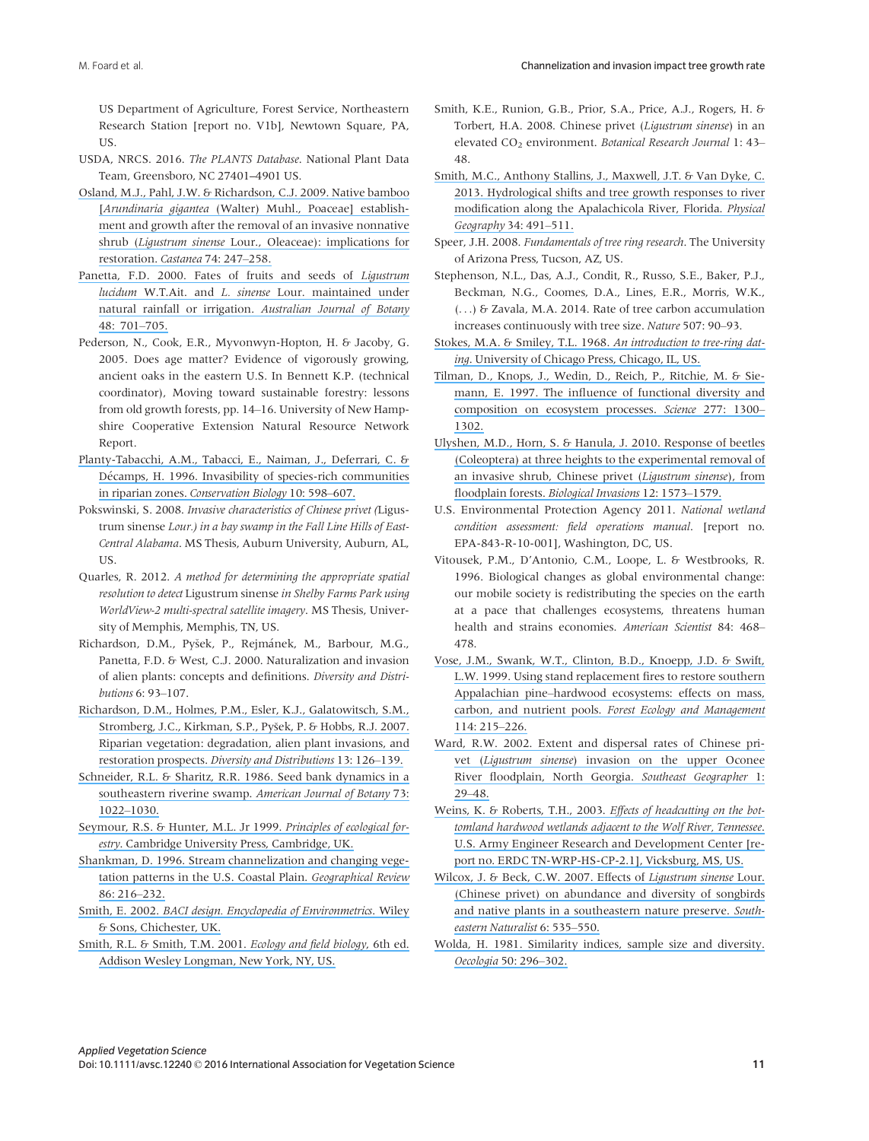US Department of Agriculture, Forest Service, Northeastern Research Station [report no. V1b], Newtown Square, PA, US.

- USDA, NRCS. 2016. The PLANTS Database. National Plant Data Team, Greensboro, NC 27401–4901 US.
- [Osland, M.J., Pahl, J.W. & Richardson, C.J. 2009. Native bamboo](https://www.researchgate.net/publication/232685582_Native_Bamboo_Arundinaria_gigantea_Walter_Muhl_Poaceae_Establishment_and_Growth_after_the_Removal_of_an_Invasive_Non-Native_Shrub_Ligustrum_sinense_Lour_Oleaceae_Implications_for_Restoration?el=1_x_8&enrichId=rgreq-a9262b46-b36e-4add-80bd-cf764adf802a&enrichSource=Y292ZXJQYWdlOzMwMTcxNDQyNztBUzozNTgwNDg2ODcyNDczNjFAMTQ2MjM3Njg2NzQzOQ==) [Arundinaria gigantea [\(Walter\) Muhl., Poaceae\] establish](https://www.researchgate.net/publication/232685582_Native_Bamboo_Arundinaria_gigantea_Walter_Muhl_Poaceae_Establishment_and_Growth_after_the_Removal_of_an_Invasive_Non-Native_Shrub_Ligustrum_sinense_Lour_Oleaceae_Implications_for_Restoration?el=1_x_8&enrichId=rgreq-a9262b46-b36e-4add-80bd-cf764adf802a&enrichSource=Y292ZXJQYWdlOzMwMTcxNDQyNztBUzozNTgwNDg2ODcyNDczNjFAMTQ2MjM3Njg2NzQzOQ==)[ment and growth after the removal of an invasive nonnative](https://www.researchgate.net/publication/232685582_Native_Bamboo_Arundinaria_gigantea_Walter_Muhl_Poaceae_Establishment_and_Growth_after_the_Removal_of_an_Invasive_Non-Native_Shrub_Ligustrum_sinense_Lour_Oleaceae_Implications_for_Restoration?el=1_x_8&enrichId=rgreq-a9262b46-b36e-4add-80bd-cf764adf802a&enrichSource=Y292ZXJQYWdlOzMwMTcxNDQyNztBUzozNTgwNDg2ODcyNDczNjFAMTQ2MjM3Njg2NzQzOQ==) shrub (Ligustrum sinense [Lour., Oleaceae\): implications for](https://www.researchgate.net/publication/232685582_Native_Bamboo_Arundinaria_gigantea_Walter_Muhl_Poaceae_Establishment_and_Growth_after_the_Removal_of_an_Invasive_Non-Native_Shrub_Ligustrum_sinense_Lour_Oleaceae_Implications_for_Restoration?el=1_x_8&enrichId=rgreq-a9262b46-b36e-4add-80bd-cf764adf802a&enrichSource=Y292ZXJQYWdlOzMwMTcxNDQyNztBUzozNTgwNDg2ODcyNDczNjFAMTQ2MjM3Njg2NzQzOQ==) [restoration.](https://www.researchgate.net/publication/232685582_Native_Bamboo_Arundinaria_gigantea_Walter_Muhl_Poaceae_Establishment_and_Growth_after_the_Removal_of_an_Invasive_Non-Native_Shrub_Ligustrum_sinense_Lour_Oleaceae_Implications_for_Restoration?el=1_x_8&enrichId=rgreq-a9262b46-b36e-4add-80bd-cf764adf802a&enrichSource=Y292ZXJQYWdlOzMwMTcxNDQyNztBUzozNTgwNDg2ODcyNDczNjFAMTQ2MjM3Njg2NzQzOQ==) Castanea 74: 247–258.
- [Panetta, F.D. 2000. Fates of fruits and seeds of](https://www.researchgate.net/publication/263029943_Fates_of_fruits_and_seeds_of_Ligustrum_lucidum_WTAit_and_L_sinense_Lour_maintained_under_natural_rainfall_or_irrigation?el=1_x_8&enrichId=rgreq-a9262b46-b36e-4add-80bd-cf764adf802a&enrichSource=Y292ZXJQYWdlOzMwMTcxNDQyNztBUzozNTgwNDg2ODcyNDczNjFAMTQ2MjM3Njg2NzQzOQ==) Ligustrum lucidum W.T.Ait. and L. sinense [Lour. maintained under](https://www.researchgate.net/publication/263029943_Fates_of_fruits_and_seeds_of_Ligustrum_lucidum_WTAit_and_L_sinense_Lour_maintained_under_natural_rainfall_or_irrigation?el=1_x_8&enrichId=rgreq-a9262b46-b36e-4add-80bd-cf764adf802a&enrichSource=Y292ZXJQYWdlOzMwMTcxNDQyNztBUzozNTgwNDg2ODcyNDczNjFAMTQ2MjM3Njg2NzQzOQ==) [natural rainfall or irrigation.](https://www.researchgate.net/publication/263029943_Fates_of_fruits_and_seeds_of_Ligustrum_lucidum_WTAit_and_L_sinense_Lour_maintained_under_natural_rainfall_or_irrigation?el=1_x_8&enrichId=rgreq-a9262b46-b36e-4add-80bd-cf764adf802a&enrichSource=Y292ZXJQYWdlOzMwMTcxNDQyNztBUzozNTgwNDg2ODcyNDczNjFAMTQ2MjM3Njg2NzQzOQ==) Australian Journal of Botany [48: 701](https://www.researchgate.net/publication/263029943_Fates_of_fruits_and_seeds_of_Ligustrum_lucidum_WTAit_and_L_sinense_Lour_maintained_under_natural_rainfall_or_irrigation?el=1_x_8&enrichId=rgreq-a9262b46-b36e-4add-80bd-cf764adf802a&enrichSource=Y292ZXJQYWdlOzMwMTcxNDQyNztBUzozNTgwNDg2ODcyNDczNjFAMTQ2MjM3Njg2NzQzOQ==)–705.
- Pederson, N., Cook, E.R., Myvonwyn-Hopton, H. & Jacoby, G. 2005. Does age matter? Evidence of vigorously growing, ancient oaks in the eastern U.S. In Bennett K.P. (technical coordinator), Moving toward sustainable forestry: lessons from old growth forests, pp. 14–16. University of New Hampshire Cooperative Extension Natural Resource Network Report.
- [Planty-Tabacchi, A.M., Tabacci, E., Naiman, J., Deferrari, C. &](https://www.researchgate.net/publication/246534937_Invasibility_of_Species-Rich_Communitites_in_Riparian_Zones_Conserv_Biol?el=1_x_8&enrichId=rgreq-a9262b46-b36e-4add-80bd-cf764adf802a&enrichSource=Y292ZXJQYWdlOzMwMTcxNDQyNztBUzozNTgwNDg2ODcyNDczNjFAMTQ2MjM3Njg2NzQzOQ==) Décamps, H. 1996. Invasibility of species-rich communities in riparian zones. [Conservation Biology](https://www.researchgate.net/publication/246534937_Invasibility_of_Species-Rich_Communitites_in_Riparian_Zones_Conserv_Biol?el=1_x_8&enrichId=rgreq-a9262b46-b36e-4add-80bd-cf764adf802a&enrichSource=Y292ZXJQYWdlOzMwMTcxNDQyNztBUzozNTgwNDg2ODcyNDczNjFAMTQ2MjM3Njg2NzQzOQ==) 10: 598–607.
- Pokswinski, S. 2008. Invasive characteristics of Chinese privet (Ligustrum sinense Lour.) in a bay swamp in the Fall Line Hills of East-Central Alabama. MS Thesis, Auburn University, Auburn, AL, US.
- Quarles, R. 2012. A method for determining the appropriate spatial resolution to detect Ligustrum sinense in Shelby Farms Park using WorldView-2 multi-spectral satellite imagery. MS Thesis, University of Memphis, Memphis, TN, US.
- Richardson, D.M., Pyšek, P., Rejmánek, M., Barbour, M.G., Panetta, F.D. & West, C.J. 2000. Naturalization and invasion of alien plants: concepts and definitions. Diversity and Distributions 6: 93–107.
- [Richardson, D.M., Holmes, P.M., Esler, K.J., Galatowitsch, S.M.,](https://www.researchgate.net/publication/227521952_Riparian_vegetation_Degradation_alien_plant_invasions_and_restoration_prospects?el=1_x_8&enrichId=rgreq-a9262b46-b36e-4add-80bd-cf764adf802a&enrichSource=Y292ZXJQYWdlOzMwMTcxNDQyNztBUzozNTgwNDg2ODcyNDczNjFAMTQ2MjM3Njg2NzQzOQ==) [Stromberg, J.C., Kirkman, S.P., Py](https://www.researchgate.net/publication/227521952_Riparian_vegetation_Degradation_alien_plant_invasions_and_restoration_prospects?el=1_x_8&enrichId=rgreq-a9262b46-b36e-4add-80bd-cf764adf802a&enrichSource=Y292ZXJQYWdlOzMwMTcxNDQyNztBUzozNTgwNDg2ODcyNDczNjFAMTQ2MjM3Njg2NzQzOQ==)sek, P. & Hobbs, R.J. 2007. [Riparian vegetation: degradation, alien plant invasions, and](https://www.researchgate.net/publication/227521952_Riparian_vegetation_Degradation_alien_plant_invasions_and_restoration_prospects?el=1_x_8&enrichId=rgreq-a9262b46-b36e-4add-80bd-cf764adf802a&enrichSource=Y292ZXJQYWdlOzMwMTcxNDQyNztBUzozNTgwNDg2ODcyNDczNjFAMTQ2MjM3Njg2NzQzOQ==) restoration prospects. [Diversity and Distributions](https://www.researchgate.net/publication/227521952_Riparian_vegetation_Degradation_alien_plant_invasions_and_restoration_prospects?el=1_x_8&enrichId=rgreq-a9262b46-b36e-4add-80bd-cf764adf802a&enrichSource=Y292ZXJQYWdlOzMwMTcxNDQyNztBUzozNTgwNDg2ODcyNDczNjFAMTQ2MjM3Njg2NzQzOQ==) 13: 126–139.
- [Schneider, R.L. & Sharitz, R.R. 1986. Seed bank dynamics in a](https://www.researchgate.net/publication/250269693_Seed_Bank_Dynamics_in_a_Southeastern_Riverine_Swamp?el=1_x_8&enrichId=rgreq-a9262b46-b36e-4add-80bd-cf764adf802a&enrichSource=Y292ZXJQYWdlOzMwMTcxNDQyNztBUzozNTgwNDg2ODcyNDczNjFAMTQ2MjM3Njg2NzQzOQ==) [southeastern riverine swamp.](https://www.researchgate.net/publication/250269693_Seed_Bank_Dynamics_in_a_Southeastern_Riverine_Swamp?el=1_x_8&enrichId=rgreq-a9262b46-b36e-4add-80bd-cf764adf802a&enrichSource=Y292ZXJQYWdlOzMwMTcxNDQyNztBUzozNTgwNDg2ODcyNDczNjFAMTQ2MjM3Njg2NzQzOQ==) American Journal of Botany 73: 1022–[1030.](https://www.researchgate.net/publication/250269693_Seed_Bank_Dynamics_in_a_Southeastern_Riverine_Swamp?el=1_x_8&enrichId=rgreq-a9262b46-b36e-4add-80bd-cf764adf802a&enrichSource=Y292ZXJQYWdlOzMwMTcxNDQyNztBUzozNTgwNDg2ODcyNDczNjFAMTQ2MjM3Njg2NzQzOQ==)
- [Seymour, R.S. & Hunter, M.L. Jr 1999.](https://www.researchgate.net/publication/259459692_Principles_of_Ecological_Forestry?el=1_x_8&enrichId=rgreq-a9262b46-b36e-4add-80bd-cf764adf802a&enrichSource=Y292ZXJQYWdlOzMwMTcxNDQyNztBUzozNTgwNDg2ODcyNDczNjFAMTQ2MjM3Njg2NzQzOQ==) Principles of ecological forestry[. Cambridge University Press, Cambridge, UK.](https://www.researchgate.net/publication/259459692_Principles_of_Ecological_Forestry?el=1_x_8&enrichId=rgreq-a9262b46-b36e-4add-80bd-cf764adf802a&enrichSource=Y292ZXJQYWdlOzMwMTcxNDQyNztBUzozNTgwNDg2ODcyNDczNjFAMTQ2MjM3Njg2NzQzOQ==)
- [Shankman, D. 1996. Stream channelization and changing vege](https://www.researchgate.net/publication/272557605_Stream_Channelization_and_Changing_Vegetation_Patterns_in_the_U_S_Coastal_Plain?el=1_x_8&enrichId=rgreq-a9262b46-b36e-4add-80bd-cf764adf802a&enrichSource=Y292ZXJQYWdlOzMwMTcxNDQyNztBUzozNTgwNDg2ODcyNDczNjFAMTQ2MjM3Njg2NzQzOQ==)[tation patterns in the U.S. Coastal Plain.](https://www.researchgate.net/publication/272557605_Stream_Channelization_and_Changing_Vegetation_Patterns_in_the_U_S_Coastal_Plain?el=1_x_8&enrichId=rgreq-a9262b46-b36e-4add-80bd-cf764adf802a&enrichSource=Y292ZXJQYWdlOzMwMTcxNDQyNztBUzozNTgwNDg2ODcyNDczNjFAMTQ2MjM3Njg2NzQzOQ==) Geographical Review [86: 216](https://www.researchgate.net/publication/272557605_Stream_Channelization_and_Changing_Vegetation_Patterns_in_the_U_S_Coastal_Plain?el=1_x_8&enrichId=rgreq-a9262b46-b36e-4add-80bd-cf764adf802a&enrichSource=Y292ZXJQYWdlOzMwMTcxNDQyNztBUzozNTgwNDg2ODcyNDczNjFAMTQ2MjM3Njg2NzQzOQ==)–232.
- Smith, E. 2002. [BACI design. Encyclopedia of Environmetrics](https://www.researchgate.net/publication/227991209_Encyclopedia_of_Environmetrics?el=1_x_8&enrichId=rgreq-a9262b46-b36e-4add-80bd-cf764adf802a&enrichSource=Y292ZXJQYWdlOzMwMTcxNDQyNztBUzozNTgwNDg2ODcyNDczNjFAMTQ2MjM3Njg2NzQzOQ==). Wiley [& Sons, Chichester, UK.](https://www.researchgate.net/publication/227991209_Encyclopedia_of_Environmetrics?el=1_x_8&enrichId=rgreq-a9262b46-b36e-4add-80bd-cf764adf802a&enrichSource=Y292ZXJQYWdlOzMwMTcxNDQyNztBUzozNTgwNDg2ODcyNDczNjFAMTQ2MjM3Njg2NzQzOQ==)
- [Smith, R.L. & Smith, T.M. 2001.](https://www.researchgate.net/publication/239956376_Ecology_and_Field_Biology?el=1_x_8&enrichId=rgreq-a9262b46-b36e-4add-80bd-cf764adf802a&enrichSource=Y292ZXJQYWdlOzMwMTcxNDQyNztBUzozNTgwNDg2ODcyNDczNjFAMTQ2MjM3Njg2NzQzOQ==) Ecology and field biology, 6th ed. [Addison Wesley Longman, New York, NY, US.](https://www.researchgate.net/publication/239956376_Ecology_and_Field_Biology?el=1_x_8&enrichId=rgreq-a9262b46-b36e-4add-80bd-cf764adf802a&enrichSource=Y292ZXJQYWdlOzMwMTcxNDQyNztBUzozNTgwNDg2ODcyNDczNjFAMTQ2MjM3Njg2NzQzOQ==)
- Smith, K.E., Runion, G.B., Prior, S.A., Price, A.J., Rogers, H. & Torbert, H.A. 2008. Chinese privet (Ligustrum sinense) in an elevated CO<sub>2</sub> environment. Botanical Research Journal 1: 43-48.
- [Smith, M.C., Anthony Stallins, J., Maxwell, J.T. & Van Dyke, C.](https://www.researchgate.net/publication/258485114_Hydrological_shifts_and_tree_growth_responses_to_river_modification_along_the_Apalachicola_River_Florida?el=1_x_8&enrichId=rgreq-a9262b46-b36e-4add-80bd-cf764adf802a&enrichSource=Y292ZXJQYWdlOzMwMTcxNDQyNztBUzozNTgwNDg2ODcyNDczNjFAMTQ2MjM3Njg2NzQzOQ==) [2013. Hydrological shifts and tree growth responses to river](https://www.researchgate.net/publication/258485114_Hydrological_shifts_and_tree_growth_responses_to_river_modification_along_the_Apalachicola_River_Florida?el=1_x_8&enrichId=rgreq-a9262b46-b36e-4add-80bd-cf764adf802a&enrichSource=Y292ZXJQYWdlOzMwMTcxNDQyNztBUzozNTgwNDg2ODcyNDczNjFAMTQ2MjM3Njg2NzQzOQ==) [modification along the Apalachicola River, Florida.](https://www.researchgate.net/publication/258485114_Hydrological_shifts_and_tree_growth_responses_to_river_modification_along_the_Apalachicola_River_Florida?el=1_x_8&enrichId=rgreq-a9262b46-b36e-4add-80bd-cf764adf802a&enrichSource=Y292ZXJQYWdlOzMwMTcxNDQyNztBUzozNTgwNDg2ODcyNDczNjFAMTQ2MjM3Njg2NzQzOQ==) Physical [Geography](https://www.researchgate.net/publication/258485114_Hydrological_shifts_and_tree_growth_responses_to_river_modification_along_the_Apalachicola_River_Florida?el=1_x_8&enrichId=rgreq-a9262b46-b36e-4add-80bd-cf764adf802a&enrichSource=Y292ZXJQYWdlOzMwMTcxNDQyNztBUzozNTgwNDg2ODcyNDczNjFAMTQ2MjM3Njg2NzQzOQ==) 34: 491–511.
- Speer, J.H. 2008. Fundamentals of tree ring research. The University of Arizona Press, Tucson, AZ, US.
- Stephenson, N.L., Das, A.J., Condit, R., Russo, S.E., Baker, P.J., Beckman, N.G., Coomes, D.A., Lines, E.R., Morris, W.K., (...) & Zavala, M.A. 2014. Rate of tree carbon accumulation increases continuously with tree size. Nature 507: 90–93.
- [Stokes, M.A. & Smiley, T.L. 1968.](https://www.researchgate.net/publication/243776738_An_Introduction_to_Tree-Ring_Dating?el=1_x_8&enrichId=rgreq-a9262b46-b36e-4add-80bd-cf764adf802a&enrichSource=Y292ZXJQYWdlOzMwMTcxNDQyNztBUzozNTgwNDg2ODcyNDczNjFAMTQ2MjM3Njg2NzQzOQ==) An introduction to tree-ring dating[. University of Chicago Press, Chicago, IL, US.](https://www.researchgate.net/publication/243776738_An_Introduction_to_Tree-Ring_Dating?el=1_x_8&enrichId=rgreq-a9262b46-b36e-4add-80bd-cf764adf802a&enrichSource=Y292ZXJQYWdlOzMwMTcxNDQyNztBUzozNTgwNDg2ODcyNDczNjFAMTQ2MjM3Njg2NzQzOQ==)
- [Tilman, D., Knops, J., Wedin, D., Reich, P., Ritchie, M. & Sie](https://www.researchgate.net/publication/235234304_The_Influence_of_Functional_Diversity_and_Composition_on_Ecosystem_Processes?el=1_x_8&enrichId=rgreq-a9262b46-b36e-4add-80bd-cf764adf802a&enrichSource=Y292ZXJQYWdlOzMwMTcxNDQyNztBUzozNTgwNDg2ODcyNDczNjFAMTQ2MjM3Njg2NzQzOQ==)[mann, E. 1997. The influence of functional diversity and](https://www.researchgate.net/publication/235234304_The_Influence_of_Functional_Diversity_and_Composition_on_Ecosystem_Processes?el=1_x_8&enrichId=rgreq-a9262b46-b36e-4add-80bd-cf764adf802a&enrichSource=Y292ZXJQYWdlOzMwMTcxNDQyNztBUzozNTgwNDg2ODcyNDczNjFAMTQ2MjM3Njg2NzQzOQ==) [composition on ecosystem processes.](https://www.researchgate.net/publication/235234304_The_Influence_of_Functional_Diversity_and_Composition_on_Ecosystem_Processes?el=1_x_8&enrichId=rgreq-a9262b46-b36e-4add-80bd-cf764adf802a&enrichSource=Y292ZXJQYWdlOzMwMTcxNDQyNztBUzozNTgwNDg2ODcyNDczNjFAMTQ2MjM3Njg2NzQzOQ==) Science 277: 1300– [1302.](https://www.researchgate.net/publication/235234304_The_Influence_of_Functional_Diversity_and_Composition_on_Ecosystem_Processes?el=1_x_8&enrichId=rgreq-a9262b46-b36e-4add-80bd-cf764adf802a&enrichSource=Y292ZXJQYWdlOzMwMTcxNDQyNztBUzozNTgwNDg2ODcyNDczNjFAMTQ2MjM3Njg2NzQzOQ==)
- [Ulyshen, M.D., Horn, S. & Hanula, J. 2010. Response of beetles](https://www.researchgate.net/publication/45677268_Response_of_beetles_Coleoptera_at_three_heights_to_the_experimental_removal_of_an_invasive_shrub_Chinese_privet_Ligustrum_sinense_from_floodplain_forests?el=1_x_8&enrichId=rgreq-a9262b46-b36e-4add-80bd-cf764adf802a&enrichSource=Y292ZXJQYWdlOzMwMTcxNDQyNztBUzozNTgwNDg2ODcyNDczNjFAMTQ2MjM3Njg2NzQzOQ==) [\(Coleoptera\) at three heights to the experimental removal of](https://www.researchgate.net/publication/45677268_Response_of_beetles_Coleoptera_at_three_heights_to_the_experimental_removal_of_an_invasive_shrub_Chinese_privet_Ligustrum_sinense_from_floodplain_forests?el=1_x_8&enrichId=rgreq-a9262b46-b36e-4add-80bd-cf764adf802a&enrichSource=Y292ZXJQYWdlOzMwMTcxNDQyNztBUzozNTgwNDg2ODcyNDczNjFAMTQ2MjM3Njg2NzQzOQ==) [an invasive shrub, Chinese privet \(](https://www.researchgate.net/publication/45677268_Response_of_beetles_Coleoptera_at_three_heights_to_the_experimental_removal_of_an_invasive_shrub_Chinese_privet_Ligustrum_sinense_from_floodplain_forests?el=1_x_8&enrichId=rgreq-a9262b46-b36e-4add-80bd-cf764adf802a&enrichSource=Y292ZXJQYWdlOzMwMTcxNDQyNztBUzozNTgwNDg2ODcyNDczNjFAMTQ2MjM3Njg2NzQzOQ==)Ligustrum sinense), from floodplain forests. [Biological Invasions](https://www.researchgate.net/publication/45677268_Response_of_beetles_Coleoptera_at_three_heights_to_the_experimental_removal_of_an_invasive_shrub_Chinese_privet_Ligustrum_sinense_from_floodplain_forests?el=1_x_8&enrichId=rgreq-a9262b46-b36e-4add-80bd-cf764adf802a&enrichSource=Y292ZXJQYWdlOzMwMTcxNDQyNztBUzozNTgwNDg2ODcyNDczNjFAMTQ2MjM3Njg2NzQzOQ==) 12: 1573–1579.
- U.S. Environmental Protection Agency 2011. National wetland condition assessment: field operations manual. [report no. EPA-843-R-10-001], Washington, DC, US.
- Vitousek, P.M., D'Antonio, C.M., Loope, L. & Westbrooks, R. 1996. Biological changes as global environmental change: our mobile society is redistributing the species on the earth at a pace that challenges ecosystems, threatens human health and strains economies. American Scientist 84: 468– 478.
- [Vose, J.M., Swank, W.T., Clinton, B.D., Knoepp, J.D. & Swift,](https://www.researchgate.net/publication/222486645_Vose_JM_WT_Swank_BD_Clinton_JD_Knoepp_and_LW_Swift_Using_stand_replacement_fires_to_restore_southern_Appalachian_pine-hardwood_ecosystems_effects_on_mass_carbon_and_nutrient_pools_Forest_Ecol_Managem?el=1_x_8&enrichId=rgreq-a9262b46-b36e-4add-80bd-cf764adf802a&enrichSource=Y292ZXJQYWdlOzMwMTcxNDQyNztBUzozNTgwNDg2ODcyNDczNjFAMTQ2MjM3Njg2NzQzOQ==) [L.W. 1999. Using stand replacement fires to restore southern](https://www.researchgate.net/publication/222486645_Vose_JM_WT_Swank_BD_Clinton_JD_Knoepp_and_LW_Swift_Using_stand_replacement_fires_to_restore_southern_Appalachian_pine-hardwood_ecosystems_effects_on_mass_carbon_and_nutrient_pools_Forest_Ecol_Managem?el=1_x_8&enrichId=rgreq-a9262b46-b36e-4add-80bd-cf764adf802a&enrichSource=Y292ZXJQYWdlOzMwMTcxNDQyNztBUzozNTgwNDg2ODcyNDczNjFAMTQ2MjM3Njg2NzQzOQ==) Appalachian pine–[hardwood ecosystems: effects on mass,](https://www.researchgate.net/publication/222486645_Vose_JM_WT_Swank_BD_Clinton_JD_Knoepp_and_LW_Swift_Using_stand_replacement_fires_to_restore_southern_Appalachian_pine-hardwood_ecosystems_effects_on_mass_carbon_and_nutrient_pools_Forest_Ecol_Managem?el=1_x_8&enrichId=rgreq-a9262b46-b36e-4add-80bd-cf764adf802a&enrichSource=Y292ZXJQYWdlOzMwMTcxNDQyNztBUzozNTgwNDg2ODcyNDczNjFAMTQ2MjM3Njg2NzQzOQ==) carbon, and nutrient pools. [Forest Ecology and Management](https://www.researchgate.net/publication/222486645_Vose_JM_WT_Swank_BD_Clinton_JD_Knoepp_and_LW_Swift_Using_stand_replacement_fires_to_restore_southern_Appalachian_pine-hardwood_ecosystems_effects_on_mass_carbon_and_nutrient_pools_Forest_Ecol_Managem?el=1_x_8&enrichId=rgreq-a9262b46-b36e-4add-80bd-cf764adf802a&enrichSource=Y292ZXJQYWdlOzMwMTcxNDQyNztBUzozNTgwNDg2ODcyNDczNjFAMTQ2MjM3Njg2NzQzOQ==) [114: 215](https://www.researchgate.net/publication/222486645_Vose_JM_WT_Swank_BD_Clinton_JD_Knoepp_and_LW_Swift_Using_stand_replacement_fires_to_restore_southern_Appalachian_pine-hardwood_ecosystems_effects_on_mass_carbon_and_nutrient_pools_Forest_Ecol_Managem?el=1_x_8&enrichId=rgreq-a9262b46-b36e-4add-80bd-cf764adf802a&enrichSource=Y292ZXJQYWdlOzMwMTcxNDQyNztBUzozNTgwNDg2ODcyNDczNjFAMTQ2MjM3Njg2NzQzOQ==)–226.
- [Ward, R.W. 2002. Extent and dispersal rates of Chinese pri](https://www.researchgate.net/publication/265805556_Extent_and_Dispersal_Rates_of_Chinese_Privet_Ligustrum_sinense_Invasion_on_the_Upper_Oconee_River_Floodplain_North_Georgia?el=1_x_8&enrichId=rgreq-a9262b46-b36e-4add-80bd-cf764adf802a&enrichSource=Y292ZXJQYWdlOzMwMTcxNDQyNztBUzozNTgwNDg2ODcyNDczNjFAMTQ2MjM3Njg2NzQzOQ==)vet (Ligustrum sinense[\) invasion on the upper Oconee](https://www.researchgate.net/publication/265805556_Extent_and_Dispersal_Rates_of_Chinese_Privet_Ligustrum_sinense_Invasion_on_the_Upper_Oconee_River_Floodplain_North_Georgia?el=1_x_8&enrichId=rgreq-a9262b46-b36e-4add-80bd-cf764adf802a&enrichSource=Y292ZXJQYWdlOzMwMTcxNDQyNztBUzozNTgwNDg2ODcyNDczNjFAMTQ2MjM3Njg2NzQzOQ==) [River floodplain, North Georgia.](https://www.researchgate.net/publication/265805556_Extent_and_Dispersal_Rates_of_Chinese_Privet_Ligustrum_sinense_Invasion_on_the_Upper_Oconee_River_Floodplain_North_Georgia?el=1_x_8&enrichId=rgreq-a9262b46-b36e-4add-80bd-cf764adf802a&enrichSource=Y292ZXJQYWdlOzMwMTcxNDQyNztBUzozNTgwNDg2ODcyNDczNjFAMTQ2MjM3Njg2NzQzOQ==) Southeast Geographer 1: 29–[48.](https://www.researchgate.net/publication/265805556_Extent_and_Dispersal_Rates_of_Chinese_Privet_Ligustrum_sinense_Invasion_on_the_Upper_Oconee_River_Floodplain_North_Georgia?el=1_x_8&enrichId=rgreq-a9262b46-b36e-4add-80bd-cf764adf802a&enrichSource=Y292ZXJQYWdlOzMwMTcxNDQyNztBUzozNTgwNDg2ODcyNDczNjFAMTQ2MjM3Njg2NzQzOQ==)
- [Weins, K. & Roberts, T.H., 2003.](https://www.researchgate.net/publication/235083229_Effects_of_Headcutting_on_the_Bottomland_Hardwood_Wetlands_Adjacent_to_the_Wolf_River_Tennessee?el=1_x_8&enrichId=rgreq-a9262b46-b36e-4add-80bd-cf764adf802a&enrichSource=Y292ZXJQYWdlOzMwMTcxNDQyNztBUzozNTgwNDg2ODcyNDczNjFAMTQ2MjM3Njg2NzQzOQ==) Effects of headcutting on the bot[tomland hardwood wetlands adjacent to the Wolf River, Tennessee](https://www.researchgate.net/publication/235083229_Effects_of_Headcutting_on_the_Bottomland_Hardwood_Wetlands_Adjacent_to_the_Wolf_River_Tennessee?el=1_x_8&enrichId=rgreq-a9262b46-b36e-4add-80bd-cf764adf802a&enrichSource=Y292ZXJQYWdlOzMwMTcxNDQyNztBUzozNTgwNDg2ODcyNDczNjFAMTQ2MjM3Njg2NzQzOQ==). [U.S. Army Engineer Research and Development Center \[re](https://www.researchgate.net/publication/235083229_Effects_of_Headcutting_on_the_Bottomland_Hardwood_Wetlands_Adjacent_to_the_Wolf_River_Tennessee?el=1_x_8&enrichId=rgreq-a9262b46-b36e-4add-80bd-cf764adf802a&enrichSource=Y292ZXJQYWdlOzMwMTcxNDQyNztBUzozNTgwNDg2ODcyNDczNjFAMTQ2MjM3Njg2NzQzOQ==)[port no. ERDC TN-WRP-HS-CP-2.1\], Vicksburg, MS, US.](https://www.researchgate.net/publication/235083229_Effects_of_Headcutting_on_the_Bottomland_Hardwood_Wetlands_Adjacent_to_the_Wolf_River_Tennessee?el=1_x_8&enrichId=rgreq-a9262b46-b36e-4add-80bd-cf764adf802a&enrichSource=Y292ZXJQYWdlOzMwMTcxNDQyNztBUzozNTgwNDg2ODcyNDczNjFAMTQ2MjM3Njg2NzQzOQ==)
- [Wilcox, J. & Beck, C.W. 2007. Effects of](https://www.researchgate.net/publication/232672748_Effects_of_Ligustrum_sinense_Lour_Chinese_Privet_on_Abundance_and_Diversity_of_Songbirds_and_Native_Plants_in_a_Southeastern_Nature_Preserve?el=1_x_8&enrichId=rgreq-a9262b46-b36e-4add-80bd-cf764adf802a&enrichSource=Y292ZXJQYWdlOzMwMTcxNDQyNztBUzozNTgwNDg2ODcyNDczNjFAMTQ2MjM3Njg2NzQzOQ==) Ligustrum sinense Lour. [\(Chinese privet\) on abundance and diversity of songbirds](https://www.researchgate.net/publication/232672748_Effects_of_Ligustrum_sinense_Lour_Chinese_Privet_on_Abundance_and_Diversity_of_Songbirds_and_Native_Plants_in_a_Southeastern_Nature_Preserve?el=1_x_8&enrichId=rgreq-a9262b46-b36e-4add-80bd-cf764adf802a&enrichSource=Y292ZXJQYWdlOzMwMTcxNDQyNztBUzozNTgwNDg2ODcyNDczNjFAMTQ2MjM3Njg2NzQzOQ==) [and native plants in a southeastern nature preserve.](https://www.researchgate.net/publication/232672748_Effects_of_Ligustrum_sinense_Lour_Chinese_Privet_on_Abundance_and_Diversity_of_Songbirds_and_Native_Plants_in_a_Southeastern_Nature_Preserve?el=1_x_8&enrichId=rgreq-a9262b46-b36e-4add-80bd-cf764adf802a&enrichSource=Y292ZXJQYWdlOzMwMTcxNDQyNztBUzozNTgwNDg2ODcyNDczNjFAMTQ2MjM3Njg2NzQzOQ==) South[eastern Naturalist](https://www.researchgate.net/publication/232672748_Effects_of_Ligustrum_sinense_Lour_Chinese_Privet_on_Abundance_and_Diversity_of_Songbirds_and_Native_Plants_in_a_Southeastern_Nature_Preserve?el=1_x_8&enrichId=rgreq-a9262b46-b36e-4add-80bd-cf764adf802a&enrichSource=Y292ZXJQYWdlOzMwMTcxNDQyNztBUzozNTgwNDg2ODcyNDczNjFAMTQ2MjM3Njg2NzQzOQ==) 6: 535–550.
- [Wolda, H. 1981. Similarity indices, sample size and diversity.](https://www.researchgate.net/publication/225268155_Similarity_Indices_Sample_Size_and_Diversity?el=1_x_8&enrichId=rgreq-a9262b46-b36e-4add-80bd-cf764adf802a&enrichSource=Y292ZXJQYWdlOzMwMTcxNDQyNztBUzozNTgwNDg2ODcyNDczNjFAMTQ2MjM3Njg2NzQzOQ==) [Oecologia](https://www.researchgate.net/publication/225268155_Similarity_Indices_Sample_Size_and_Diversity?el=1_x_8&enrichId=rgreq-a9262b46-b36e-4add-80bd-cf764adf802a&enrichSource=Y292ZXJQYWdlOzMwMTcxNDQyNztBUzozNTgwNDg2ODcyNDczNjFAMTQ2MjM3Njg2NzQzOQ==) 50: 296–302.